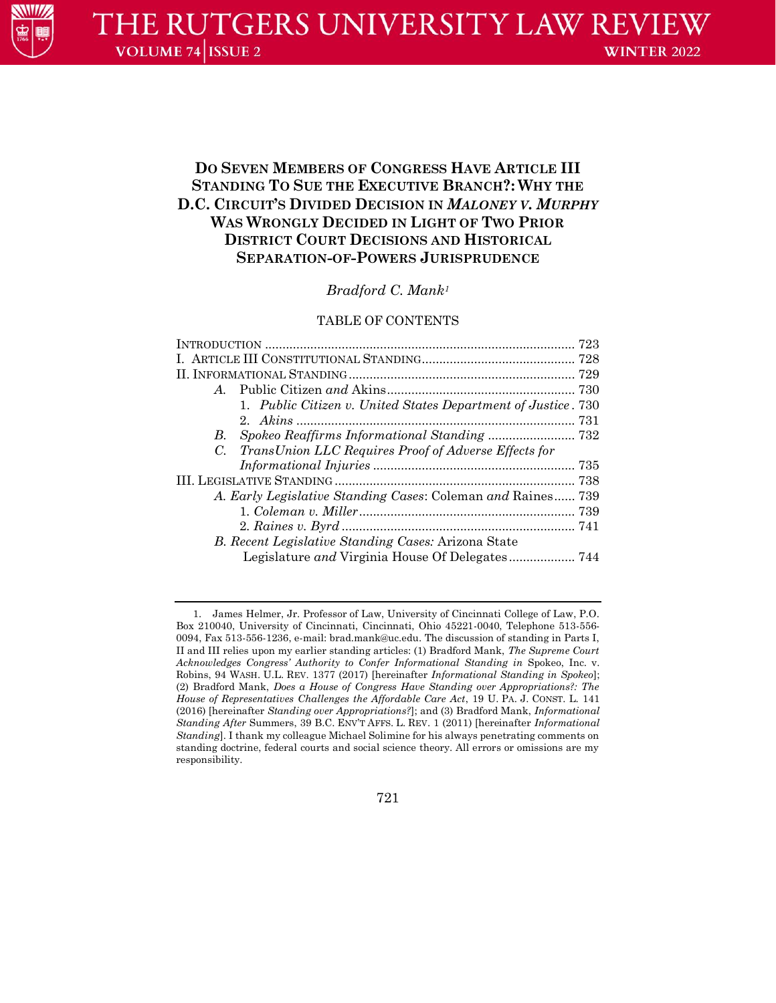# **DO SEVEN MEMBERS OF CONGRESS HAVE ARTICLE III STANDING TO SUE THE EXECUTIVE BRANCH?: WHY THE D.C. CIRCUIT'S DIVIDED DECISION IN** *MALONEY V. MURPHY* **WAS WRONGLY DECIDED IN LIGHT OF TWO PRIOR DISTRICT COURT DECISIONS AND HISTORICAL SEPARATION-OF-POWERS JURISPRUDENCE**

# *Bradford C. Mank<sup>1</sup>*

# TABLE OF CONTENTS

| A                                                           |                                                               |  |  |
|-------------------------------------------------------------|---------------------------------------------------------------|--|--|
|                                                             | 1. Public Citizen v. United States Department of Justice. 730 |  |  |
|                                                             |                                                               |  |  |
| В.                                                          |                                                               |  |  |
| $C_{\cdot}$                                                 | TransUnion LLC Requires Proof of Adverse Effects for          |  |  |
|                                                             |                                                               |  |  |
|                                                             |                                                               |  |  |
| A. Early Legislative Standing Cases: Coleman and Raines 739 |                                                               |  |  |
|                                                             |                                                               |  |  |
|                                                             |                                                               |  |  |
| B. Recent Legislative Standing Cases: Arizona State         |                                                               |  |  |
|                                                             |                                                               |  |  |
|                                                             |                                                               |  |  |

721

<sup>1.</sup> James Helmer, Jr. Professor of Law, University of Cincinnati College of Law, P.O. Box 210040, University of Cincinnati, Cincinnati, Ohio 45221-0040, Telephone 513-556- 0094, Fax 513-556-1236, e-mail: [brad.mank@uc.edu.](mailto:brad.mank@uc.edu) The discussion of standing in Parts I, II and III relies upon my earlier standing articles: (1) Bradford Mank, *The Supreme Court Acknowledges Congress' Authority to Confer Informational Standing in* Spokeo, Inc. v. Robins, 94 WASH. U.L. REV. 1377 (2017) [hereinafter *Informational Standing in Spokeo*]; (2) Bradford Mank, *Does a House of Congress Have Standing over Appropriations?: The House of Representatives Challenges the Affordable Care Act*, 19 U. PA. J. CONST. L. 141 (2016) [hereinafter *Standing over Appropriations?*]; and (3) Bradford Mank, *Informational Standing After* Summers, 39 B.C. ENV'T AFFS. L. REV. 1 (2011) [hereinafter *Informational Standing*]. I thank my colleague Michael Solimine for his always penetrating comments on standing doctrine, federal courts and social science theory. All errors or omissions are my responsibility.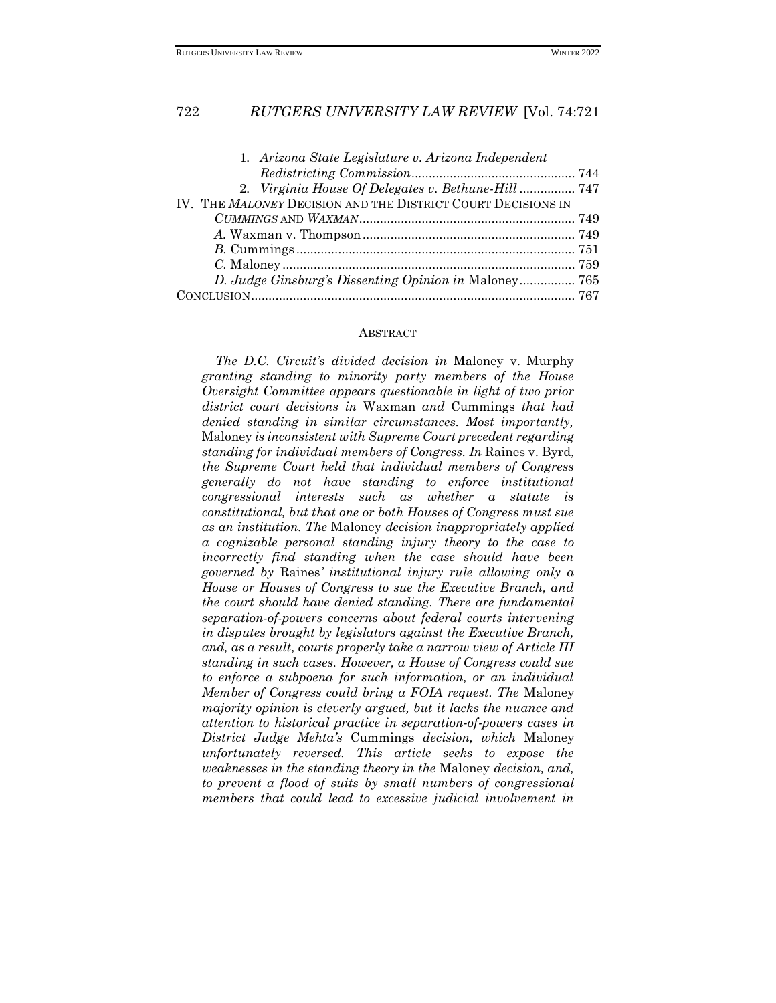| 1. Arizona State Legislature v. Arizona Independent          |  |
|--------------------------------------------------------------|--|
|                                                              |  |
| 2. Virginia House Of Delegates v. Bethune-Hill  747          |  |
| IV. THE MALONEY DECISION AND THE DISTRICT COURT DECISIONS IN |  |
|                                                              |  |
|                                                              |  |
|                                                              |  |
|                                                              |  |
|                                                              |  |
|                                                              |  |

#### **ABSTRACT**

*The D.C. Circuit's divided decision in* Maloney v. Murphy *granting standing to minority party members of the House Oversight Committee appears questionable in light of two prior district court decisions in* Waxman *and* Cummings *that had denied standing in similar circumstances. Most importantly,*  Maloney *is inconsistent with Supreme Court precedent regarding standing for individual members of Congress. In* Raines v. Byrd*, the Supreme Court held that individual members of Congress generally do not have standing to enforce institutional congressional interests such as whether a statute is constitutional, but that one or both Houses of Congress must sue as an institution. The* Maloney *decision inappropriately applied a cognizable personal standing injury theory to the case to incorrectly find standing when the case should have been governed by* Raines*' institutional injury rule allowing only a House or Houses of Congress to sue the Executive Branch, and the court should have denied standing. There are fundamental separation-of-powers concerns about federal courts intervening in disputes brought by legislators against the Executive Branch, and, as a result, courts properly take a narrow view of Article III standing in such cases. However, a House of Congress could sue to enforce a subpoena for such information, or an individual Member of Congress could bring a FOIA request. The* Maloney *majority opinion is cleverly argued, but it lacks the nuance and attention to historical practice in separation-of-powers cases in District Judge Mehta's* Cummings *decision, which* Maloney *unfortunately reversed. This article seeks to expose the weaknesses in the standing theory in the* Maloney *decision, and, to prevent a flood of suits by small numbers of congressional members that could lead to excessive judicial involvement in*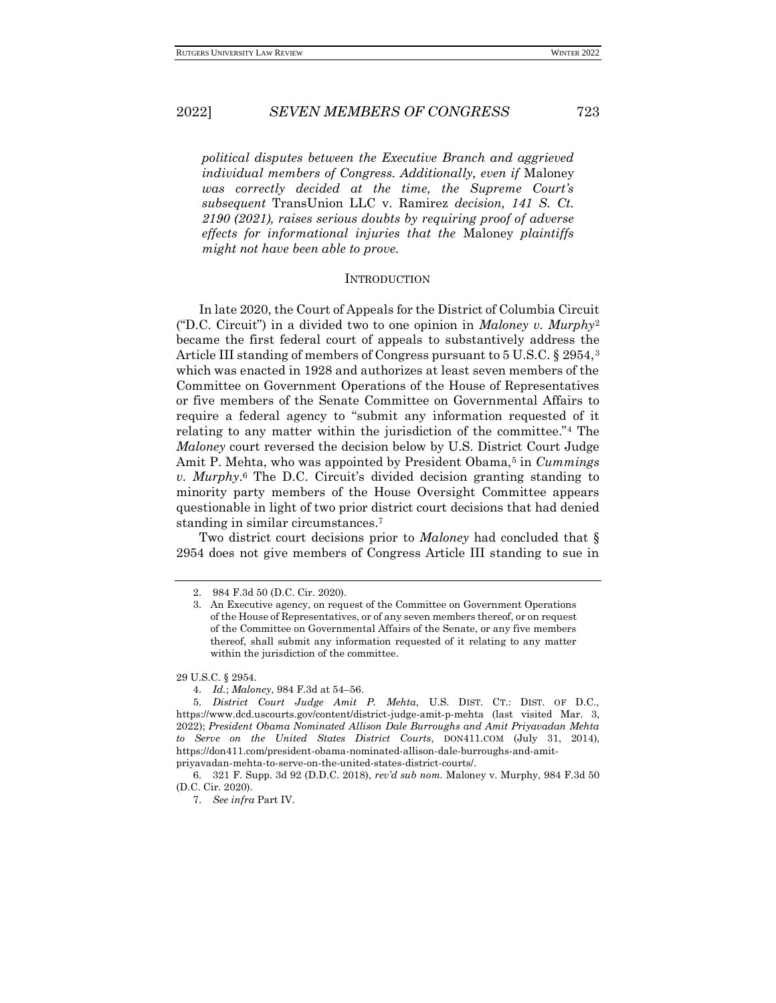*political disputes between the Executive Branch and aggrieved individual members of Congress. Additionally, even if* Maloney *was correctly decided at the time, the Supreme Court's subsequent* TransUnion LLC v. Ramirez *decision, 141 S. Ct. 2190 (2021), raises serious doubts by requiring proof of adverse effects for informational injuries that the* Maloney *plaintiffs might not have been able to prove.*

### **INTRODUCTION**

In late 2020, the Court of Appeals for the District of Columbia Circuit ("D.C. Circuit") in a divided two to one opinion in *Maloney v. Murphy*<sup>2</sup> became the first federal court of appeals to substantively address the Article III standing of members of Congress pursuant to 5 U.S.C. § 2954,<sup>3</sup> which was enacted in 1928 and authorizes at least seven members of the Committee on Government Operations of the House of Representatives or five members of the Senate Committee on Governmental Affairs to require a federal agency to "submit any information requested of it relating to any matter within the jurisdiction of the committee."<sup>4</sup> The *Maloney* court reversed the decision below by U.S. District Court Judge Amit P. Mehta, who was appointed by President Obama,<sup>5</sup> in *Cummings v. Murphy*. <sup>6</sup> The D.C. Circuit's divided decision granting standing to minority party members of the House Oversight Committee appears questionable in light of two prior district court decisions that had denied standing in similar circumstances.<sup>7</sup>

Two district court decisions prior to *Maloney* had concluded that § 2954 does not give members of Congress Article III standing to sue in

29 U.S.C. § 2954.

<sup>2.</sup> 984 F.3d 50 (D.C. Cir. 2020).

<sup>3.</sup> An Executive agency, on request of the Committee on Government Operations of the House of Representatives, or of any seven members thereof, or on request of the Committee on Governmental Affairs of the Senate, or any five members thereof, shall submit any information requested of it relating to any matter within the jurisdiction of the committee.

<sup>4.</sup> *Id.*; *Maloney*, 984 F.3d at 54–56.

<sup>5.</sup> *District Court Judge Amit P. Mehta*, U.S. DIST. CT.: DIST. OF D.C., https://www.dcd.uscourts.gov/content/district-judge-amit-p-mehta (last visited Mar. 3, 2022); *President Obama Nominated Allison Dale Burroughs and Amit Priyavadan Mehta to Serve on the United States District Courts*, DON411.COM (July 31, 2014), https://don411.com/president-obama-nominated-allison-dale-burroughs-and-amitpriyavadan-mehta-to-serve-on-the-united-states-district-courts/.

<sup>6.</sup> 321 F. Supp. 3d 92 (D.D.C. 2018), *rev'd sub nom.* Maloney v. Murphy, 984 F.3d 50 (D.C. Cir. 2020).

<sup>7.</sup> *See infra* Part IV.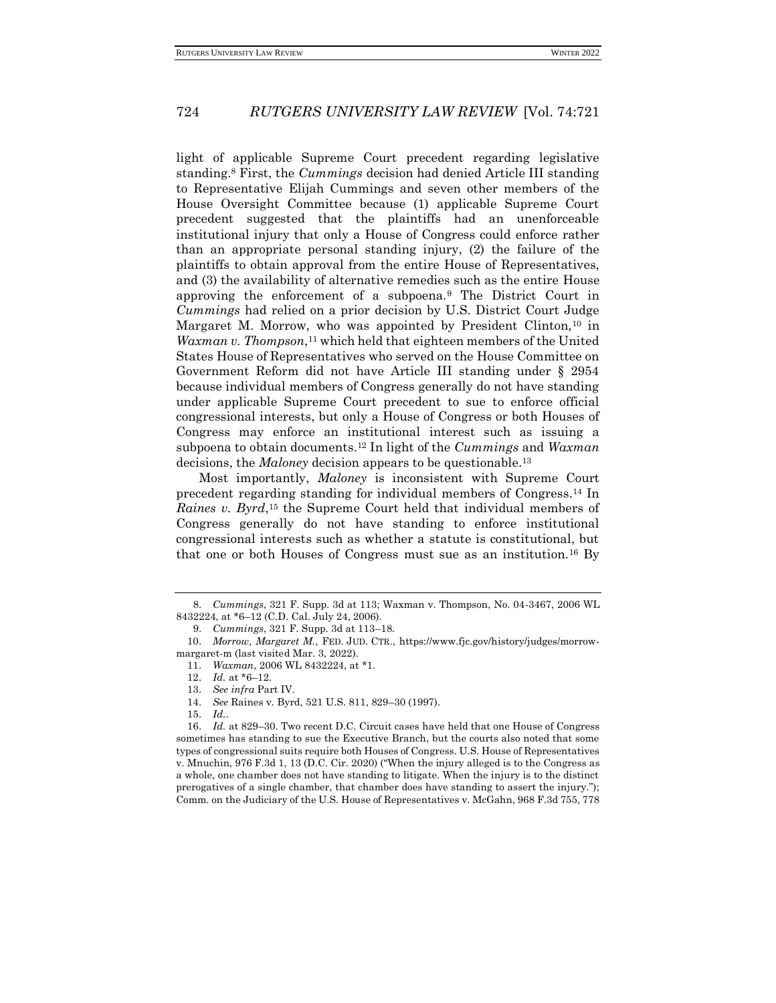light of applicable Supreme Court precedent regarding legislative standing.<sup>8</sup> First, the *Cummings* decision had denied Article III standing to Representative Elijah Cummings and seven other members of the House Oversight Committee because (1) applicable Supreme Court precedent suggested that the plaintiffs had an unenforceable institutional injury that only a House of Congress could enforce rather than an appropriate personal standing injury, (2) the failure of the plaintiffs to obtain approval from the entire House of Representatives, and (3) the availability of alternative remedies such as the entire House approving the enforcement of a subpoena.<sup>9</sup> The District Court in *Cummings* had relied on a prior decision by U.S. District Court Judge Margaret M. Morrow, who was appointed by President Clinton,<sup>10</sup> in *Waxman v. Thompson*, <sup>11</sup> which held that eighteen members of the United States House of Representatives who served on the House Committee on Government Reform did not have Article III standing under § 2954 because individual members of Congress generally do not have standing under applicable Supreme Court precedent to sue to enforce official congressional interests, but only a House of Congress or both Houses of Congress may enforce an institutional interest such as issuing a subpoena to obtain documents.<sup>12</sup> In light of the *Cummings* and *Waxman*  decisions, the *Maloney* decision appears to be questionable.<sup>13</sup>

Most importantly, *Maloney* is inconsistent with Supreme Court precedent regarding standing for individual members of Congress.<sup>14</sup> In Raines v. Byrd,<sup>15</sup> the Supreme Court held that individual members of Congress generally do not have standing to enforce institutional congressional interests such as whether a statute is constitutional, but that one or both Houses of Congress must sue as an institution.<sup>16</sup> By

<sup>8.</sup> *Cummings*, 321 F. Supp. 3d at 113; Waxman v. Thompson, No. 04-3467, 2006 WL 8432224, at \*6–12 (C.D. Cal. July 24, 2006).

<sup>9.</sup> *Cummings*, 321 F. Supp. 3d at 113–18.

<sup>10.</sup> *Morrow, Margaret M.*, FED. JUD. CTR., https://www.fjc.gov/history/judges/morrowmargaret-m (last visited Mar. 3, 2022).

<sup>11.</sup> *Waxman*, 2006 WL 8432224, at \*1.

<sup>12.</sup> *Id.* at \*6–12.

<sup>13.</sup> *See infra* Part IV.

<sup>14.</sup> *See* Raines v. Byrd, 521 U.S. 811, 829–30 (1997).

<sup>15.</sup> *Id.*.

<sup>16.</sup> *Id.* at 829–30. Two recent D.C. Circuit cases have held that one House of Congress sometimes has standing to sue the Executive Branch, but the courts also noted that some types of congressional suits require both Houses of Congress. U.S. House of Representatives v. Mnuchin, 976 F.3d 1, 13 (D.C. Cir. 2020) ("When the injury alleged is to the Congress as a whole, one chamber does not have standing to litigate. When the injury is to the distinct prerogatives of a single chamber, that chamber does have standing to assert the injury."); Comm. on the Judiciary of the U.S. House of Representatives v. McGahn, 968 F.3d 755, 778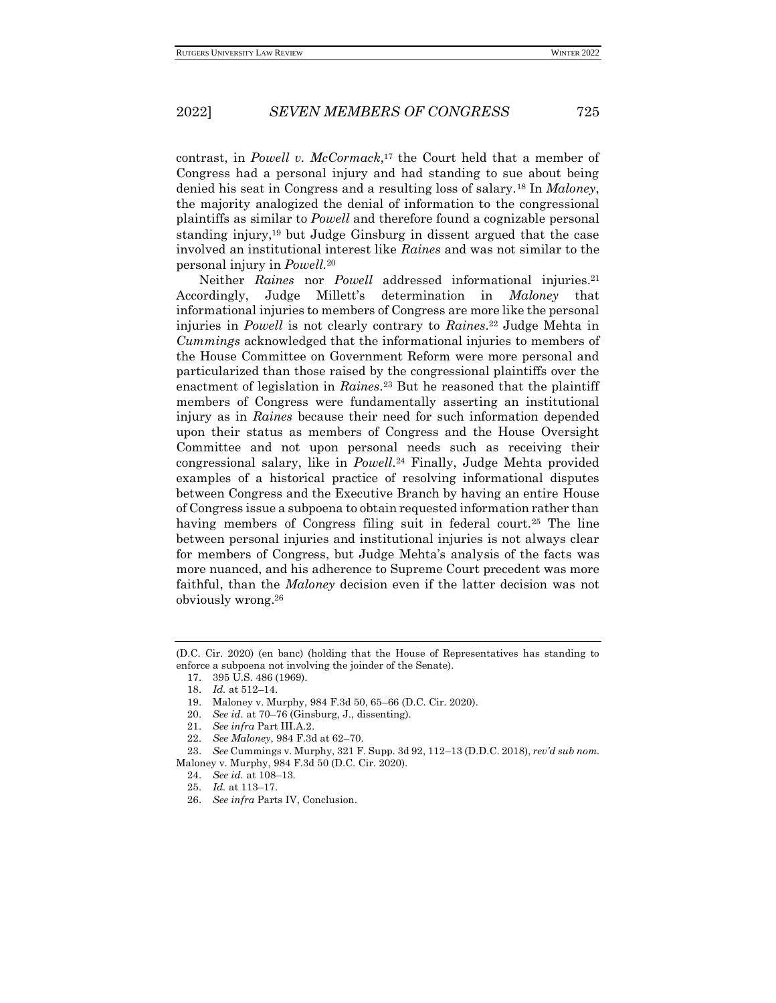contrast, in *Powell v. McCormack*, <sup>17</sup> the Court held that a member of Congress had a personal injury and had standing to sue about being denied his seat in Congress and a resulting loss of salary.<sup>18</sup> In *Maloney*, the majority analogized the denial of information to the congressional plaintiffs as similar to *Powell* and therefore found a cognizable personal standing injury,<sup>19</sup> but Judge Ginsburg in dissent argued that the case involved an institutional interest like *Raines* and was not similar to the personal injury in *Powell.*<sup>20</sup>

Neither *Raines* nor *Powell* addressed informational injuries.<sup>21</sup> Accordingly, Judge Millett's determination in *Maloney* that informational injuries to members of Congress are more like the personal injuries in *Powell* is not clearly contrary to *Raines*. <sup>22</sup> Judge Mehta in *Cummings* acknowledged that the informational injuries to members of the House Committee on Government Reform were more personal and particularized than those raised by the congressional plaintiffs over the enactment of legislation in *Raines*. <sup>23</sup> But he reasoned that the plaintiff members of Congress were fundamentally asserting an institutional injury as in *Raines* because their need for such information depended upon their status as members of Congress and the House Oversight Committee and not upon personal needs such as receiving their congressional salary, like in *Powell*. <sup>24</sup> Finally, Judge Mehta provided examples of a historical practice of resolving informational disputes between Congress and the Executive Branch by having an entire House of Congress issue a subpoena to obtain requested information rather than having members of Congress filing suit in federal court.<sup>25</sup> The line between personal injuries and institutional injuries is not always clear for members of Congress, but Judge Mehta's analysis of the facts was more nuanced, and his adherence to Supreme Court precedent was more faithful, than the *Maloney* decision even if the latter decision was not obviously wrong.<sup>26</sup>

<sup>(</sup>D.C. Cir. 2020) (en banc) (holding that the House of Representatives has standing to enforce a subpoena not involving the joinder of the Senate).

<sup>17.</sup> 395 U.S. 486 (1969).

<sup>18.</sup> *Id.* at 512–14.

<sup>19.</sup> Maloney v. Murphy, 984 F.3d 50, 65–66 (D.C. Cir. 2020).

<sup>20.</sup> *See id.* at 70–76 (Ginsburg, J., dissenting).

<sup>21.</sup> *See infra* Part III.A.2.

<sup>22.</sup> *See Maloney*, 984 F.3d at 62–70.

<sup>23.</sup> *See* Cummings v. Murphy, 321 F. Supp. 3d 92, 112–13 (D.D.C. 2018), *rev'd sub nom.* Maloney v. Murphy, 984 F.3d 50 (D.C. Cir. 2020).

<sup>24.</sup> *See id.* at 108–13.

<sup>25.</sup> *Id.* at 113–17.

<sup>26.</sup> *See infra* Parts IV, Conclusion.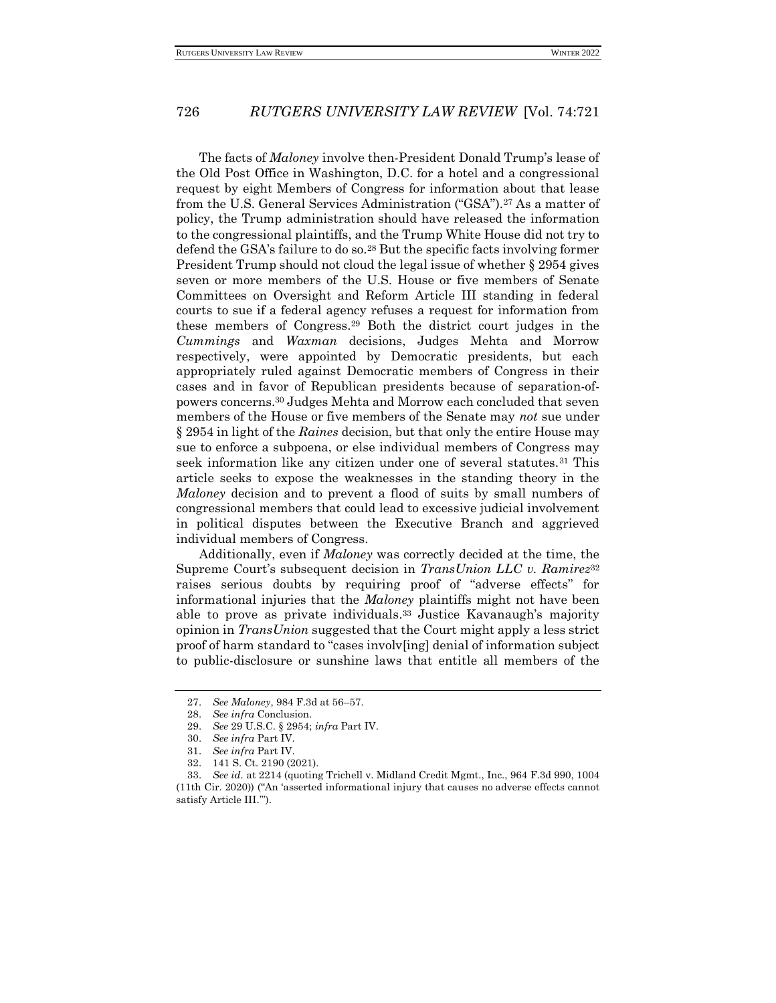The facts of *Maloney* involve then-President Donald Trump's lease of the Old Post Office in Washington, D.C. for a hotel and a congressional request by eight Members of Congress for information about that lease from the U.S. General Services Administration ("GSA").<sup>27</sup> As a matter of policy, the Trump administration should have released the information to the congressional plaintiffs, and the Trump White House did not try to defend the GSA's failure to do so.<sup>28</sup> But the specific facts involving former President Trump should not cloud the legal issue of whether § 2954 gives seven or more members of the U.S. House or five members of Senate Committees on Oversight and Reform Article III standing in federal courts to sue if a federal agency refuses a request for information from these members of Congress.<sup>29</sup> Both the district court judges in the *Cummings* and *Waxman* decisions, Judges Mehta and Morrow respectively, were appointed by Democratic presidents, but each appropriately ruled against Democratic members of Congress in their cases and in favor of Republican presidents because of separation-ofpowers concerns.<sup>30</sup> Judges Mehta and Morrow each concluded that seven members of the House or five members of the Senate may *not* sue under § 2954 in light of the *Raines* decision, but that only the entire House may sue to enforce a subpoena, or else individual members of Congress may seek information like any citizen under one of several statutes.<sup>31</sup> This article seeks to expose the weaknesses in the standing theory in the *Maloney* decision and to prevent a flood of suits by small numbers of congressional members that could lead to excessive judicial involvement in political disputes between the Executive Branch and aggrieved individual members of Congress.

Additionally, even if *Maloney* was correctly decided at the time, the Supreme Court's subsequent decision in *TransUnion LLC v. Ramirez*<sup>32</sup> raises serious doubts by requiring proof of "adverse effects" for informational injuries that the *Maloney* plaintiffs might not have been able to prove as private individuals.<sup>33</sup> Justice Kavanaugh's majority opinion in *TransUnion* suggested that the Court might apply a less strict proof of harm standard to "cases involv[ing] denial of information subject to public-disclosure or sunshine laws that entitle all members of the

<sup>27.</sup> *See Maloney*, 984 F.3d at 56–57.

<sup>28.</sup> *See infra* Conclusion.

<sup>29.</sup> *See* 29 U.S.C. § 2954; *infra* Part IV.

<sup>30.</sup> *See infra* Part IV.

<sup>31.</sup> *See infra* Part IV.

<sup>32.</sup> 141 S. Ct. 2190 (2021).

<sup>33.</sup> *See id.* at 2214 (quoting Trichell v. Midland Credit Mgmt., Inc., 964 F.3d 990, 1004 (11th Cir. 2020)) ("An 'asserted informational injury that causes no adverse effects cannot satisfy Article III.'").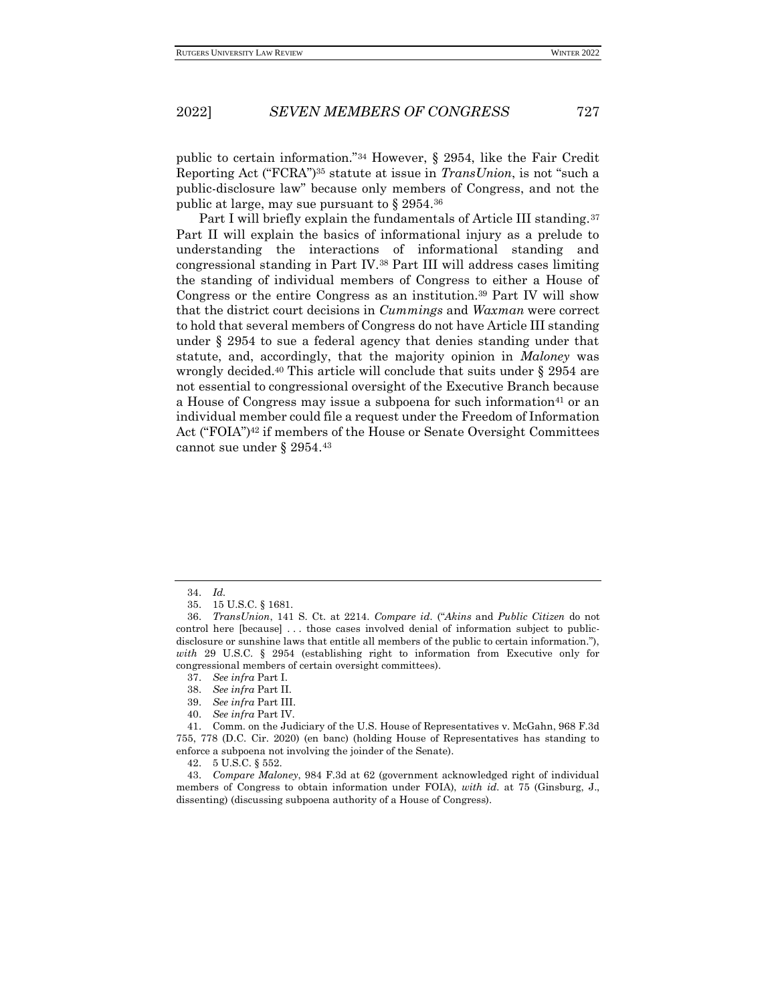public to certain information."<sup>34</sup> However, § 2954, like the Fair Credit Reporting Act ("FCRA")<sup>35</sup> statute at issue in *TransUnion*, is not "such a public-disclosure law" because only members of Congress, and not the public at large, may sue pursuant to § 2954. 36

Part I will briefly explain the fundamentals of Article III standing.<sup>37</sup> Part II will explain the basics of informational injury as a prelude to understanding the interactions of informational standing and congressional standing in Part IV.<sup>38</sup> Part III will address cases limiting the standing of individual members of Congress to either a House of Congress or the entire Congress as an institution.<sup>39</sup> Part IV will show that the district court decisions in *Cummings* and *Waxman* were correct to hold that several members of Congress do not have Article III standing under § 2954 to sue a federal agency that denies standing under that statute, and, accordingly, that the majority opinion in *Maloney* was wrongly decided.<sup>40</sup> This article will conclude that suits under § 2954 are not essential to congressional oversight of the Executive Branch because a House of Congress may issue a subpoena for such information<sup>41</sup> or an individual member could file a request under the Freedom of Information Act ("FOIA")<sup>42</sup> if members of the House or Senate Oversight Committees cannot sue under § 2954.<sup>43</sup>

<sup>34.</sup> *Id.*

<sup>35.</sup> 15 U.S.C. § 1681.

<sup>36.</sup> *TransUnion*, 141 S. Ct. at 2214. *Compare id.* ("*Akins* and *Public Citizen* do not control here [because] . . . those cases involved denial of information subject to publicdisclosure or sunshine laws that entitle all members of the public to certain information."), *with* 29 U.S.C. § 2954 (establishing right to information from Executive only for congressional members of certain oversight committees).

<sup>37.</sup> *See infra* Part I.

<sup>38.</sup> *See infra* Part II.

<sup>39.</sup> *See infra* Part III.

<sup>40.</sup> *See infra* Part IV.

<sup>41.</sup> Comm. on the Judiciary of the U.S. House of Representatives v. McGahn, 968 F.3d 755, 778 (D.C. Cir. 2020) (en banc) (holding House of Representatives has standing to enforce a subpoena not involving the joinder of the Senate).

<sup>42.</sup> 5 U.S.C. § 552.

<sup>43.</sup> *Compare Maloney*, 984 F.3d at 62 (government acknowledged right of individual members of Congress to obtain information under FOIA), *with id.* at 75 (Ginsburg, J., dissenting) (discussing subpoena authority of a House of Congress).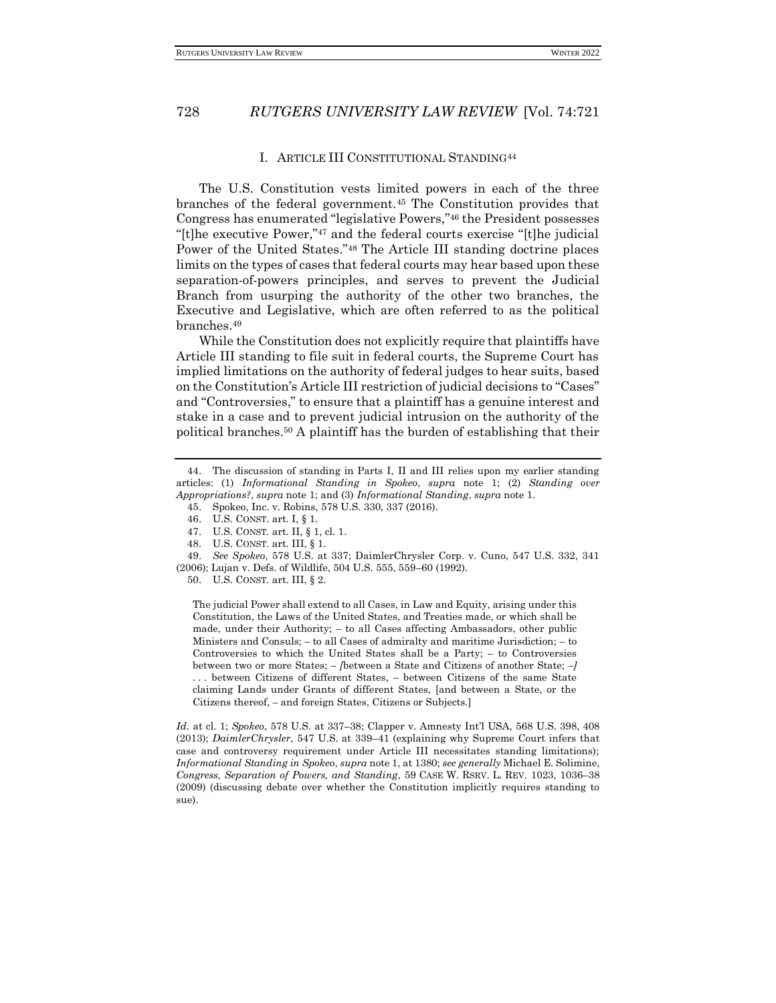#### I. ARTICLE III CONSTITUTIONAL STANDING<sup>44</sup>

The U.S. Constitution vests limited powers in each of the three branches of the federal government.<sup>45</sup> The Constitution provides that Congress has enumerated "legislative Powers,"<sup>46</sup> the President possesses "[t]he executive Power,"<sup>47</sup> and the federal courts exercise "[t]he judicial Power of the United States."<sup>48</sup> The Article III standing doctrine places limits on the types of cases that federal courts may hear based upon these separation-of-powers principles, and serves to prevent the Judicial Branch from usurping the authority of the other two branches, the Executive and Legislative, which are often referred to as the political branches.<sup>49</sup>

While the Constitution does not explicitly require that plaintiffs have Article III standing to file suit in federal courts, the Supreme Court has implied limitations on the authority of federal judges to hear suits, based on the Constitution's Article III restriction of judicial decisions to "Cases" and "Controversies," to ensure that a plaintiff has a genuine interest and stake in a case and to prevent judicial intrusion on the authority of the political branches.<sup>50</sup> A plaintiff has the burden of establishing that their

The judicial Power shall extend to all Cases, in Law and Equity, arising under this Constitution, the Laws of the United States, and Treaties made, or which shall be made, under their Authority; *–* to all Cases affecting Ambassadors, other public Ministers and Consuls; *–* to all Cases of admiralty and maritime Jurisdiction; *–* to Controversies to which the United States shall be a Party; *–* to Controversies between two or more States; *– [*between a State and Citizens of another State; *–] . . .* between Citizens of different States, *–* between Citizens of the same State claiming Lands under Grants of different States, [and between a State, or the Citizens thereof, *–* and foreign States, Citizens or Subjects.]

*Id.* at cl. 1; *Spokeo*, 578 U.S. at 337–38; Clapper v. Amnesty Int'l USA, 568 U.S. 398, 408 (2013); *DaimlerChrysler*, 547 U.S. at 339–41 (explaining why Supreme Court infers that case and controversy requirement under Article III necessitates standing limitations); *Informational Standing in Spokeo*, *supra* note 1, at 1380; *see generally* Michael E. Solimine, *Congress, Separation of Powers, and Standing*, 59 CASE W. RSRV. L. REV. 1023, 1036–38 (2009) (discussing debate over whether the Constitution implicitly requires standing to sue).

<sup>44.</sup> The discussion of standing in Parts I, II and III relies upon my earlier standing articles: (1) *Informational Standing in Spokeo*, *supra* note 1; (2) *Standing over Appropriations?*, *supra* note 1; and (3) *Informational Standing*, *supra* note 1.

<sup>45.</sup> Spokeo, Inc. v. Robins, 578 U.S. 330, 337 (2016).

<sup>46.</sup> U.S. CONST. art. I, § 1.

<sup>47.</sup> U.S. CONST*.* art. II, § 1, cl. 1.

<sup>48.</sup> U.S. CONST. art. III, § 1.

<sup>49.</sup> *See Spokeo*, 578 U.S. at 337; DaimlerChrysler Corp. v. Cuno, 547 U.S. 332, 341

<sup>(2006);</sup> Lujan v. Defs. of Wildlife, 504 U.S. 555, 559–60 (1992).

<sup>50.</sup> U.S. CONST. art. III, § 2.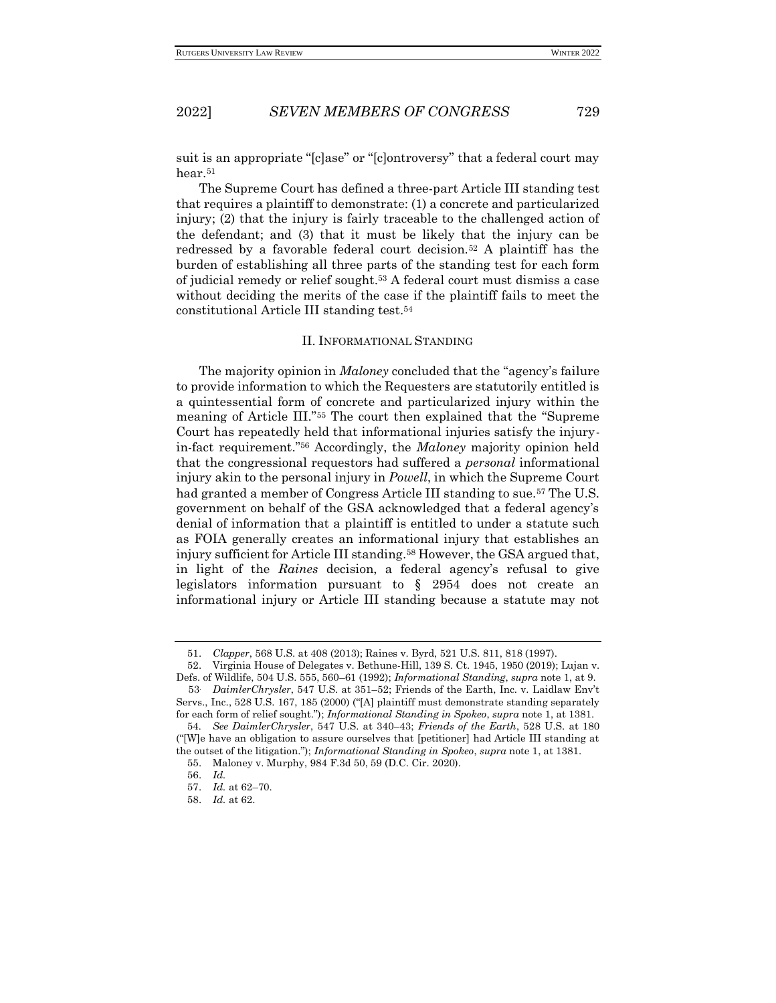suit is an appropriate "[c]ase" or "[c]ontroversy" that a federal court may hear.<sup>51</sup>

The Supreme Court has defined a three-part Article III standing test that requires a plaintiff to demonstrate: (1) a concrete and particularized injury; (2) that the injury is fairly traceable to the challenged action of the defendant; and (3) that it must be likely that the injury can be redressed by a favorable federal court decision.<sup>52</sup> A plaintiff has the burden of establishing all three parts of the standing test for each form of judicial remedy or relief sought.<sup>53</sup> A federal court must dismiss a case without deciding the merits of the case if the plaintiff fails to meet the constitutional Article III standing test.<sup>54</sup>

#### II. INFORMATIONAL STANDING

The majority opinion in *Maloney* concluded that the "agency's failure to provide information to which the Requesters are statutorily entitled is a quintessential form of concrete and particularized injury within the meaning of Article III."<sup>55</sup> The court then explained that the "Supreme Court has repeatedly held that informational injuries satisfy the injuryin-fact requirement."<sup>56</sup> Accordingly, the *Maloney* majority opinion held that the congressional requestors had suffered a *personal* informational injury akin to the personal injury in *Powell*, in which the Supreme Court had granted a member of Congress Article III standing to sue.<sup>57</sup> The U.S. government on behalf of the GSA acknowledged that a federal agency's denial of information that a plaintiff is entitled to under a statute such as FOIA generally creates an informational injury that establishes an injury sufficient for Article III standing.<sup>58</sup> However, the GSA argued that, in light of the *Raines* decision, a federal agency's refusal to give legislators information pursuant to § 2954 does not create an informational injury or Article III standing because a statute may not

<sup>51.</sup> *Clapper*, 568 U.S. at 408 (2013); Raines v. Byrd, 521 U.S. 811, 818 (1997).

<sup>52.</sup> Virginia House of Delegates v. Bethune-Hill, 139 S. Ct. 1945, 1950 (2019); Lujan v. Defs. of Wildlife, 504 U.S. 555, 560–61 (1992); *Informational Standing*, *supra* note 1, at 9.

<sup>53</sup>. *DaimlerChrysler*, 547 U.S. at 351–52; Friends of the Earth, Inc. v. Laidlaw Env't Servs., Inc., 528 U.S. 167, 185 (2000) ("[A] plaintiff must demonstrate standing separately for each form of relief sought."); *Informational Standing in Spokeo*, *supra* note 1, at 1381.

<sup>54</sup>*. See DaimlerChrysler*, 547 U.S. at 340–43; *Friends of the Earth*, 528 U.S. at 180 ("[W]e have an obligation to assure ourselves that [petitioner] had Article III standing at the outset of the litigation."); *Informational Standing in Spokeo*, *supra* note 1, at 1381.

<sup>55.</sup> Maloney v. Murphy, 984 F.3d 50, 59 (D.C. Cir. 2020).

<sup>56.</sup> *Id.*

<sup>57.</sup> *Id.* at 62–70. 58. *Id.* at 62.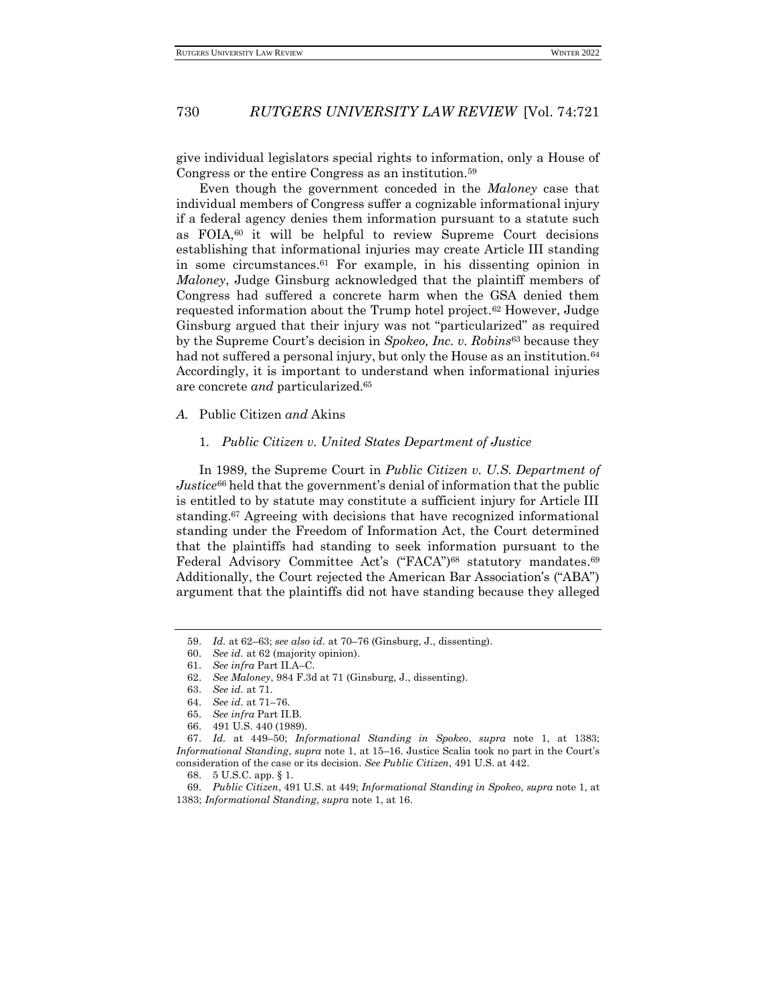give individual legislators special rights to information, only a House of Congress or the entire Congress as an institution.<sup>59</sup>

Even though the government conceded in the *Maloney* case that individual members of Congress suffer a cognizable informational injury if a federal agency denies them information pursuant to a statute such as FOIA,<sup>60</sup> it will be helpful to review Supreme Court decisions establishing that informational injuries may create Article III standing in some circumstances.<sup>61</sup> For example, in his dissenting opinion in *Maloney*, Judge Ginsburg acknowledged that the plaintiff members of Congress had suffered a concrete harm when the GSA denied them requested information about the Trump hotel project.<sup>62</sup> However, Judge Ginsburg argued that their injury was not "particularized" as required by the Supreme Court's decision in *Spokeo, Inc. v. Robins*<sup>63</sup> because they had not suffered a personal injury, but only the House as an institution.<sup>64</sup> Accordingly, it is important to understand when informational injuries are concrete *and* particularized.<sup>65</sup>

#### *A.* Public Citizen *and* Akins

#### 1. *Public Citizen v. United States Department of Justice*

In 1989, the Supreme Court in *Public Citizen v. U.S. Department of Justice*<sup>66</sup> held that the government's denial of information that the public is entitled to by statute may constitute a sufficient injury for Article III standing.<sup>67</sup> Agreeing with decisions that have recognized informational standing under the Freedom of Information Act, the Court determined that the plaintiffs had standing to seek information pursuant to the Federal Advisory Committee Act's ("FACA")<sup>68</sup> statutory mandates.<sup>69</sup> Additionally, the Court rejected the American Bar Association's ("ABA") argument that the plaintiffs did not have standing because they alleged

<sup>59.</sup> *Id.* at 62–63; *see also id.* at 70–76 (Ginsburg, J., dissenting).

<sup>60.</sup> *See id.* at 62 (majority opinion).

<sup>61.</sup> *See infra* Part II.A–C.

<sup>62.</sup> *See Maloney*, 984 F.3d at 71 (Ginsburg, J., dissenting).

<sup>63.</sup> *See id.* at 71.

<sup>64.</sup> *See id.* at 71–76.

<sup>65.</sup> *See infra* Part II.B.

<sup>66.</sup> 491 U.S. 440 (1989).

<sup>67.</sup> *Id.* at 449–50; *Informational Standing in Spokeo*, *supra* note 1, at 1383; *Informational Standing*, *supra* note 1, at 15–16. Justice Scalia took no part in the Court's consideration of the case or its decision. *See Public Citizen*, 491 U.S. at 442.

<sup>68.</sup> 5 U.S.C. app. § 1.

<sup>69.</sup> *Public Citizen*, 491 U.S. at 449; *Informational Standing in Spokeo*, *supra* note 1, at 1383; *Informational Standing*, *supra* note 1, at 16.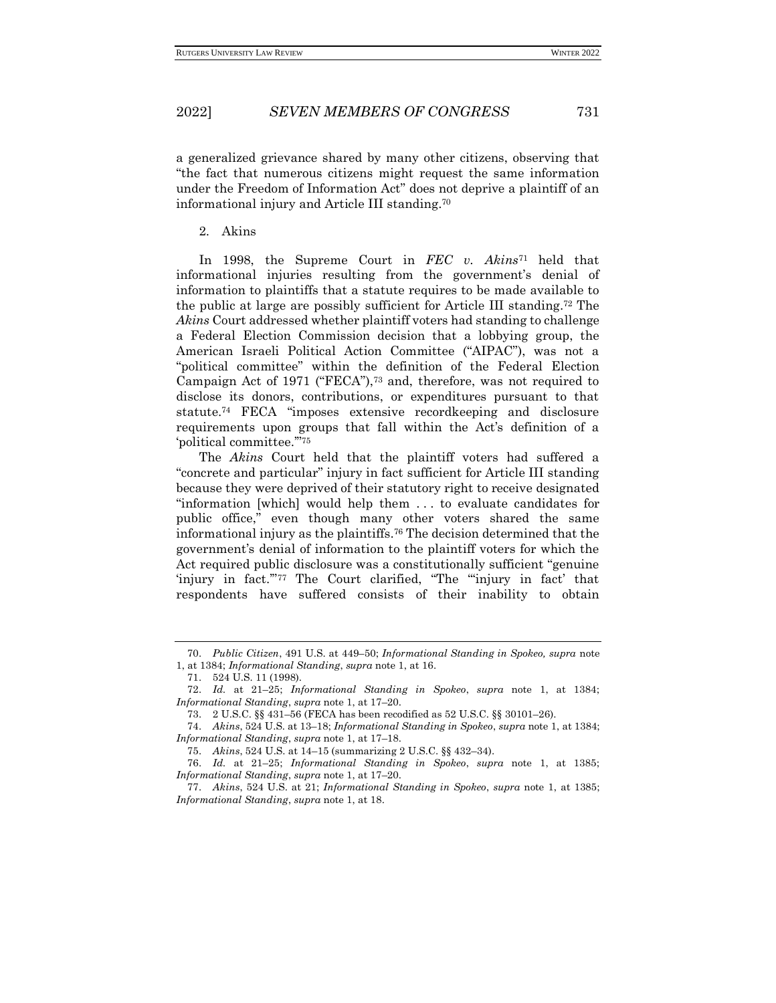a generalized grievance shared by many other citizens, observing that "the fact that numerous citizens might request the same information under the Freedom of Information Act" does not deprive a plaintiff of an informational injury and Article III standing.<sup>70</sup>

2. Akins

In 1998, the Supreme Court in *FEC v. Akins*<sup>71</sup> held that informational injuries resulting from the government's denial of information to plaintiffs that a statute requires to be made available to the public at large are possibly sufficient for Article III standing.<sup>72</sup> The *Akins* Court addressed whether plaintiff voters had standing to challenge a Federal Election Commission decision that a lobbying group, the American Israeli Political Action Committee ("AIPAC"), was not a "political committee" within the definition of the Federal Election Campaign Act of 1971 ("FECA"),<sup>73</sup> and, therefore, was not required to disclose its donors, contributions, or expenditures pursuant to that statute.<sup>74</sup> FECA "imposes extensive recordkeeping and disclosure requirements upon groups that fall within the Act's definition of a 'political committee.'"<sup>75</sup>

The *Akins* Court held that the plaintiff voters had suffered a "concrete and particular" injury in fact sufficient for Article III standing because they were deprived of their statutory right to receive designated "information [which] would help them . . . to evaluate candidates for public office," even though many other voters shared the same informational injury as the plaintiffs.<sup>76</sup> The decision determined that the government's denial of information to the plaintiff voters for which the Act required public disclosure was a constitutionally sufficient "genuine 'injury in fact.'"<sup>77</sup> The Court clarified, "The "'injury in fact' that respondents have suffered consists of their inability to obtain

<sup>70.</sup> *Public Citizen*, 491 U.S. at 449–50; *Informational Standing in Spokeo, supra* note

<sup>1,</sup> at 1384; *Informational Standing*, *supra* note 1, at 16.

<sup>71.</sup> 524 U.S. 11 (1998).

<sup>72.</sup> *Id.* at 21–25; *Informational Standing in Spokeo*, *supra* note 1, at 1384; *Informational Standing*, *supra* note 1, at 17–20.

<sup>73.</sup> 2 U.S.C. §§ 431–56 (FECA has been recodified as 52 U.S.C. §§ 30101–26).

<sup>74.</sup> *Akins*, 524 U.S. at 13–18; *Informational Standing in Spokeo*, *supra* note 1, at 1384; *Informational Standing*, *supra* note 1, at 17–18.

<sup>75.</sup> *Akins*, 524 U.S. at 14–15 (summarizing 2 U.S.C. §§ 432–34).

<sup>76.</sup> *Id.* at 21–25; *Informational Standing in Spokeo*, *supra* note 1, at 1385; *Informational Standing*, *supra* note 1, at 17–20.

<sup>77.</sup> *Akins*, 524 U.S. at 21; *Informational Standing in Spokeo*, *supra* note 1, at 1385; *Informational Standing*, *supra* note 1, at 18.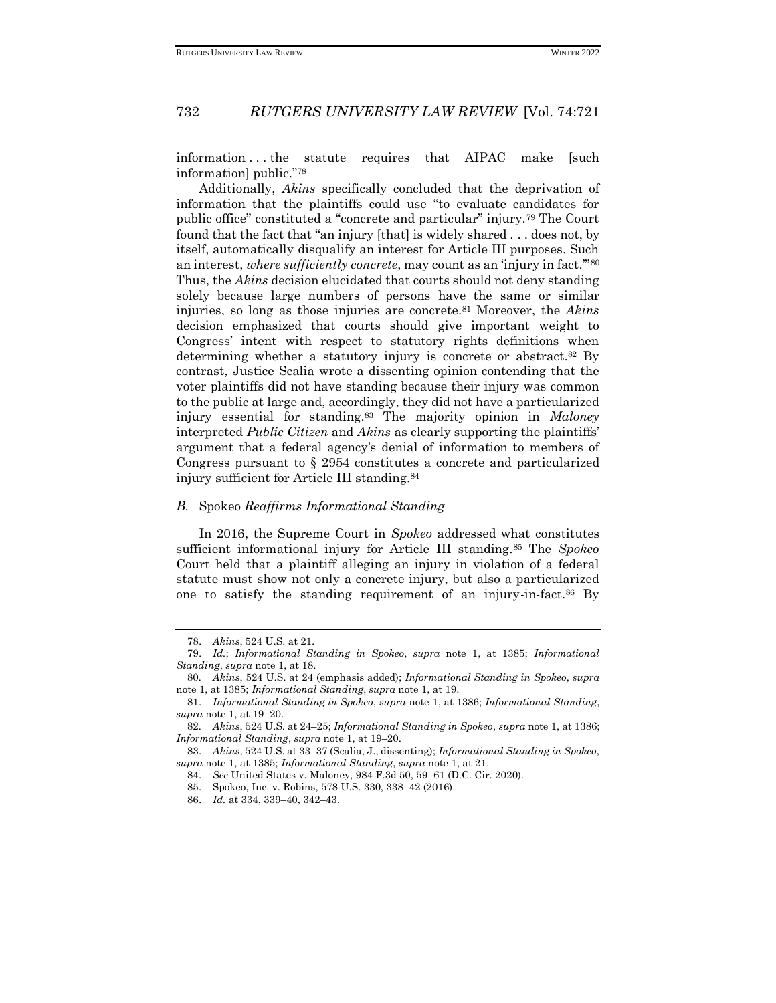information . . . the statute requires that AIPAC make [such information] public."<sup>78</sup>

Additionally, *Akins* specifically concluded that the deprivation of information that the plaintiffs could use "to evaluate candidates for public office" constituted a "concrete and particular" injury.<sup>79</sup> The Court found that the fact that "an injury [that] is widely shared . . . does not, by itself, automatically disqualify an interest for Article III purposes. Such an interest, *where sufficiently concrete*, may count as an 'injury in fact."<sup>80</sup> Thus, the *Akins* decision elucidated that courts should not deny standing solely because large numbers of persons have the same or similar injuries, so long as those injuries are concrete.<sup>81</sup> Moreover, the *Akins*  decision emphasized that courts should give important weight to Congress' intent with respect to statutory rights definitions when determining whether a statutory injury is concrete or abstract.<sup>82</sup> By contrast, Justice Scalia wrote a dissenting opinion contending that the voter plaintiffs did not have standing because their injury was common to the public at large and, accordingly, they did not have a particularized injury essential for standing.<sup>83</sup> The majority opinion in *Maloney*  interpreted *Public Citizen* and *Akins* as clearly supporting the plaintiffs' argument that a federal agency's denial of information to members of Congress pursuant to § 2954 constitutes a concrete and particularized injury sufficient for Article III standing.<sup>84</sup>

#### *B.* Spokeo *Reaffirms Informational Standing*

In 2016, the Supreme Court in *Spokeo* addressed what constitutes sufficient informational injury for Article III standing.<sup>85</sup> The *Spokeo*  Court held that a plaintiff alleging an injury in violation of a federal statute must show not only a concrete injury, but also a particularized one to satisfy the standing requirement of an injury-in-fact.<sup>86</sup> By

<sup>78.</sup> *Akins*, 524 U.S. at 21.

<sup>79.</sup> *Id.*; *Informational Standing in Spokeo*, *supra* note 1, at 1385; *Informational Standing*, *supra* note 1, at 18.

<sup>80</sup>*. Akins*, 524 U.S. at 24 (emphasis added); *Informational Standing in Spokeo*, *supra*  note 1, at 1385; *Informational Standing*, *supra* note 1, at 19.

<sup>81.</sup> *Informational Standing in Spokeo*, *supra* note 1, at 1386; *Informational Standing*, *supra* note 1, at 19–20.

<sup>82</sup>*. Akins*, 524 U.S. at 24–25; *Informational Standing in Spokeo*, *supra* note 1, at 1386; *Informational Standing*, *supra* note 1, at 19–20.

<sup>83.</sup> *Akins*, 524 U.S. at 33–37 (Scalia, J., dissenting); *Informational Standing in Spokeo*, *supra* note 1, at 1385; *Informational Standing*, *supra* note 1, at 21.

<sup>84.</sup> *See* United States v. Maloney, 984 F.3d 50, 59–61 (D.C. Cir. 2020).

<sup>85.</sup> Spokeo, Inc. v. Robins, 578 U.S. 330, 338–42 (2016).

<sup>86.</sup> *Id.* at 334, 339–40, 342–43.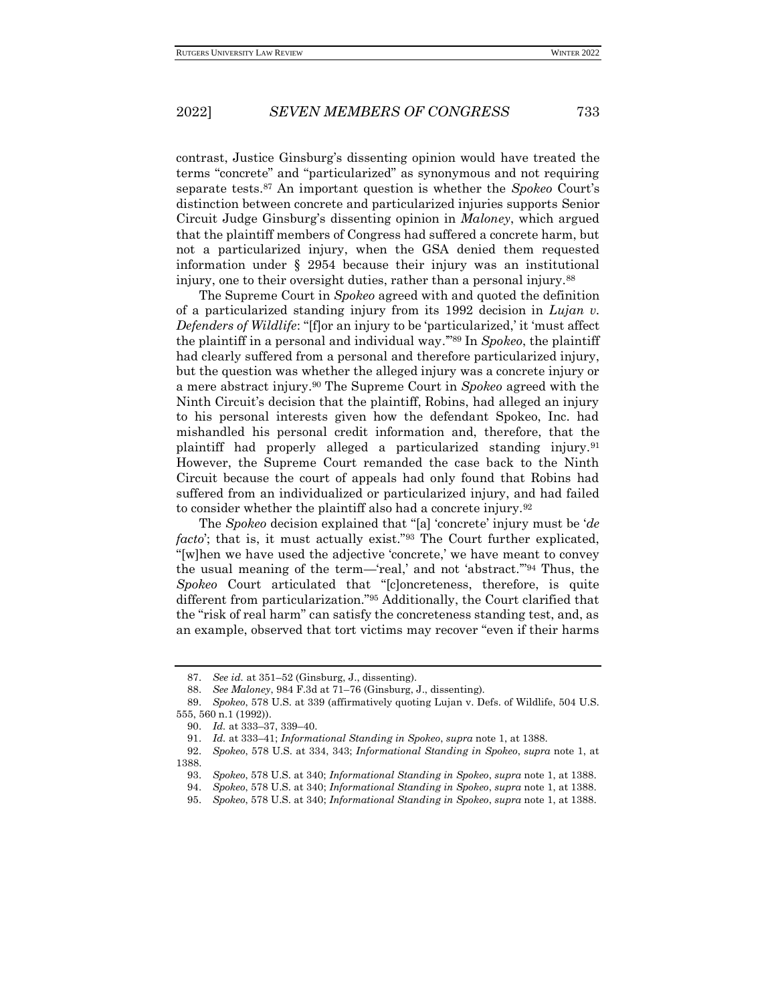contrast, Justice Ginsburg's dissenting opinion would have treated the terms "concrete" and "particularized" as synonymous and not requiring separate tests.<sup>87</sup> An important question is whether the *Spokeo* Court's distinction between concrete and particularized injuries supports Senior Circuit Judge Ginsburg's dissenting opinion in *Maloney*, which argued that the plaintiff members of Congress had suffered a concrete harm, but not a particularized injury, when the GSA denied them requested information under § 2954 because their injury was an institutional injury, one to their oversight duties, rather than a personal injury.<sup>88</sup>

The Supreme Court in *Spokeo* agreed with and quoted the definition of a particularized standing injury from its 1992 decision in *Lujan v. Defenders of Wildlife*: "[f]or an injury to be 'particularized,' it 'must affect the plaintiff in a personal and individual way.'"<sup>89</sup> In *Spokeo*, the plaintiff had clearly suffered from a personal and therefore particularized injury, but the question was whether the alleged injury was a concrete injury or a mere abstract injury.<sup>90</sup> The Supreme Court in *Spokeo* agreed with the Ninth Circuit's decision that the plaintiff, Robins, had alleged an injury to his personal interests given how the defendant Spokeo, Inc. had mishandled his personal credit information and, therefore, that the plaintiff had properly alleged a particularized standing injury.<sup>91</sup> However, the Supreme Court remanded the case back to the Ninth Circuit because the court of appeals had only found that Robins had suffered from an individualized or particularized injury, and had failed to consider whether the plaintiff also had a concrete injury.<sup>92</sup>

The *Spokeo* decision explained that "[a] 'concrete' injury must be '*de facto*'; that is, it must actually exist."<sup>93</sup> The Court further explicated, "[w]hen we have used the adjective 'concrete,' we have meant to convey the usual meaning of the term—'real,' and not 'abstract.'"<sup>94</sup> Thus, the *Spokeo* Court articulated that "[c]oncreteness, therefore, is quite different from particularization."<sup>95</sup> Additionally, the Court clarified that the "risk of real harm" can satisfy the concreteness standing test, and, as an example, observed that tort victims may recover "even if their harms

<sup>87.</sup> *See id.* at 351–52 (Ginsburg, J., dissenting).

<sup>88.</sup> *See Maloney*, 984 F.3d at 71–76 (Ginsburg, J., dissenting).

<sup>89.</sup> *Spokeo*, 578 U.S. at 339 (affirmatively quoting Lujan v. Defs. of Wildlife, 504 U.S. 555, 560 n.1 (1992)).

<sup>90.</sup> *Id.* at 333–37, 339–40.

<sup>91.</sup> *Id.* at 333–41; *Informational Standing in Spokeo*, *supra* note 1, at 1388.

<sup>92.</sup> *Spokeo*, 578 U.S. at 334, 343; *Informational Standing in Spokeo*, *supra* note 1, at 1388.

<sup>93.</sup> *Spokeo*, 578 U.S. at 340; *Informational Standing in Spokeo*, *supra* note 1, at 1388.

<sup>94.</sup> *Spokeo*, 578 U.S. at 340; *Informational Standing in Spokeo*, *supra* note 1, at 1388.

<sup>95.</sup> *Spokeo*, 578 U.S. at 340; *Informational Standing in Spokeo*, *supra* note 1, at 1388.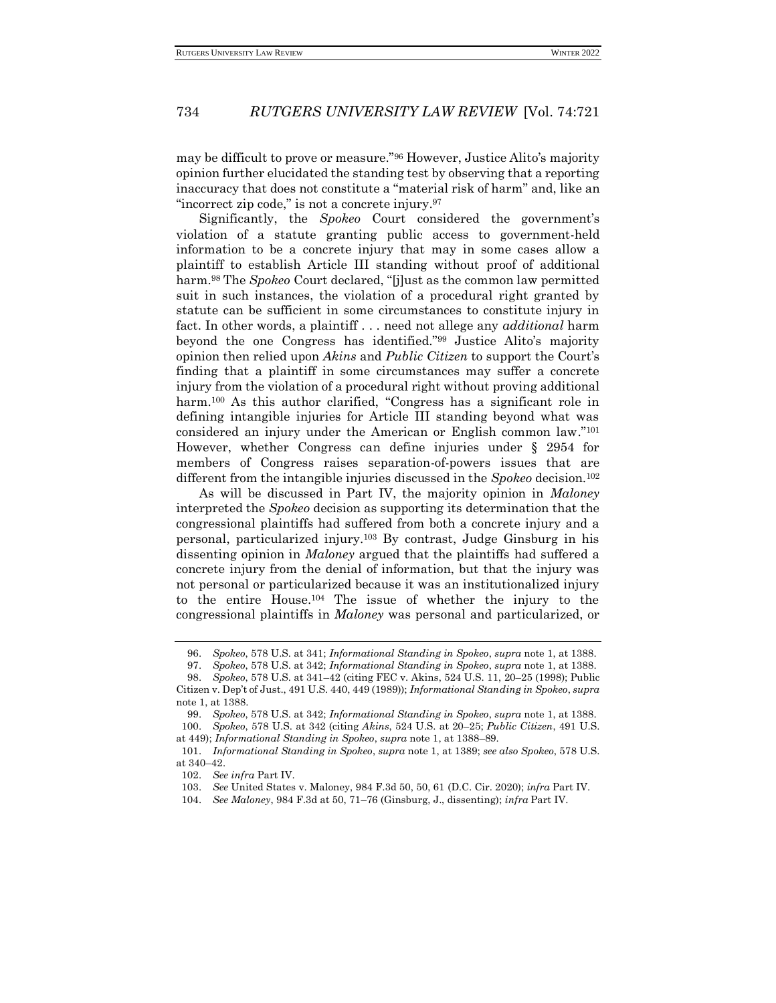may be difficult to prove or measure."<sup>96</sup> However, Justice Alito's majority opinion further elucidated the standing test by observing that a reporting inaccuracy that does not constitute a "material risk of harm" and, like an "incorrect zip code," is not a concrete injury.<sup>97</sup>

Significantly, the *Spokeo* Court considered the government's violation of a statute granting public access to government-held information to be a concrete injury that may in some cases allow a plaintiff to establish Article III standing without proof of additional harm.<sup>98</sup> The *Spokeo* Court declared, "[j]ust as the common law permitted suit in such instances, the violation of a procedural right granted by statute can be sufficient in some circumstances to constitute injury in fact. In other words, a plaintiff . . . need not allege any *additional* harm beyond the one Congress has identified."<sup>99</sup> Justice Alito's majority opinion then relied upon *Akins* and *Public Citizen* to support the Court's finding that a plaintiff in some circumstances may suffer a concrete injury from the violation of a procedural right without proving additional harm.<sup>100</sup> As this author clarified, "Congress has a significant role in defining intangible injuries for Article III standing beyond what was considered an injury under the American or English common law."<sup>101</sup> However, whether Congress can define injuries under § 2954 for members of Congress raises separation-of-powers issues that are different from the intangible injuries discussed in the *Spokeo* decision.<sup>102</sup>

As will be discussed in Part IV, the majority opinion in *Maloney* interpreted the *Spokeo* decision as supporting its determination that the congressional plaintiffs had suffered from both a concrete injury and a personal, particularized injury.<sup>103</sup> By contrast, Judge Ginsburg in his dissenting opinion in *Maloney* argued that the plaintiffs had suffered a concrete injury from the denial of information, but that the injury was not personal or particularized because it was an institutionalized injury to the entire House.<sup>104</sup> The issue of whether the injury to the congressional plaintiffs in *Maloney* was personal and particularized, or

<sup>96.</sup> *Spokeo*, 578 U.S. at 341; *Informational Standing in Spokeo*, *supra* note 1, at 1388.

<sup>97.</sup> *Spokeo*, 578 U.S. at 342; *Informational Standing in Spokeo*, *supra* note 1, at 1388.

<sup>98.</sup> *Spokeo*, 578 U.S. at 341–42 (citing FEC v. Akins, 524 U.S. 11, 20–25 (1998); Public Citizen v. Dep't of Just., 491 U.S. 440, 449 (1989)); *Informational Standing in Spokeo*, *supra* note 1, at 1388.

<sup>99.</sup> *Spokeo*, 578 U.S. at 342; *Informational Standing in Spokeo*, *supra* note 1, at 1388. 100. *Spokeo*, 578 U.S. at 342 (citing *Akins*, 524 U.S. at 20–25; *Public Citizen*, 491 U.S. at 449); *Informational Standing in Spokeo*, *supra* note 1, at 1388–89.

<sup>101.</sup> *Informational Standing in Spokeo*, *supra* note 1, at 1389; *see also Spokeo*, 578 U.S. at 340–42.

<sup>102.</sup> *See infra* Part IV.

<sup>103.</sup> *See* United States v. Maloney, 984 F.3d 50, 50, 61 (D.C. Cir. 2020); *infra* Part IV.

<sup>104.</sup> *See Maloney*, 984 F.3d at 50, 71–76 (Ginsburg, J., dissenting); *infra* Part IV.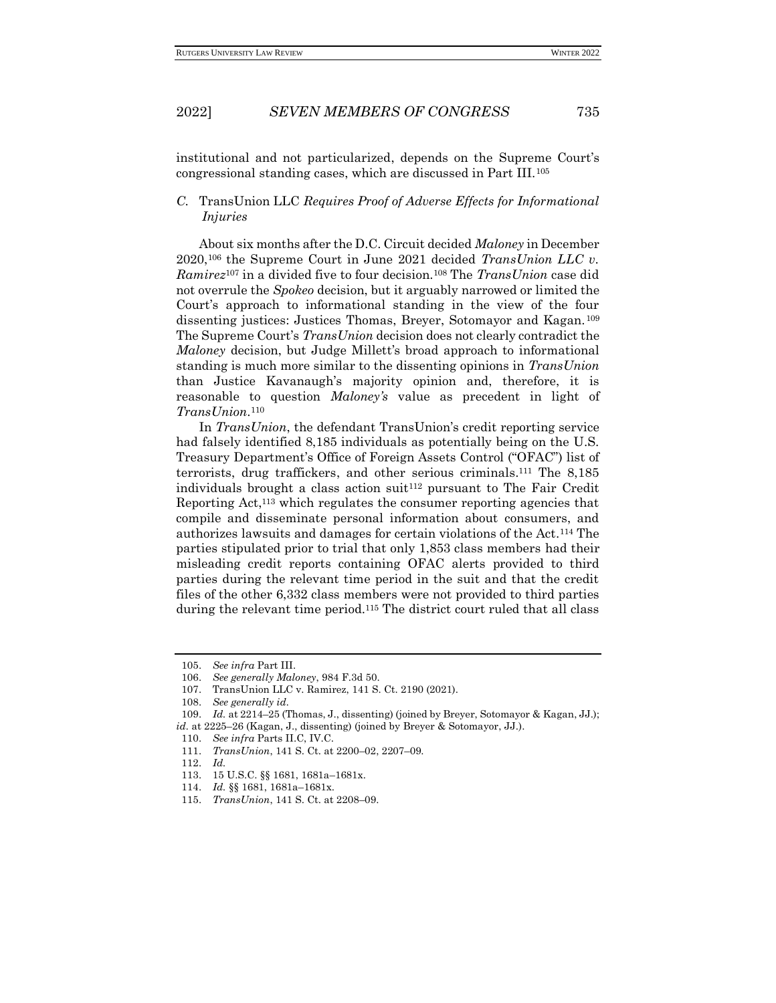institutional and not particularized, depends on the Supreme Court's congressional standing cases, which are discussed in Part III.<sup>105</sup>

## *C.* TransUnion LLC *Requires Proof of Adverse Effects for Informational Injuries*

About six months after the D.C. Circuit decided *Maloney* in December 2020,<sup>106</sup> the Supreme Court in June 2021 decided *TransUnion LLC v. Ramirez*<sup>107</sup> in a divided five to four decision.<sup>108</sup> The *TransUnion* case did not overrule the *Spokeo* decision, but it arguably narrowed or limited the Court's approach to informational standing in the view of the four dissenting justices: Justices Thomas, Breyer, Sotomayor and Kagan. <sup>109</sup> The Supreme Court's *TransUnion* decision does not clearly contradict the *Maloney* decision, but Judge Millett's broad approach to informational standing is much more similar to the dissenting opinions in *TransUnion*  than Justice Kavanaugh's majority opinion and, therefore, it is reasonable to question *Maloney's* value as precedent in light of *TransUnion*. 110

In *TransUnion*, the defendant TransUnion's credit reporting service had falsely identified 8,185 individuals as potentially being on the U.S. Treasury Department's Office of Foreign Assets Control ("OFAC") list of terrorists, drug traffickers, and other serious criminals.<sup>111</sup> The 8,185 individuals brought a class action suit<sup>112</sup> pursuant to The Fair Credit Reporting Act,<sup>113</sup> which regulates the consumer reporting agencies that compile and disseminate personal information about consumers, and authorizes lawsuits and damages for certain violations of the Act.<sup>114</sup> The parties stipulated prior to trial that only 1,853 class members had their misleading credit reports containing OFAC alerts provided to third parties during the relevant time period in the suit and that the credit files of the other 6,332 class members were not provided to third parties during the relevant time period.<sup>115</sup> The district court ruled that all class

<sup>105.</sup> *See infra* Part III.

<sup>106.</sup> *See generally Maloney*, 984 F.3d 50.

<sup>107.</sup> TransUnion LLC v. Ramirez, 141 S. Ct. 2190 (2021).

<sup>108.</sup> *See generally id.*

<sup>109.</sup> *Id.* at 2214–25 (Thomas, J., dissenting) (joined by Breyer, Sotomayor & Kagan, JJ.); *id.* at 2225–26 (Kagan, J., dissenting) (joined by Breyer & Sotomayor, JJ.).

<sup>110.</sup> *See infra* Parts II.C, IV.C.

<sup>111.</sup> *TransUnion*, 141 S. Ct. at 2200–02, 2207–09.

<sup>112.</sup> *Id.*

<sup>113.</sup> 15 U.S.C. §§ 1681, 1681a–1681x.

<sup>114.</sup> *Id.* §§ 1681, 1681a–1681x.

<sup>115.</sup> *TransUnion*, 141 S. Ct. at 2208–09.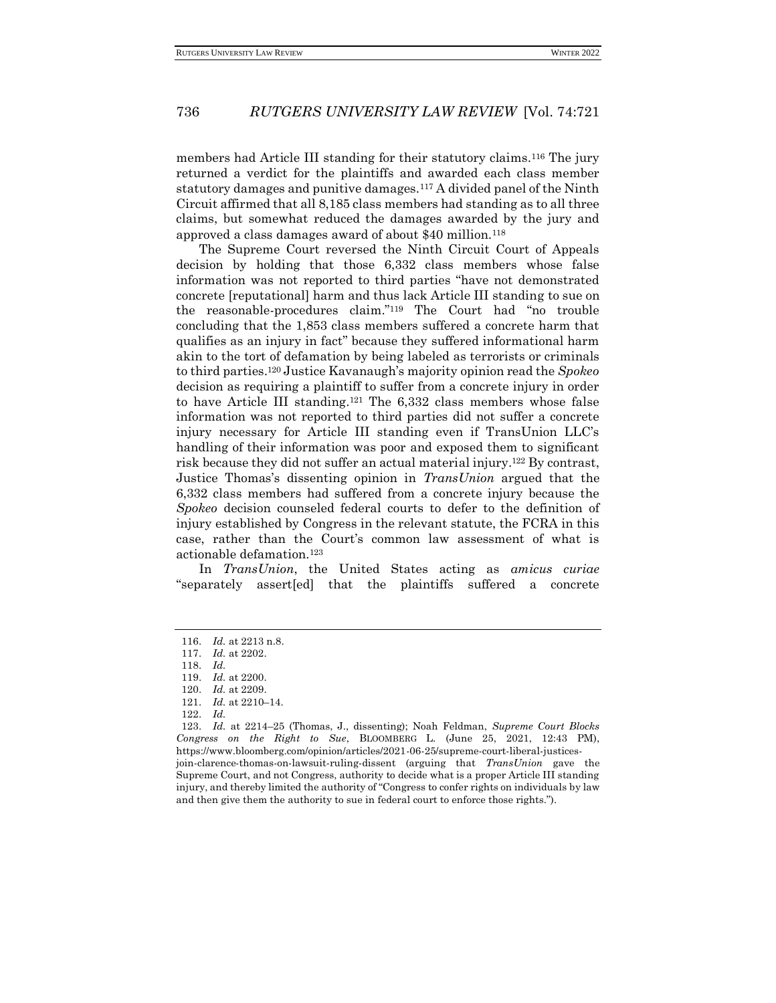members had Article III standing for their statutory claims.<sup>116</sup> The jury returned a verdict for the plaintiffs and awarded each class member statutory damages and punitive damages.<sup>117</sup> A divided panel of the Ninth Circuit affirmed that all 8,185 class members had standing as to all three claims, but somewhat reduced the damages awarded by the jury and approved a class damages award of about \$40 million.<sup>118</sup>

The Supreme Court reversed the Ninth Circuit Court of Appeals decision by holding that those 6,332 class members whose false information was not reported to third parties "have not demonstrated concrete [reputational] harm and thus lack Article III standing to sue on the reasonable-procedures claim."<sup>119</sup> The Court had "no trouble concluding that the 1,853 class members suffered a concrete harm that qualifies as an injury in fact" because they suffered informational harm akin to the tort of defamation by being labeled as terrorists or criminals to third parties.<sup>120</sup> Justice Kavanaugh's majority opinion read the *Spokeo* decision as requiring a plaintiff to suffer from a concrete injury in order to have Article III standing.<sup>121</sup> The 6,332 class members whose false information was not reported to third parties did not suffer a concrete injury necessary for Article III standing even if TransUnion LLC's handling of their information was poor and exposed them to significant risk because they did not suffer an actual material injury.<sup>122</sup> By contrast, Justice Thomas's dissenting opinion in *TransUnion* argued that the 6,332 class members had suffered from a concrete injury because the *Spokeo* decision counseled federal courts to defer to the definition of injury established by Congress in the relevant statute, the FCRA in this case, rather than the Court's common law assessment of what is actionable defamation.<sup>123</sup>

In *TransUnion*, the United States acting as *amicus curiae* "separately assert[ed] that the plaintiffs suffered a concrete

<sup>116.</sup> *Id.* at 2213 n.8.

<sup>117.</sup> *Id.* at 2202.

<sup>118.</sup> *Id.*

<sup>119.</sup> *Id.* at 2200.

<sup>120.</sup> *Id.* at 2209.

<sup>121.</sup> *Id.* at 2210–14.

<sup>122.</sup> *Id.*

<sup>123.</sup> *Id.* at 2214–25 (Thomas, J., dissenting); Noah Feldman, *Supreme Court Blocks Congress on the Right to Sue*, BLOOMBERG L. (June 25, 2021, 12:43 PM), https://www.bloomberg.com/opinion/articles/2021-06-25/supreme-court-liberal-justicesjoin-clarence-thomas-on-lawsuit-ruling-dissent (arguing that *TransUnion* gave the Supreme Court, and not Congress, authority to decide what is a proper Article III standing injury, and thereby limited the authority of "Congress to confer rights on individuals by law and then give them the authority to sue in federal court to enforce those rights.").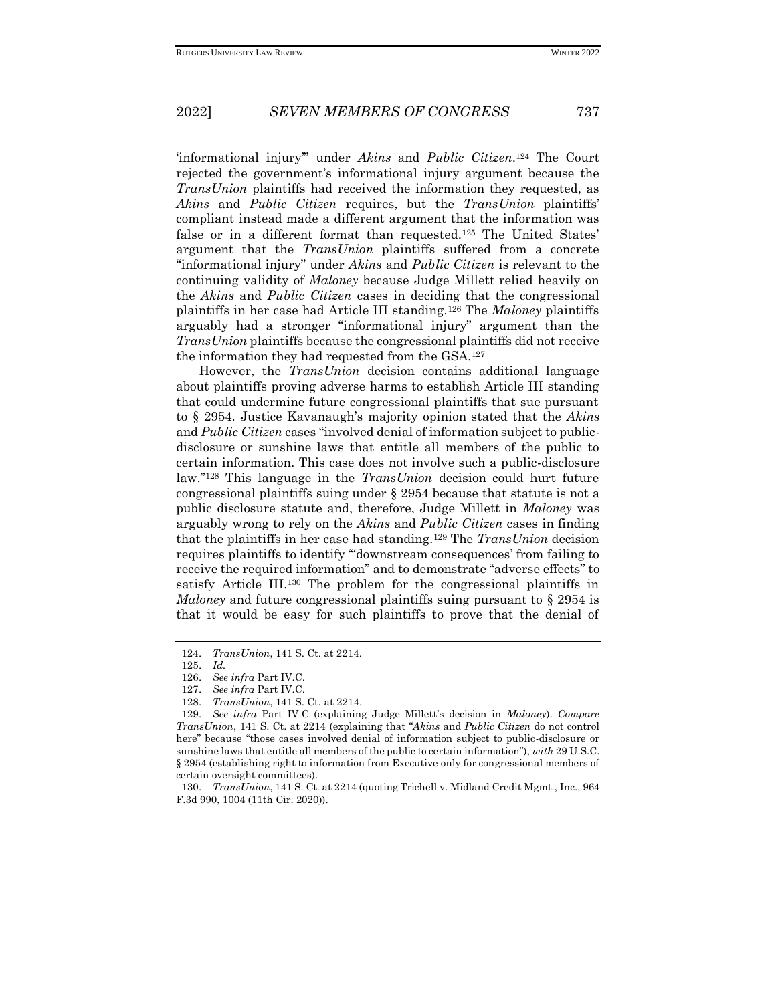'informational injury'" under *Akins* and *Public Citizen*. <sup>124</sup> The Court rejected the government's informational injury argument because the *TransUnion* plaintiffs had received the information they requested, as *Akins* and *Public Citizen* requires, but the *TransUnion* plaintiffs' compliant instead made a different argument that the information was false or in a different format than requested.<sup>125</sup> The United States' argument that the *TransUnion* plaintiffs suffered from a concrete "informational injury" under *Akins* and *Public Citizen* is relevant to the continuing validity of *Maloney* because Judge Millett relied heavily on the *Akins* and *Public Citizen* cases in deciding that the congressional plaintiffs in her case had Article III standing.<sup>126</sup> The *Maloney* plaintiffs arguably had a stronger "informational injury" argument than the *TransUnion* plaintiffs because the congressional plaintiffs did not receive the information they had requested from the GSA.<sup>127</sup>

However, the *TransUnion* decision contains additional language about plaintiffs proving adverse harms to establish Article III standing that could undermine future congressional plaintiffs that sue pursuant to § 2954. Justice Kavanaugh's majority opinion stated that the *Akins* and *Public Citizen* cases "involved denial of information subject to publicdisclosure or sunshine laws that entitle all members of the public to certain information. This case does not involve such a public-disclosure law."<sup>128</sup> This language in the *TransUnion* decision could hurt future congressional plaintiffs suing under § 2954 because that statute is not a public disclosure statute and, therefore, Judge Millett in *Maloney* was arguably wrong to rely on the *Akins* and *Public Citizen* cases in finding that the plaintiffs in her case had standing.<sup>129</sup> The *TransUnion* decision requires plaintiffs to identify '"downstream consequences' from failing to receive the required information" and to demonstrate "adverse effects" to satisfy Article III.<sup>130</sup> The problem for the congressional plaintiffs in *Maloney* and future congressional plaintiffs suing pursuant to § 2954 is that it would be easy for such plaintiffs to prove that the denial of

<sup>124.</sup> *TransUnion*, 141 S. Ct. at 2214.

<sup>125.</sup> *Id.*

<sup>126.</sup> *See infra* Part IV.C.

<sup>127.</sup> *See infra* Part IV.C.

<sup>128.</sup> *TransUnion*, 141 S. Ct. at 2214.

<sup>129.</sup> *See infra* Part IV.C (explaining Judge Millett's decision in *Maloney*). *Compare TransUnion*, 141 S. Ct. at 2214 (explaining that "*Akins* and *Public Citizen* do not control here" because "those cases involved denial of information subject to public-disclosure or sunshine laws that entitle all members of the public to certain information"), *with* 29 U.S.C. § 2954 (establishing right to information from Executive only for congressional members of certain oversight committees).

<sup>130.</sup> *TransUnion*, 141 S. Ct*.* at 2214 (quoting Trichell v. Midland Credit Mgmt., Inc., 964 F.3d 990, 1004 (11th Cir. 2020)).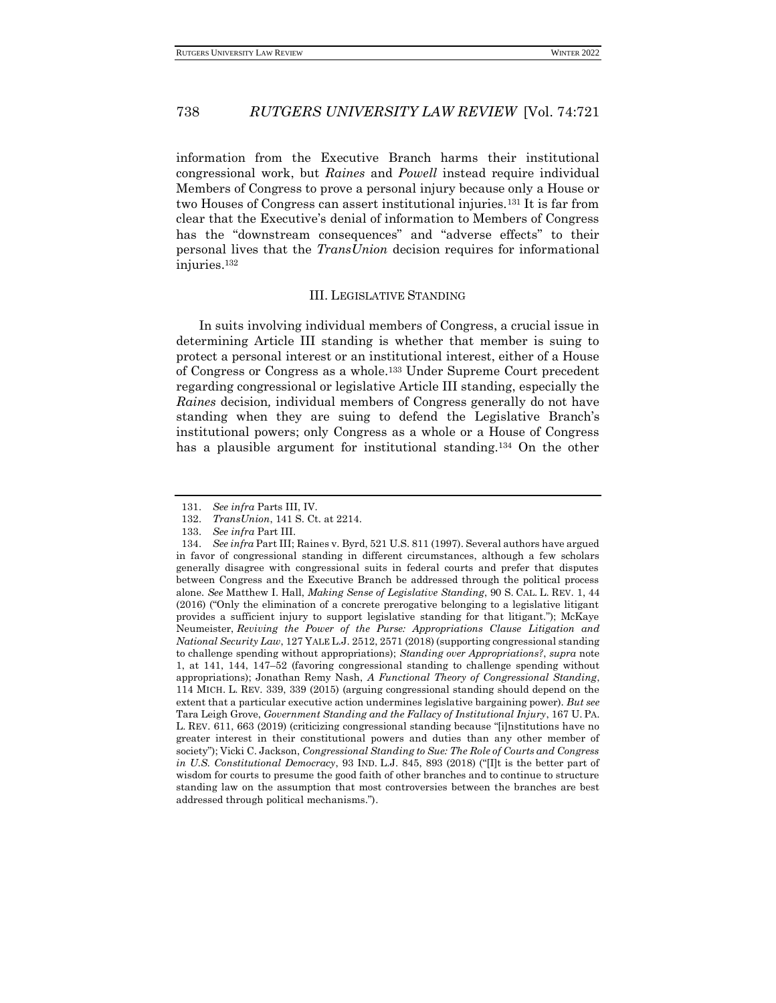information from the Executive Branch harms their institutional congressional work, but *Raines* and *Powell* instead require individual Members of Congress to prove a personal injury because only a House or two Houses of Congress can assert institutional injuries.<sup>131</sup> It is far from clear that the Executive's denial of information to Members of Congress has the "downstream consequences" and "adverse effects" to their personal lives that the *TransUnion* decision requires for informational injuries.<sup>132</sup>

#### III. LEGISLATIVE STANDING

In suits involving individual members of Congress, a crucial issue in determining Article III standing is whether that member is suing to protect a personal interest or an institutional interest, either of a House of Congress or Congress as a whole.<sup>133</sup> Under Supreme Court precedent regarding congressional or legislative Article III standing, especially the *Raines* decision*,* individual members of Congress generally do not have standing when they are suing to defend the Legislative Branch's institutional powers; only Congress as a whole or a House of Congress has a plausible argument for institutional standing.<sup>134</sup> On the other

<sup>131.</sup> *See infra* Parts III, IV.

<sup>132.</sup> *TransUnion*, 141 S. Ct. at 2214.

<sup>133.</sup> *See infra* Part III.

<sup>134.</sup> *See infra* Part III; Raines v. Byrd, 521 U.S. 811 (1997). Several authors have argued in favor of congressional standing in different circumstances, although a few scholars generally disagree with congressional suits in federal courts and prefer that disputes between Congress and the Executive Branch be addressed through the political process alone. *See* Matthew I. Hall, *Making Sense of Legislative Standing*, 90 S. CAL. L. REV. 1, 44 (2016) ("Only the elimination of a concrete prerogative belonging to a legislative litigant provides a sufficient injury to support legislative standing for that litigant."); McKaye Neumeister, *Reviving the Power of the Purse: Appropriations Clause Litigation and National Security Law*, 127 YALE L.J. 2512, 2571 (2018) (supporting congressional standing to challenge spending without appropriations); *Standing over Appropriations?*, *supra* note 1, at 141, 144, 147–52 (favoring congressional standing to challenge spending without appropriations); Jonathan Remy Nash, *A Functional Theory of Congressional Standing*, 114 MICH. L. REV. 339, 339 (2015) (arguing congressional standing should depend on the extent that a particular executive action undermines legislative bargaining power). *But see* Tara Leigh Grove, *Government Standing and the Fallacy of Institutional Injury*, 167 U. PA. L. REV. 611, 663 (2019) (criticizing congressional standing because "[i]nstitutions have no greater interest in their constitutional powers and duties than any other member of society"); Vicki C. Jackson, *Congressional Standing to Sue: The Role of Courts and Congress in U.S. Constitutional Democracy*, 93 IND. L.J. 845, 893 (2018) ("Ilt is the better part of wisdom for courts to presume the good faith of other branches and to continue to structure standing law on the assumption that most controversies between the branches are best addressed through political mechanisms.").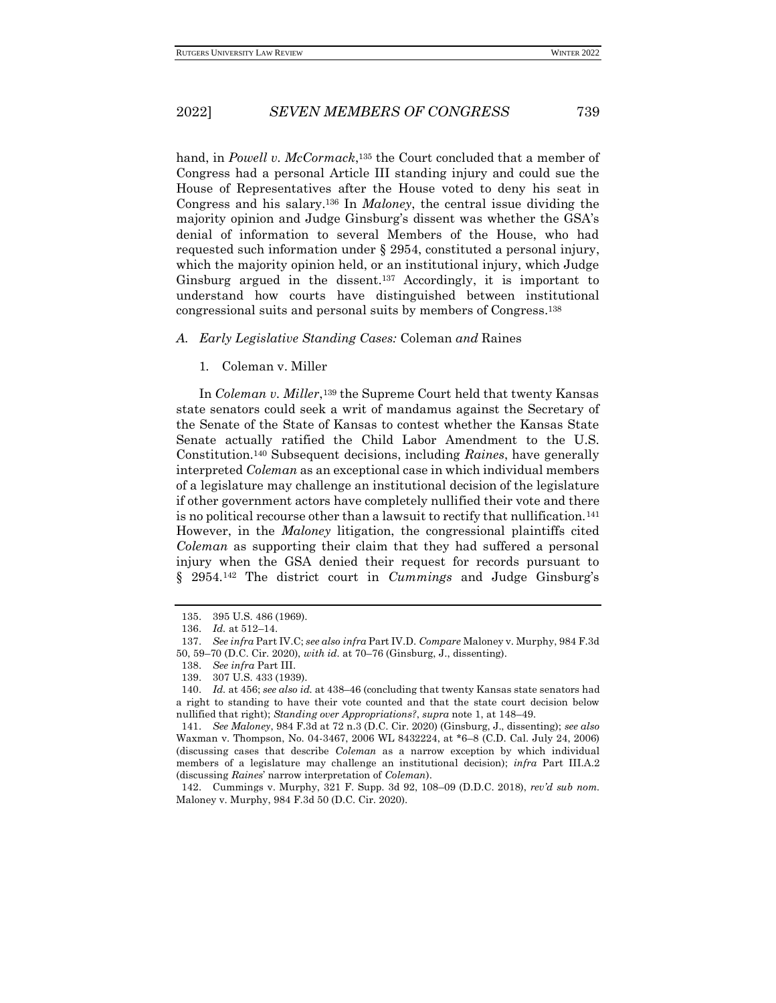hand, in *Powell v. McCormack*, <sup>135</sup> the Court concluded that a member of Congress had a personal Article III standing injury and could sue the House of Representatives after the House voted to deny his seat in Congress and his salary.<sup>136</sup> In *Maloney*, the central issue dividing the majority opinion and Judge Ginsburg's dissent was whether the GSA's denial of information to several Members of the House, who had requested such information under § 2954, constituted a personal injury, which the majority opinion held, or an institutional injury, which Judge Ginsburg argued in the dissent.<sup>137</sup> Accordingly, it is important to understand how courts have distinguished between institutional congressional suits and personal suits by members of Congress.<sup>138</sup>

#### *A. Early Legislative Standing Cases:* Coleman *and* Raines

1*.* Coleman v. Miller

In *Coleman v. Miller*, <sup>139</sup> the Supreme Court held that twenty Kansas state senators could seek a writ of mandamus against the Secretary of the Senate of the State of Kansas to contest whether the Kansas State Senate actually ratified the Child Labor Amendment to the U.S. Constitution.<sup>140</sup> Subsequent decisions, including *Raines*, have generally interpreted *Coleman* as an exceptional case in which individual members of a legislature may challenge an institutional decision of the legislature if other government actors have completely nullified their vote and there is no political recourse other than a lawsuit to rectify that nullification.<sup>141</sup> However, in the *Maloney* litigation, the congressional plaintiffs cited *Coleman* as supporting their claim that they had suffered a personal injury when the GSA denied their request for records pursuant to § 2954.<sup>142</sup> The district court in *Cummings* and Judge Ginsburg's

142. Cummings v. Murphy, 321 F. Supp. 3d 92, 108–09 (D.D.C. 2018), *rev'd sub nom.*  Maloney v. Murphy, 984 F.3d 50 (D.C. Cir. 2020).

<sup>135.</sup> 395 U.S. 486 (1969).

<sup>136.</sup> *Id.* at 512–14.

<sup>137.</sup> *See infra* Part IV.C; *see also infra* Part IV.D. *Compare* Maloney v. Murphy, 984 F.3d 50, 59–70 (D.C. Cir. 2020), *with id.* at 70–76 (Ginsburg, J., dissenting).

<sup>138.</sup> *See infra* Part III.

<sup>139.</sup> 307 U.S. 433 (1939).

<sup>140.</sup> *Id.* at 456; *see also id.* at 438–46 (concluding that twenty Kansas state senators had a right to standing to have their vote counted and that the state court decision below nullified that right); *Standing over Appropriations?*, *supra* note 1, at 148–49.

<sup>141.</sup> *See Maloney*, 984 F.3d at 72 n.3 (D.C. Cir. 2020) (Ginsburg, J., dissenting); *see also* Waxman v. Thompson, No. 04-3467, 2006 WL 8432224, at \*6–8 (C.D. Cal. July 24, 2006) (discussing cases that describe *Coleman* as a narrow exception by which individual members of a legislature may challenge an institutional decision); *infra* Part III.A.2 (discussing *Raines*' narrow interpretation of *Coleman*).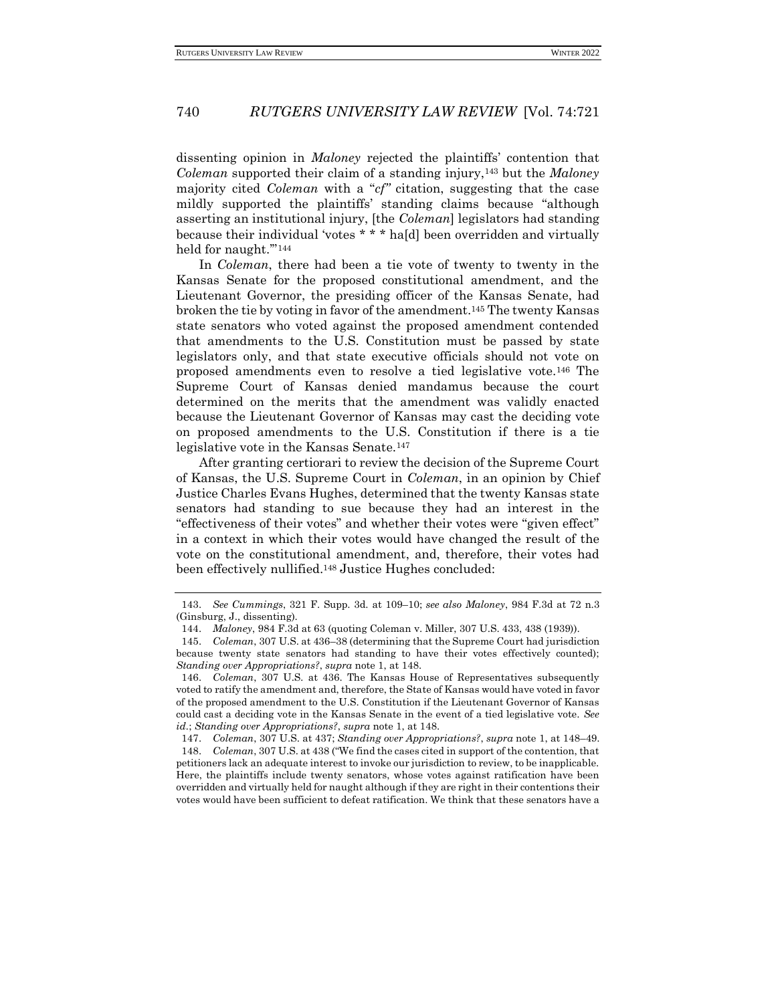dissenting opinion in *Maloney* rejected the plaintiffs' contention that *Coleman* supported their claim of a standing injury,<sup>143</sup> but the *Maloney*  majority cited *Coleman* with a "*cf"* citation, suggesting that the case mildly supported the plaintiffs' standing claims because "although asserting an institutional injury, [the *Coleman*] legislators had standing because their individual 'votes \* \* \* ha[d] been overridden and virtually held for naught.'"<sup>144</sup>

In *Coleman*, there had been a tie vote of twenty to twenty in the Kansas Senate for the proposed constitutional amendment, and the Lieutenant Governor, the presiding officer of the Kansas Senate, had broken the tie by voting in favor of the amendment.<sup>145</sup> The twenty Kansas state senators who voted against the proposed amendment contended that amendments to the U.S. Constitution must be passed by state legislators only, and that state executive officials should not vote on proposed amendments even to resolve a tied legislative vote.<sup>146</sup> The Supreme Court of Kansas denied mandamus because the court determined on the merits that the amendment was validly enacted because the Lieutenant Governor of Kansas may cast the deciding vote on proposed amendments to the U.S. Constitution if there is a tie legislative vote in the Kansas Senate.<sup>147</sup>

After granting certiorari to review the decision of the Supreme Court of Kansas, the U.S. Supreme Court in *Coleman*, in an opinion by Chief Justice Charles Evans Hughes, determined that the twenty Kansas state senators had standing to sue because they had an interest in the "effectiveness of their votes" and whether their votes were "given effect" in a context in which their votes would have changed the result of the vote on the constitutional amendment, and, therefore, their votes had been effectively nullified.<sup>148</sup> Justice Hughes concluded:

<sup>143.</sup> *See Cummings*, 321 F. Supp. 3d. at 109–10; *see also Maloney*, 984 F.3d at 72 n.3 (Ginsburg, J., dissenting).

<sup>144.</sup> *Maloney*, 984 F.3d at 63 (quoting Coleman v. Miller, 307 U.S. 433, 438 (1939)).

<sup>145.</sup> *Coleman*, 307 U.S. at 436–38 (determining that the Supreme Court had jurisdiction because twenty state senators had standing to have their votes effectively counted); *Standing over Appropriations?*, *supra* note 1, at 148.

<sup>146.</sup> *Coleman*, 307 U.S*.* at 436. The Kansas House of Representatives subsequently voted to ratify the amendment and, therefore, the State of Kansas would have voted in favor of the proposed amendment to the U.S. Constitution if the Lieutenant Governor of Kansas could cast a deciding vote in the Kansas Senate in the event of a tied legislative vote. *See id.*; *Standing over Appropriations?*, *supra* note 1, at 148.

<sup>147.</sup> *Coleman*, 307 U.S. at 437; *Standing over Appropriations?*, *supra* note 1, at 148–49. 148. *Coleman*, 307 U.S. at 438 ("We find the cases cited in support of the contention, that petitioners lack an adequate interest to invoke our jurisdiction to review, to be inapplicable. Here, the plaintiffs include twenty senators, whose votes against ratification have been overridden and virtually held for naught although if they are right in their contentions their votes would have been sufficient to defeat ratification. We think that these senators have a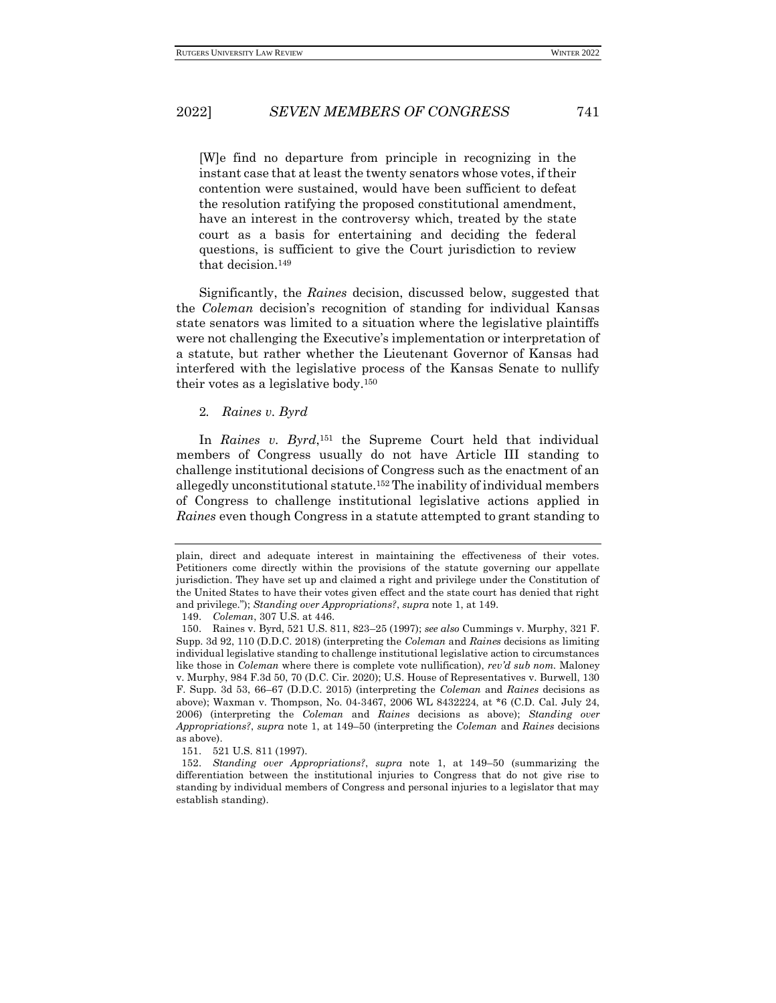[W]e find no departure from principle in recognizing in the instant case that at least the twenty senators whose votes, if their contention were sustained, would have been sufficient to defeat the resolution ratifying the proposed constitutional amendment, have an interest in the controversy which, treated by the state court as a basis for entertaining and deciding the federal questions, is sufficient to give the Court jurisdiction to review that decision.<sup>149</sup>

Significantly, the *Raines* decision, discussed below, suggested that the *Coleman* decision's recognition of standing for individual Kansas state senators was limited to a situation where the legislative plaintiffs were not challenging the Executive's implementation or interpretation of a statute, but rather whether the Lieutenant Governor of Kansas had interfered with the legislative process of the Kansas Senate to nullify their votes as a legislative body.<sup>150</sup>

### 2*. Raines v. Byrd*

In *Raines v. Byrd*,<sup>151</sup> the Supreme Court held that individual members of Congress usually do not have Article III standing to challenge institutional decisions of Congress such as the enactment of an allegedly unconstitutional statute.<sup>152</sup> The inability of individual members of Congress to challenge institutional legislative actions applied in *Raines* even though Congress in a statute attempted to grant standing to

149. *Coleman*, 307 U.S. at 446.

151. 521 U.S. 811 (1997).

plain, direct and adequate interest in maintaining the effectiveness of their votes. Petitioners come directly within the provisions of the statute governing our appellate jurisdiction. They have set up and claimed a right and privilege under the Constitution of the United States to have their votes given effect and the state court has denied that right and privilege."); *Standing over Appropriations?*, *supra* note 1, at 149.

<sup>150.</sup> Raines v. Byrd, 521 U.S. 811, 823–25 (1997); *see also* Cummings v. Murphy, 321 F. Supp. 3d 92, 110 (D.D.C. 2018) (interpreting the *Coleman* and *Raines* decisions as limiting individual legislative standing to challenge institutional legislative action to circumstances like those in *Coleman* where there is complete vote nullification), *rev'd sub nom.* Maloney v. Murphy, 984 F.3d 50, 70 (D.C. Cir. 2020); U.S. House of Representatives v. Burwell, 130 F. Supp. 3d 53, 66–67 (D.D.C. 2015) (interpreting the *Coleman* and *Raines* decisions as above); Waxman v. Thompson, No. 04-3467, 2006 WL 8432224, at \*6 (C.D. Cal. July 24, 2006) (interpreting the *Coleman* and *Raines* decisions as above); *Standing over Appropriations?*, *supra* note 1, at 149–50 (interpreting the *Coleman* and *Raines* decisions as above).

<sup>152.</sup> *Standing over Appropriations?*, *supra* note 1, at 149–50 (summarizing the differentiation between the institutional injuries to Congress that do not give rise to standing by individual members of Congress and personal injuries to a legislator that may establish standing).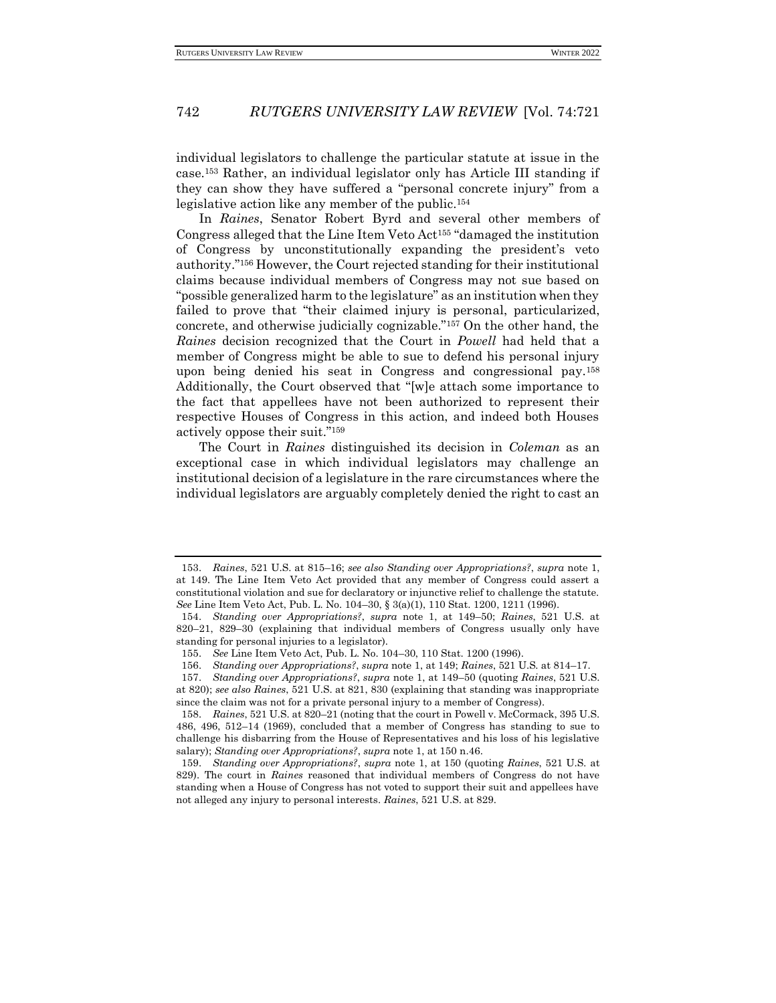individual legislators to challenge the particular statute at issue in the case.<sup>153</sup> Rather, an individual legislator only has Article III standing if they can show they have suffered a "personal concrete injury" from a legislative action like any member of the public.<sup>154</sup>

In *Raines*, Senator Robert Byrd and several other members of Congress alleged that the Line Item Veto Act<sup>155</sup> "damaged the institution of Congress by unconstitutionally expanding the president's veto authority."<sup>156</sup> However, the Court rejected standing for their institutional claims because individual members of Congress may not sue based on "possible generalized harm to the legislature" as an institution when they failed to prove that "their claimed injury is personal, particularized, concrete, and otherwise judicially cognizable."<sup>157</sup> On the other hand, the *Raines* decision recognized that the Court in *Powell* had held that a member of Congress might be able to sue to defend his personal injury upon being denied his seat in Congress and congressional pay.<sup>158</sup> Additionally, the Court observed that "[w]e attach some importance to the fact that appellees have not been authorized to represent their respective Houses of Congress in this action, and indeed both Houses actively oppose their suit."<sup>159</sup>

The Court in *Raines* distinguished its decision in *Coleman* as an exceptional case in which individual legislators may challenge an institutional decision of a legislature in the rare circumstances where the individual legislators are arguably completely denied the right to cast an

<sup>153.</sup> *Raines*, 521 U.S. at 815–16; *see also Standing over Appropriations?*, *supra* note 1, at 149. The Line Item Veto Act provided that any member of Congress could assert a constitutional violation and sue for declaratory or injunctive relief to challenge the statute. *See* Line Item Veto Act, Pub. L. No. 104–30, § 3(a)(1), 110 Stat. 1200, 1211 (1996).

<sup>154.</sup> *Standing over Appropriations?*, *supra* note 1, at 149–50; *Raines*, 521 U.S. at 820–21, 829–30 (explaining that individual members of Congress usually only have standing for personal injuries to a legislator).

<sup>155.</sup> *See* Line Item Veto Act, Pub. L. No. 104–30, 110 Stat. 1200 (1996).

<sup>156.</sup> *Standing over Appropriations?*, *supra* note 1, at 149; *Raines*, 521 U.S. at 814–17.

<sup>157.</sup> *Standing over Appropriations?*, *supra* note 1, at 149–50 (quoting *Raines*, 521 U.S. at 820); *see also Raines*, 521 U.S. at 821, 830 (explaining that standing was inappropriate since the claim was not for a private personal injury to a member of Congress).

<sup>158.</sup> *Raines*, 521 U.S. at 820–21 (noting that the court in Powell v. McCormack, 395 U.S. 486, 496, 512–14 (1969), concluded that a member of Congress has standing to sue to challenge his disbarring from the House of Representatives and his loss of his legislative salary); *Standing over Appropriations?*, *supra* note 1, at 150 n.46.

<sup>159.</sup> *Standing over Appropriations?*, *supra* note 1, at 150 (quoting *Raines*, 521 U.S*.* at 829). The court in *Raines* reasoned that individual members of Congress do not have standing when a House of Congress has not voted to support their suit and appellees have not alleged any injury to personal interests. *Raines*, 521 U.S. at 829.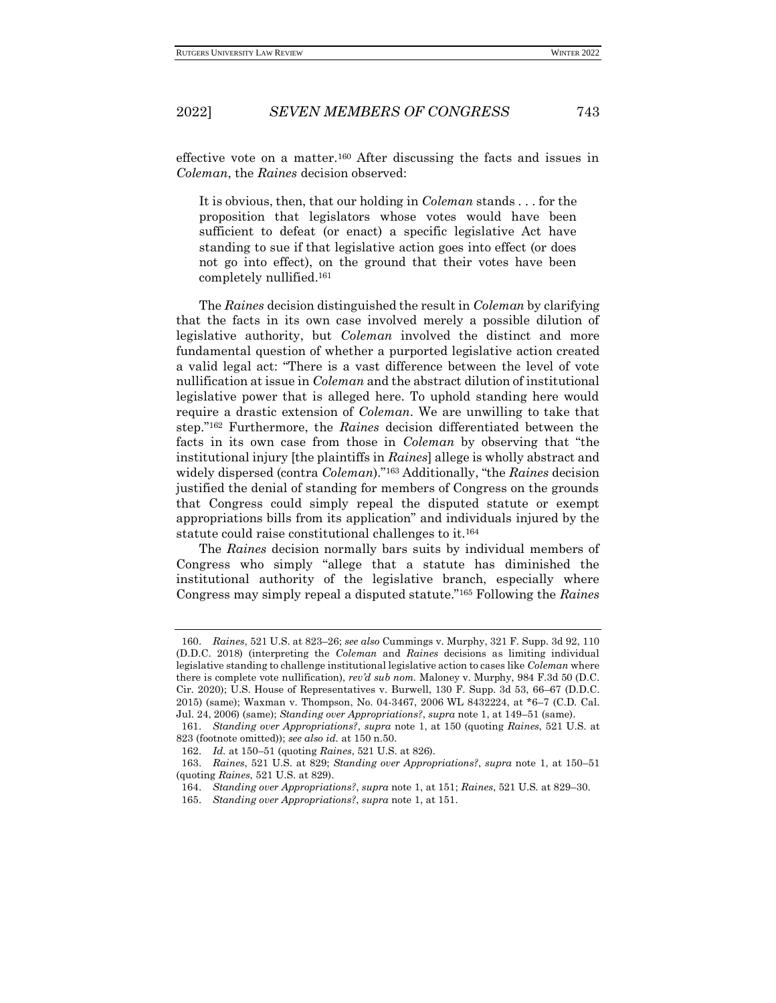effective vote on a matter.<sup>160</sup> After discussing the facts and issues in *Coleman*, the *Raines* decision observed:

It is obvious, then, that our holding in *Coleman* stands . . . for the proposition that legislators whose votes would have been sufficient to defeat (or enact) a specific legislative Act have standing to sue if that legislative action goes into effect (or does not go into effect), on the ground that their votes have been completely nullified.<sup>161</sup>

The *Raines* decision distinguished the result in *Coleman* by clarifying that the facts in its own case involved merely a possible dilution of legislative authority, but *Coleman* involved the distinct and more fundamental question of whether a purported legislative action created a valid legal act: "There is a vast difference between the level of vote nullification at issue in *Coleman* and the abstract dilution of institutional legislative power that is alleged here. To uphold standing here would require a drastic extension of *Coleman*. We are unwilling to take that step."<sup>162</sup> Furthermore, the *Raines* decision differentiated between the facts in its own case from those in *Coleman* by observing that "the institutional injury [the plaintiffs in *Raines*] allege is wholly abstract and widely dispersed (contra *Coleman*)."<sup>163</sup> Additionally, "the *Raines* decision justified the denial of standing for members of Congress on the grounds that Congress could simply repeal the disputed statute or exempt appropriations bills from its application" and individuals injured by the statute could raise constitutional challenges to it.<sup>164</sup>

The *Raines* decision normally bars suits by individual members of Congress who simply "allege that a statute has diminished the institutional authority of the legislative branch, especially where Congress may simply repeal a disputed statute."<sup>165</sup> Following the *Raines*

<sup>160.</sup> *Raines*, 521 U.S. at 823–26; *see also* Cummings v. Murphy, 321 F. Supp. 3d 92, 110 (D.D.C. 2018) (interpreting the *Coleman* and *Raines* decisions as limiting individual legislative standing to challenge institutional legislative action to cases like *Coleman* where there is complete vote nullification), *rev'd sub nom.* Maloney v. Murphy, 984 F.3d 50 (D.C. Cir. 2020); U.S. House of Representatives v. Burwell, 130 F. Supp. 3d 53, 66–67 (D.D.C. 2015) (same); Waxman v. Thompson, No. 04-3467, 2006 WL 8432224, at \*6–7 (C.D. Cal. Jul. 24, 2006) (same); *Standing over Appropriations?*, *supra* note 1, at 149–51 (same).

<sup>161.</sup> *Standing over Appropriations?*, *supra* note 1, at 150 (quoting *Raines*, 521 U.S. at 823 (footnote omitted)); *see also id.* at 150 n.50.

<sup>162.</sup> *Id.* at 150–51 (quoting *Raines*, 521 U.S. at 826).

<sup>163.</sup> *Raines*, 521 U.S. at 829; *Standing over Appropriations?*, *supra* note 1, at 150–51 (quoting *Raines*, 521 U.S. at 829).

<sup>164.</sup> *Standing over Appropriations?*, *supra* note 1, at 151; *Raines*, 521 U.S. at 829–30.

<sup>165.</sup> *Standing over Appropriations?*, *supra* note 1, at 151.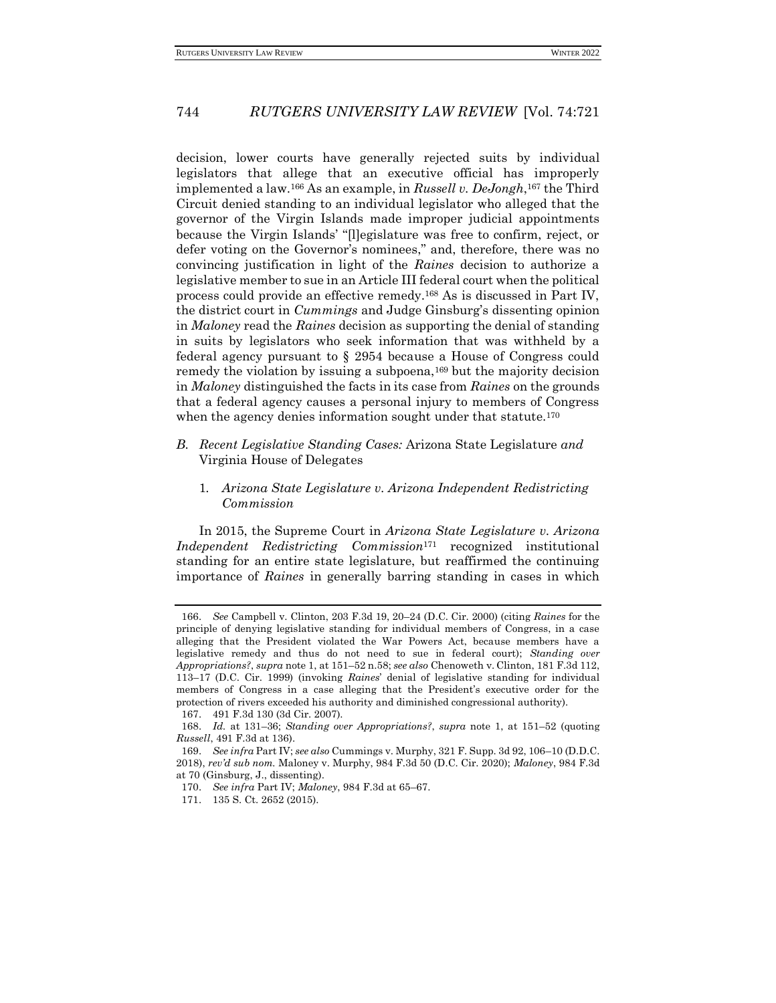decision, lower courts have generally rejected suits by individual legislators that allege that an executive official has improperly implemented a law.<sup>166</sup> As an example, in *Russell v. DeJongh*, <sup>167</sup> the Third Circuit denied standing to an individual legislator who alleged that the governor of the Virgin Islands made improper judicial appointments because the Virgin Islands' "[l]egislature was free to confirm, reject, or defer voting on the Governor's nominees," and, therefore, there was no convincing justification in light of the *Raines* decision to authorize a legislative member to sue in an Article III federal court when the political process could provide an effective remedy.<sup>168</sup> As is discussed in Part IV, the district court in *Cummings* and Judge Ginsburg's dissenting opinion in *Maloney* read the *Raines* decision as supporting the denial of standing in suits by legislators who seek information that was withheld by a federal agency pursuant to § 2954 because a House of Congress could remedy the violation by issuing a subpoena,<sup>169</sup> but the majority decision in *Maloney* distinguished the facts in its case from *Raines* on the grounds that a federal agency causes a personal injury to members of Congress when the agency denies information sought under that statute.<sup>170</sup>

- *B. Recent Legislative Standing Cases:* Arizona State Legislature *and* Virginia House of Delegates
	- 1*. Arizona State Legislature v. Arizona Independent Redistricting Commission*

In 2015, the Supreme Court in *Arizona State Legislature v. Arizona Independent Redistricting Commission*<sup>171</sup> recognized institutional standing for an entire state legislature, but reaffirmed the continuing importance of *Raines* in generally barring standing in cases in which

<sup>166.</sup> *See* Campbell v. Clinton, 203 F.3d 19, 20–24 (D.C. Cir. 2000) (citing *Raines* for the principle of denying legislative standing for individual members of Congress, in a case alleging that the President violated the War Powers Act, because members have a legislative remedy and thus do not need to sue in federal court); *Standing over Appropriations?*, *supra* note 1, at 151–52 n.58; *see also* Chenoweth v. Clinton, 181 F.3d 112, 113–17 (D.C. Cir. 1999) (invoking *Raines*' denial of legislative standing for individual members of Congress in a case alleging that the President's executive order for the protection of rivers exceeded his authority and diminished congressional authority).

<sup>167.</sup> 491 F.3d 130 (3d Cir. 2007).

<sup>168.</sup> *Id.* at 131–36; *Standing over Appropriations?*, *supra* note 1, at 151–52 (quoting *Russell*, 491 F.3d at 136).

<sup>169.</sup> *See infra* Part IV; *see also* Cummings v. Murphy, 321 F. Supp. 3d 92, 106–10 (D.D.C. 2018), *rev'd sub nom.* Maloney v. Murphy, 984 F.3d 50 (D.C. Cir. 2020); *Maloney*, 984 F.3d at 70 (Ginsburg, J., dissenting).

<sup>170.</sup> *See infra* Part IV; *Maloney*, 984 F.3d at 65–67.

<sup>171.</sup> 135 S. Ct. 2652 (2015).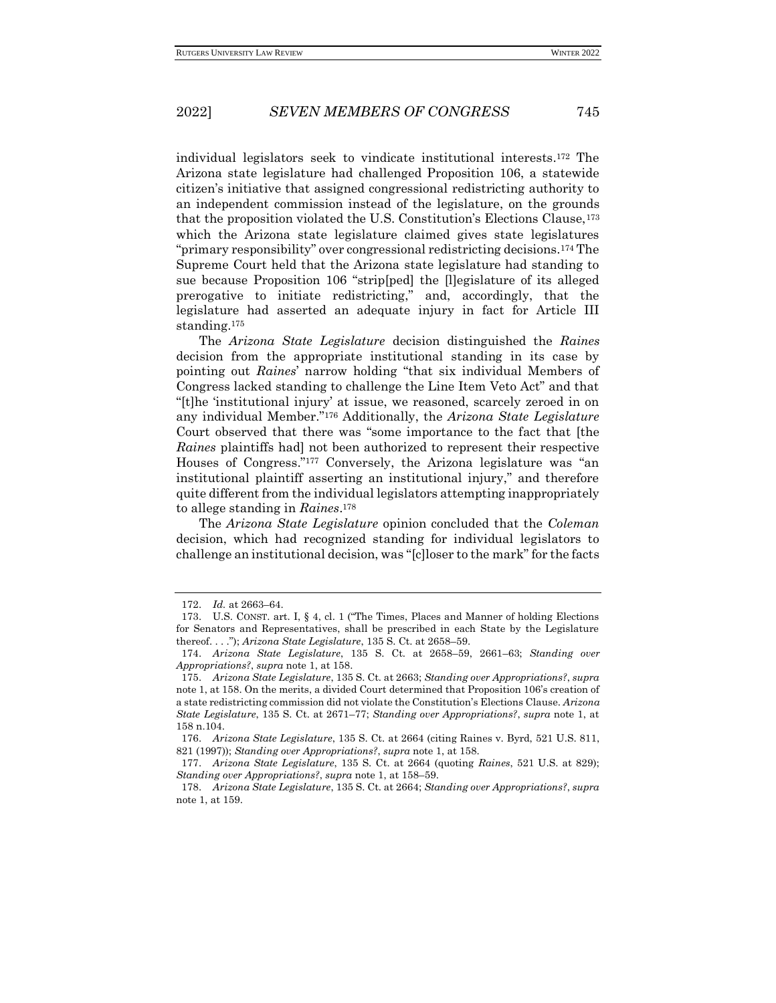individual legislators seek to vindicate institutional interests*.* <sup>172</sup> The Arizona state legislature had challenged Proposition 106, a statewide citizen's initiative that assigned congressional redistricting authority to an independent commission instead of the legislature, on the grounds that the proposition violated the U.S. Constitution's Elections Clause,<sup>173</sup> which the Arizona state legislature claimed gives state legislatures "primary responsibility" over congressional redistricting decisions.<sup>174</sup> The Supreme Court held that the Arizona state legislature had standing to sue because Proposition 106 "strip[ped] the [l]egislature of its alleged prerogative to initiate redistricting," and, accordingly, that the legislature had asserted an adequate injury in fact for Article III standing.<sup>175</sup>

The *Arizona State Legislature* decision distinguished the *Raines* decision from the appropriate institutional standing in its case by pointing out *Raines*' narrow holding "that six individual Members of Congress lacked standing to challenge the Line Item Veto Act" and that "[t]he 'institutional injury' at issue, we reasoned, scarcely zeroed in on any individual Member."<sup>176</sup> Additionally, the *Arizona State Legislature* Court observed that there was "some importance to the fact that [the *Raines* plaintiffs had] not been authorized to represent their respective Houses of Congress."<sup>177</sup> Conversely, the Arizona legislature was "an institutional plaintiff asserting an institutional injury," and therefore quite different from the individual legislators attempting inappropriately to allege standing in *Raines*. 178

The *Arizona State Legislature* opinion concluded that the *Coleman*  decision, which had recognized standing for individual legislators to challenge an institutional decision, was "[c]loser to the mark" for the facts

<sup>172.</sup> *Id.* at 2663–64.

<sup>173.</sup> U.S. CONST. art. I, § 4, cl. 1 ("The Times, Places and Manner of holding Elections for Senators and Representatives, shall be prescribed in each State by the Legislature thereof. . . ."); *Arizona State Legislature*, 135 S. Ct. at 2658–59.

<sup>174.</sup> *Arizona State Legislature*, 135 S. Ct. at 2658–59, 2661–63; *Standing over Appropriations?*, *supra* note 1, at 158.

<sup>175.</sup> *Arizona State Legislature*, 135 S. Ct. at 2663; *Standing over Appropriations?*, *supra*  note 1, at 158. On the merits, a divided Court determined that Proposition 106's creation of a state redistricting commission did not violate the Constitution's Elections Clause. *Arizona State Legislature*, 135 S. Ct. at 2671–77; *Standing over Appropriations?*, *supra* note 1, at 158 n.104.

<sup>176.</sup> *Arizona State Legislature*, 135 S. Ct. at 2664 (citing Raines v. Byrd, 521 U.S. 811, 821 (1997)); *Standing over Appropriations?*, *supra* note 1, at 158.

<sup>177.</sup> *Arizona State Legislature*, 135 S. Ct. at 2664 (quoting *Raines*, 521 U.S. at 829); *Standing over Appropriations?*, *supra* note 1, at 158–59.

<sup>178.</sup> *Arizona State Legislature*, 135 S. Ct. at 2664; *Standing over Appropriations?*, *supra*  note 1, at 159.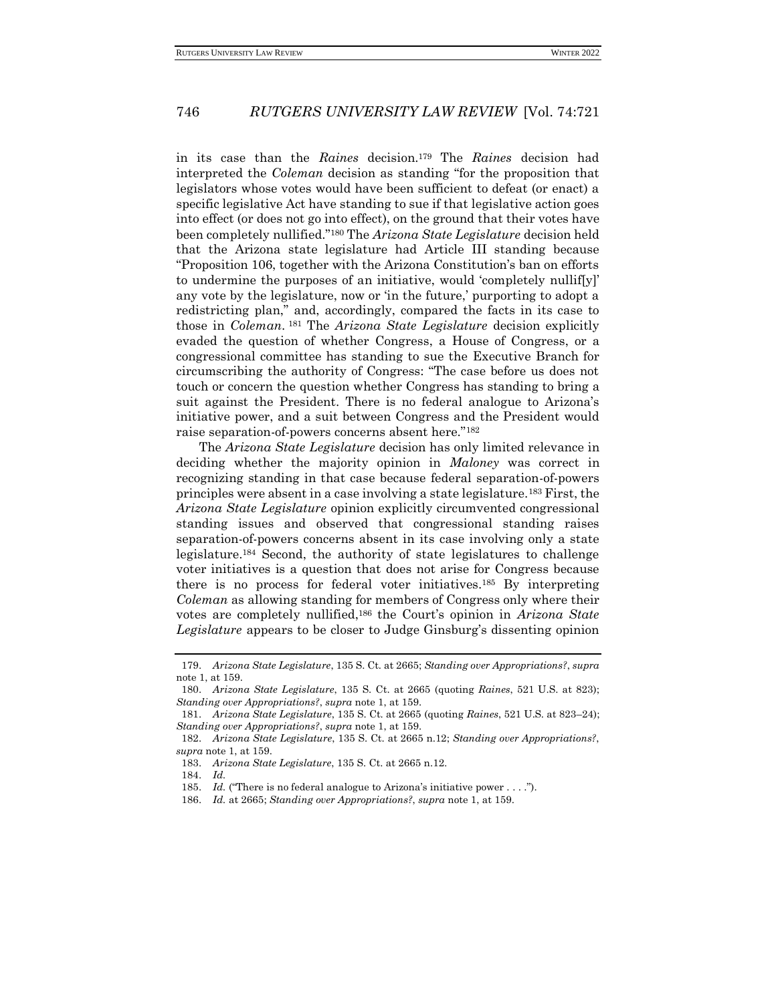in its case than the *Raines* decision.<sup>179</sup> The *Raines* decision had interpreted the *Coleman* decision as standing "for the proposition that legislators whose votes would have been sufficient to defeat (or enact) a specific legislative Act have standing to sue if that legislative action goes into effect (or does not go into effect), on the ground that their votes have been completely nullified."<sup>180</sup> The *Arizona State Legislature* decision held that the Arizona state legislature had Article III standing because "Proposition 106, together with the Arizona Constitution's ban on efforts to undermine the purposes of an initiative, would 'completely nullif[y]' any vote by the legislature, now or 'in the future,' purporting to adopt a redistricting plan," and, accordingly, compared the facts in its case to those in *Coleman*. <sup>181</sup> The *Arizona State Legislature* decision explicitly evaded the question of whether Congress, a House of Congress, or a congressional committee has standing to sue the Executive Branch for circumscribing the authority of Congress: "The case before us does not touch or concern the question whether Congress has standing to bring a suit against the President. There is no federal analogue to Arizona's initiative power, and a suit between Congress and the President would raise separation-of-powers concerns absent here."<sup>182</sup>

The *Arizona State Legislature* decision has only limited relevance in deciding whether the majority opinion in *Maloney* was correct in recognizing standing in that case because federal separation-of-powers principles were absent in a case involving a state legislature.<sup>183</sup> First, the *Arizona State Legislature* opinion explicitly circumvented congressional standing issues and observed that congressional standing raises separation-of-powers concerns absent in its case involving only a state legislature.<sup>184</sup> Second, the authority of state legislatures to challenge voter initiatives is a question that does not arise for Congress because there is no process for federal voter initiatives.<sup>185</sup> By interpreting *Coleman* as allowing standing for members of Congress only where their votes are completely nullified,<sup>186</sup> the Court's opinion in *Arizona State Legislature* appears to be closer to Judge Ginsburg's dissenting opinion

<sup>179.</sup> *Arizona State Legislature*, 135 S. Ct. at 2665; *Standing over Appropriations?*, *supra*  note 1, at 159.

<sup>180.</sup> *Arizona State Legislature*, 135 S. Ct. at 2665 (quoting *Raines*, 521 U.S. at 823); *Standing over Appropriations?*, *supra* note 1, at 159.

<sup>181.</sup> *Arizona State Legislature*, 135 S. Ct. at 2665 (quoting *Raines*, 521 U.S. at 823–24); *Standing over Appropriations?*, *supra* note 1, at 159.

<sup>182.</sup> *Arizona State Legislature*, 135 S. Ct. at 2665 n.12; *Standing over Appropriations?*, *supra* note 1, at 159.

<sup>183.</sup> *Arizona State Legislature*, 135 S. Ct. at 2665 n.12*.*

<sup>184.</sup> *Id.*

<sup>185.</sup> *Id.* ("There is no federal analogue to Arizona's initiative power . . . .").

<sup>186.</sup> *Id.* at 2665; *Standing over Appropriations?*, *supra* note 1, at 159.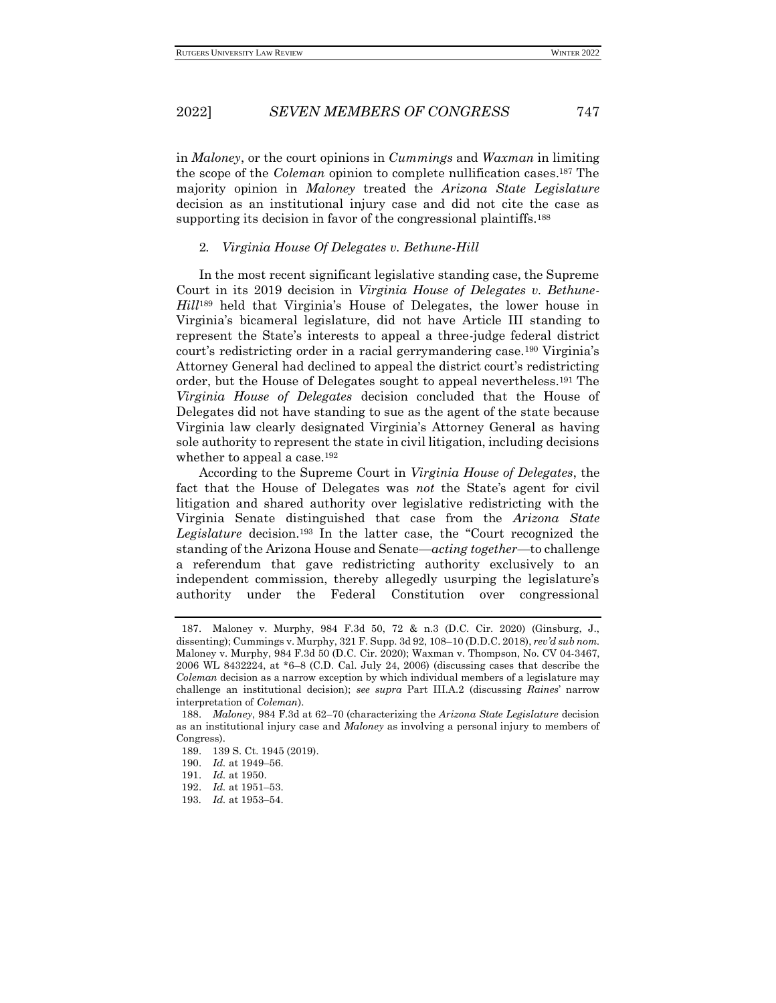in *Maloney*, or the court opinions in *Cummings* and *Waxman* in limiting the scope of the *Coleman* opinion to complete nullification cases.<sup>187</sup> The majority opinion in *Maloney* treated the *Arizona State Legislature* decision as an institutional injury case and did not cite the case as supporting its decision in favor of the congressional plaintiffs.<sup>188</sup>

#### 2*. Virginia House Of Delegates v. Bethune-Hill*

In the most recent significant legislative standing case, the Supreme Court in its 2019 decision in *Virginia House of Delegates v. Bethune-Hill*<sup>189</sup> held that Virginia's House of Delegates, the lower house in Virginia's bicameral legislature, did not have Article III standing to represent the State's interests to appeal a three-judge federal district court's redistricting order in a racial gerrymandering case.<sup>190</sup> Virginia's Attorney General had declined to appeal the district court's redistricting order, but the House of Delegates sought to appeal nevertheless.<sup>191</sup> The *Virginia House of Delegates* decision concluded that the House of Delegates did not have standing to sue as the agent of the state because Virginia law clearly designated Virginia's Attorney General as having sole authority to represent the state in civil litigation, including decisions whether to appeal a case.<sup>192</sup>

According to the Supreme Court in *Virginia House of Delegates*, the fact that the House of Delegates was *not* the State's agent for civil litigation and shared authority over legislative redistricting with the Virginia Senate distinguished that case from the *Arizona State Legislature* decision.<sup>193</sup> In the latter case, the "Court recognized the standing of the Arizona House and Senate—*acting together*—to challenge a referendum that gave redistricting authority exclusively to an independent commission, thereby allegedly usurping the legislature's authority under the Federal Constitution over congressional

<sup>187.</sup> Maloney v. Murphy, 984 F.3d 50, 72 & n.3 (D.C. Cir. 2020) (Ginsburg, J., dissenting); Cummings v. Murphy, 321 F. Supp. 3d 92, 108–10 (D.D.C. 2018), *rev'd sub nom.* Maloney v. Murphy, 984 F.3d 50 (D.C. Cir. 2020); Waxman v. Thompson, No. CV 04-3467, 2006 WL 8432224, at \*6–8 (C.D. Cal. July 24, 2006) (discussing cases that describe the *Coleman* decision as a narrow exception by which individual members of a legislature may challenge an institutional decision); *see supra* Part III.A.2 (discussing *Raines*' narrow interpretation of *Coleman*).

<sup>188.</sup> *Maloney*, 984 F.3d at 62–70 (characterizing the *Arizona State Legislature* decision as an institutional injury case and *Maloney* as involving a personal injury to members of Congress).

<sup>189.</sup> 139 S. Ct. 1945 (2019).

<sup>190.</sup> *Id.* at 1949–56.

<sup>191.</sup> *Id.* at 1950.

<sup>192.</sup> *Id.* at 1951–53.

<sup>193</sup>*. Id.* at 1953–54.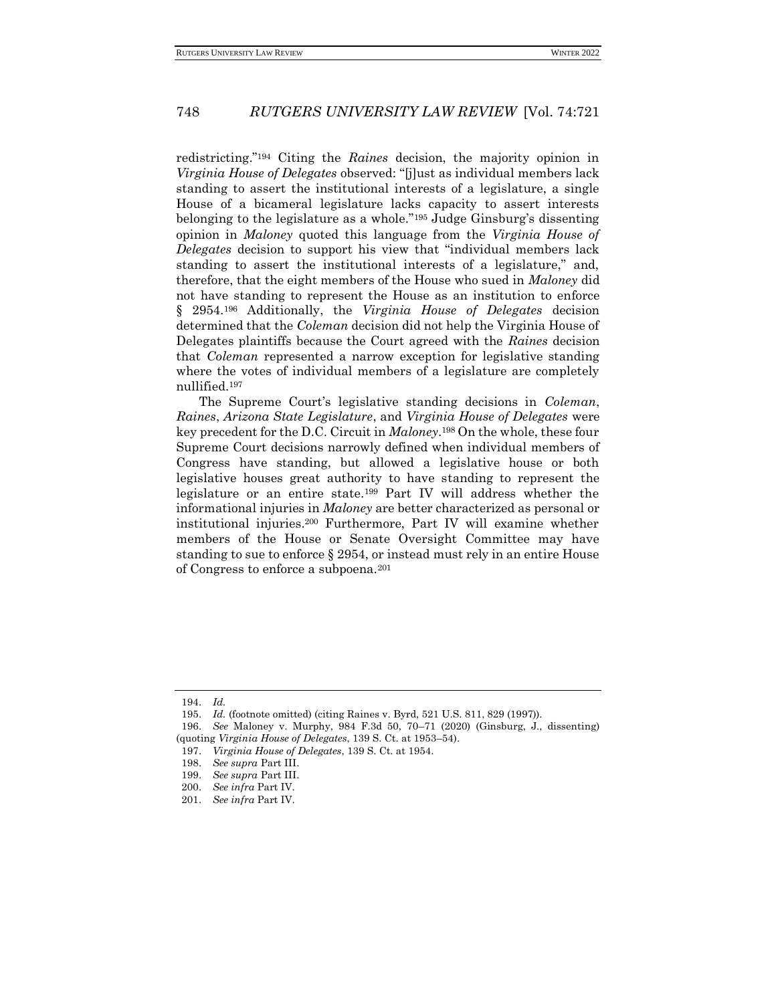redistricting."<sup>194</sup> Citing the *Raines* decision, the majority opinion in *Virginia House of Delegates* observed: "[j]ust as individual members lack standing to assert the institutional interests of a legislature, a single House of a bicameral legislature lacks capacity to assert interests belonging to the legislature as a whole."<sup>195</sup> Judge Ginsburg's dissenting opinion in *Maloney* quoted this language from the *Virginia House of Delegates* decision to support his view that "individual members lack standing to assert the institutional interests of a legislature," and, therefore, that the eight members of the House who sued in *Maloney* did not have standing to represent the House as an institution to enforce § 2954.<sup>196</sup> Additionally, the *Virginia House of Delegates* decision determined that the *Coleman* decision did not help the Virginia House of Delegates plaintiffs because the Court agreed with the *Raines* decision that *Coleman* represented a narrow exception for legislative standing where the votes of individual members of a legislature are completely nullified.<sup>197</sup>

The Supreme Court's legislative standing decisions in *Coleman*, *Raines*, *Arizona State Legislature*, and *Virginia House of Delegates* were key precedent for the D.C. Circuit in *Maloney*. <sup>198</sup> On the whole, these four Supreme Court decisions narrowly defined when individual members of Congress have standing, but allowed a legislative house or both legislative houses great authority to have standing to represent the legislature or an entire state.<sup>199</sup> Part IV will address whether the informational injuries in *Maloney* are better characterized as personal or institutional injuries.<sup>200</sup> Furthermore, Part IV will examine whether members of the House or Senate Oversight Committee may have standing to sue to enforce § 2954, or instead must rely in an entire House of Congress to enforce a subpoena.<sup>201</sup>

<sup>194.</sup> *Id.*

<sup>195.</sup> *Id.* (footnote omitted) (citing Raines v. Byrd, 521 U.S. 811, 829 (1997)).

<sup>196.</sup> *See* Maloney v. Murphy, 984 F.3d 50, 70–71 (2020) (Ginsburg, J., dissenting) (quoting *Virginia House of Delegates*, 139 S. Ct. at 1953–54).

<sup>197.</sup> *Virginia House of Delegates*, 139 S. Ct. at 1954.

<sup>198.</sup> *See supra* Part III.

<sup>199.</sup> *See supra* Part III.

<sup>200.</sup> *See infra* Part IV.

<sup>201.</sup> *See infra* Part IV.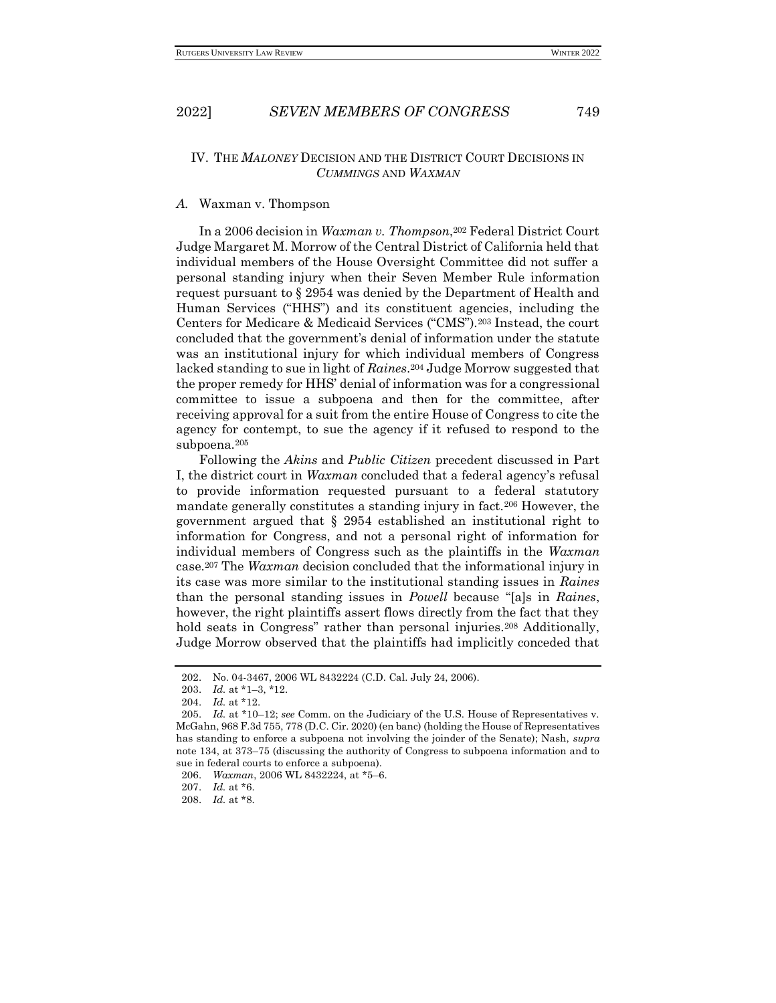### IV. THE *MALONEY* DECISION AND THE DISTRICT COURT DECISIONS IN *CUMMINGS* AND *WAXMAN*

### *A.* Waxman v. Thompson

In a 2006 decision in *Waxman v. Thompson*, <sup>202</sup> Federal District Court Judge Margaret M. Morrow of the Central District of California held that individual members of the House Oversight Committee did not suffer a personal standing injury when their Seven Member Rule information request pursuant to § 2954 was denied by the Department of Health and Human Services ("HHS") and its constituent agencies, including the Centers for Medicare & Medicaid Services ("CMS").<sup>203</sup> Instead, the court concluded that the government's denial of information under the statute was an institutional injury for which individual members of Congress lacked standing to sue in light of *Raines*. <sup>204</sup> Judge Morrow suggested that the proper remedy for HHS' denial of information was for a congressional committee to issue a subpoena and then for the committee, after receiving approval for a suit from the entire House of Congress to cite the agency for contempt, to sue the agency if it refused to respond to the subpoena.<sup>205</sup>

Following the *Akins* and *Public Citizen* precedent discussed in Part I, the district court in *Waxman* concluded that a federal agency's refusal to provide information requested pursuant to a federal statutory mandate generally constitutes a standing injury in fact.<sup>206</sup> However, the government argued that § 2954 established an institutional right to information for Congress, and not a personal right of information for individual members of Congress such as the plaintiffs in the *Waxman*  case.<sup>207</sup> The *Waxman* decision concluded that the informational injury in its case was more similar to the institutional standing issues in *Raines*  than the personal standing issues in *Powell* because "[a]s in *Raines*, however, the right plaintiffs assert flows directly from the fact that they hold seats in Congress" rather than personal injuries.<sup>208</sup> Additionally, Judge Morrow observed that the plaintiffs had implicitly conceded that

<sup>202.</sup> No. 04-3467, 2006 WL 8432224 (C.D. Cal. July 24, 2006).

<sup>203.</sup> *Id.* at \*1–3, \*12.

<sup>204.</sup> *Id.* at \*12.

<sup>205.</sup> *Id.* at \*10–12; *see* Comm. on the Judiciary of the U.S. House of Representatives v. McGahn, 968 F.3d 755, 778 (D.C. Cir. 2020) (en banc) (holding the House of Representatives has standing to enforce a subpoena not involving the joinder of the Senate); Nash, *supra* note 134, at 373–75 (discussing the authority of Congress to subpoena information and to sue in federal courts to enforce a subpoena).

<sup>206.</sup> *Waxman*, 2006 WL 8432224, at \*5–6.

<sup>207.</sup> *Id.* at \*6.

<sup>208.</sup> *Id.* at \*8.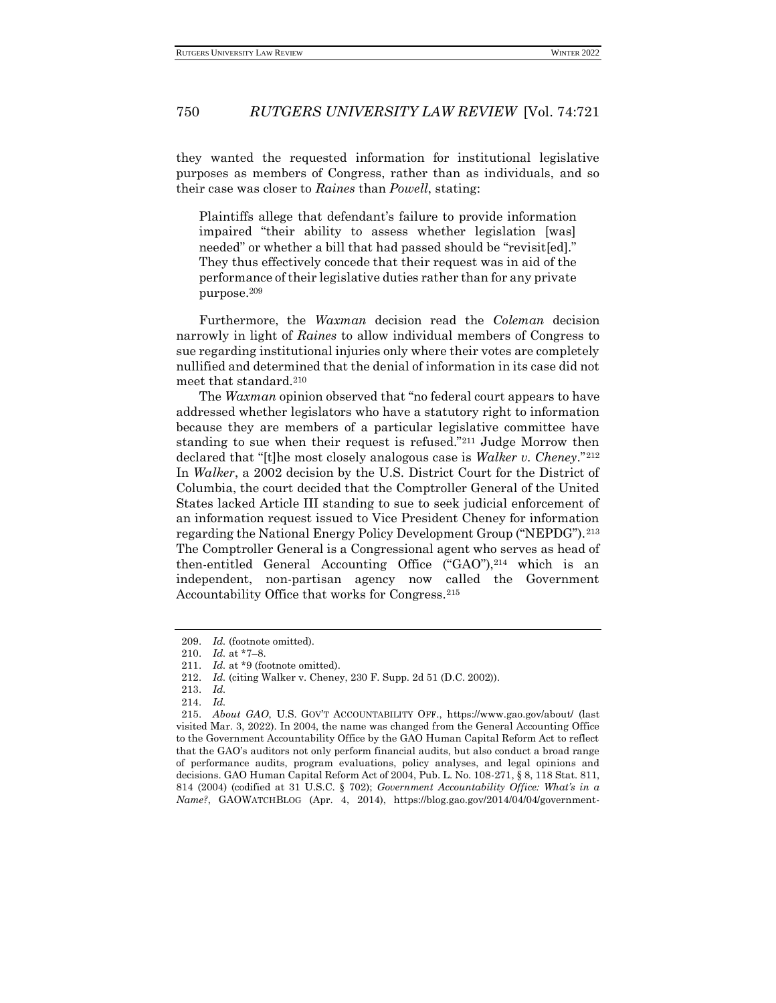they wanted the requested information for institutional legislative purposes as members of Congress, rather than as individuals, and so their case was closer to *Raines* than *Powell*, stating:

Plaintiffs allege that defendant's failure to provide information impaired "their ability to assess whether legislation [was] needed" or whether a bill that had passed should be "revisited." They thus effectively concede that their request was in aid of the performance of their legislative duties rather than for any private purpose.<sup>209</sup>

Furthermore, the *Waxman* decision read the *Coleman* decision narrowly in light of *Raines* to allow individual members of Congress to sue regarding institutional injuries only where their votes are completely nullified and determined that the denial of information in its case did not meet that standard.<sup>210</sup>

The *Waxman* opinion observed that "no federal court appears to have addressed whether legislators who have a statutory right to information because they are members of a particular legislative committee have standing to sue when their request is refused."<sup>211</sup> Judge Morrow then declared that "[t]he most closely analogous case is *Walker v. Cheney*."<sup>212</sup> In *Walker*, a 2002 decision by the U.S. District Court for the District of Columbia, the court decided that the Comptroller General of the United States lacked Article III standing to sue to seek judicial enforcement of an information request issued to Vice President Cheney for information regarding the National Energy Policy Development Group ("NEPDG").<sup>213</sup> The Comptroller General is a Congressional agent who serves as head of then-entitled General Accounting Office  $("GAO")<sup>214</sup> which is an$ independent, non-partisan agency now called the Government Accountability Office that works for Congress.<sup>215</sup>

<sup>209.</sup> *Id.* (footnote omitted).

<sup>210.</sup> *Id.* at \*7–8.

<sup>211.</sup> *Id.* at \*9 (footnote omitted).

<sup>212.</sup> *Id.* (citing Walker v. Cheney, 230 F. Supp. 2d 51 (D.C. 2002)).

<sup>213.</sup> *Id.*

<sup>214.</sup> *Id.*

<sup>215.</sup> *About GAO*, U.S. GOV'T ACCOUNTABILITY OFF., https://www.gao.gov/about/ (last visited Mar. 3, 2022). In 2004, the name was changed from the General Accounting Office to the Government Accountability Office by the GAO Human Capital Reform Act to reflect that the GAO's auditors not only perform financial audits, but also conduct a broad range of performance audits, program evaluations, policy analyses, and legal opinions and decisions. GAO Human Capital Reform Act of 2004, Pub. L. No. 108-271, § 8, 118 Stat. 811, 814 (2004) (codified at 31 U.S.C. § 702); *Government Accountability Office: What's in a Name?*, GAOWATCHBLOG (Apr. 4, 2014), https://blog.gao.gov/2014/04/04/government-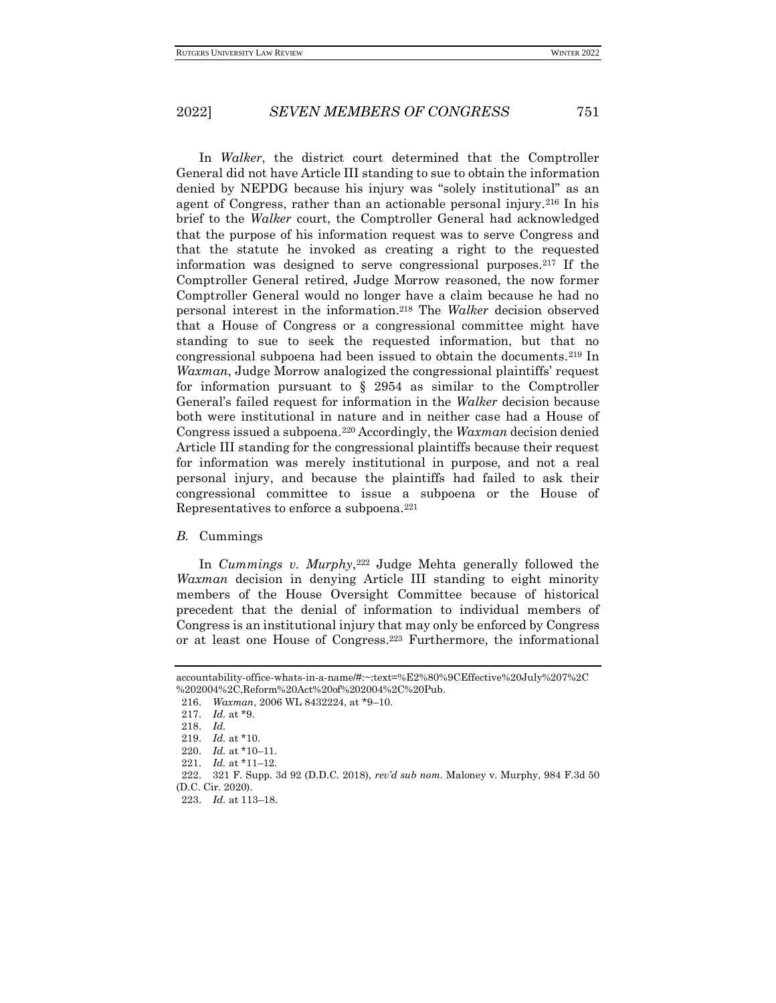In *Walker*, the district court determined that the Comptroller General did not have Article III standing to sue to obtain the information denied by NEPDG because his injury was "solely institutional" as an agent of Congress, rather than an actionable personal injury.<sup>216</sup> In his brief to the *Walker* court, the Comptroller General had acknowledged that the purpose of his information request was to serve Congress and that the statute he invoked as creating a right to the requested information was designed to serve congressional purposes.<sup>217</sup> If the Comptroller General retired, Judge Morrow reasoned, the now former Comptroller General would no longer have a claim because he had no personal interest in the information.<sup>218</sup> The *Walker* decision observed that a House of Congress or a congressional committee might have standing to sue to seek the requested information, but that no congressional subpoena had been issued to obtain the documents.<sup>219</sup> In *Waxman*, Judge Morrow analogized the congressional plaintiffs' request for information pursuant to  $\S$  2954 as similar to the Comptroller General's failed request for information in the *Walker* decision because both were institutional in nature and in neither case had a House of Congress issued a subpoena.<sup>220</sup> Accordingly, the *Waxman* decision denied Article III standing for the congressional plaintiffs because their request for information was merely institutional in purpose, and not a real personal injury, and because the plaintiffs had failed to ask their congressional committee to issue a subpoena or the House of Representatives to enforce a subpoena.<sup>221</sup>

### *B.* Cummings

In *Cummings v. Murphy*, <sup>222</sup> Judge Mehta generally followed the *Waxman* decision in denying Article III standing to eight minority members of the House Oversight Committee because of historical precedent that the denial of information to individual members of Congress is an institutional injury that may only be enforced by Congress or at least one House of Congress.<sup>223</sup> Furthermore, the informational

accountability-office-whats-in-a-name/#:~:text=%E2%80%9CEffective%20July%207%2C %202004%2C,Reform%20Act%20of%202004%2C%20Pub.

<sup>216.</sup> *Waxman*, 2006 WL 8432224, at \*9–10.

<sup>217.</sup> *Id.* at \*9.

<sup>218.</sup> *Id.*

<sup>219.</sup> *Id.* at \*10.

<sup>220.</sup> *Id.* at \*10–11.

<sup>221.</sup> *Id.* at \*11–12.

<sup>222.</sup> 321 F. Supp. 3d 92 (D.D.C. 2018), *rev'd sub nom.* Maloney v. Murphy, 984 F.3d 50 (D.C. Cir. 2020).

<sup>223.</sup> *Id.* at 113–18.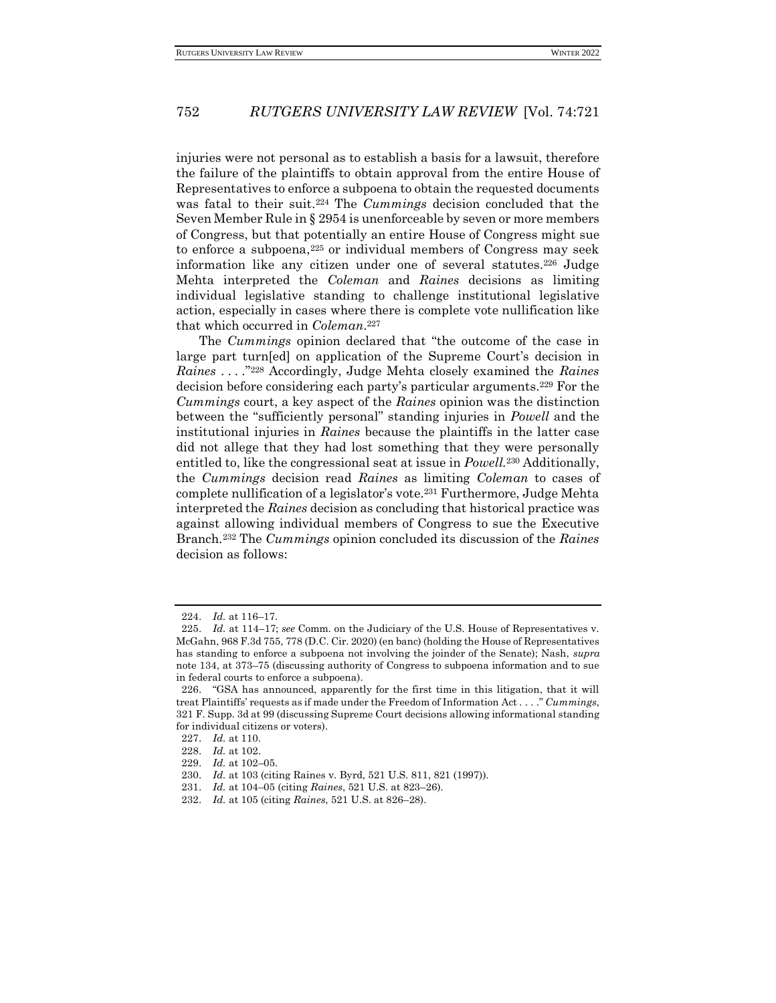injuries were not personal as to establish a basis for a lawsuit, therefore the failure of the plaintiffs to obtain approval from the entire House of Representatives to enforce a subpoena to obtain the requested documents was fatal to their suit.<sup>224</sup> The *Cummings* decision concluded that the Seven Member Rule in § 2954 is unenforceable by seven or more members of Congress, but that potentially an entire House of Congress might sue to enforce a subpoena,<sup>225</sup> or individual members of Congress may seek information like any citizen under one of several statutes.<sup>226</sup> Judge Mehta interpreted the *Coleman* and *Raines* decisions as limiting individual legislative standing to challenge institutional legislative action, especially in cases where there is complete vote nullification like that which occurred in *Coleman*. 227

The *Cummings* opinion declared that "the outcome of the case in large part turn[ed] on application of the Supreme Court's decision in *Raines . . . .*" <sup>228</sup> Accordingly, Judge Mehta closely examined the *Raines*  decision before considering each party's particular arguments.<sup>229</sup> For the *Cummings* court, a key aspect of the *Raines* opinion was the distinction between the "sufficiently personal" standing injuries in *Powell* and the institutional injuries in *Raines* because the plaintiffs in the latter case did not allege that they had lost something that they were personally entitled to, like the congressional seat at issue in *Powell.*<sup>230</sup> Additionally, the *Cummings* decision read *Raines* as limiting *Coleman* to cases of complete nullification of a legislator's vote.<sup>231</sup> Furthermore, Judge Mehta interpreted the *Raines* decision as concluding that historical practice was against allowing individual members of Congress to sue the Executive Branch.<sup>232</sup> The *Cummings* opinion concluded its discussion of the *Raines*  decision as follows:

<sup>224.</sup> *Id.* at 116–17.

<sup>225.</sup> *Id.* at 114–17; *see* Comm. on the Judiciary of the U.S. House of Representatives v. McGahn, 968 F.3d 755, 778 (D.C. Cir. 2020) (en banc) (holding the House of Representatives has standing to enforce a subpoena not involving the joinder of the Senate); Nash, *supra* note 134, at 373–75 (discussing authority of Congress to subpoena information and to sue in federal courts to enforce a subpoena).

<sup>226.</sup> "GSA has announced, apparently for the first time in this litigation, that it will treat Plaintiffs' requests as if made under the Freedom of Information Act . . . ." *Cummings*, 321 F. Supp. 3d at 99 (discussing Supreme Court decisions allowing informational standing for individual citizens or voters).

<sup>227.</sup> *Id.* at 110.

<sup>228.</sup> *Id.* at 102.

<sup>229.</sup> *Id.* at 102–05.

<sup>230.</sup> *Id.* at 103 (citing Raines v. Byrd, 521 U.S. 811, 821 (1997)).

<sup>231.</sup> *Id.* at 104–05 (citing *Raines*, 521 U.S. at 823–26).

<sup>232.</sup> *Id.* at 105 (citing *Raines*, 521 U.S. at 826–28).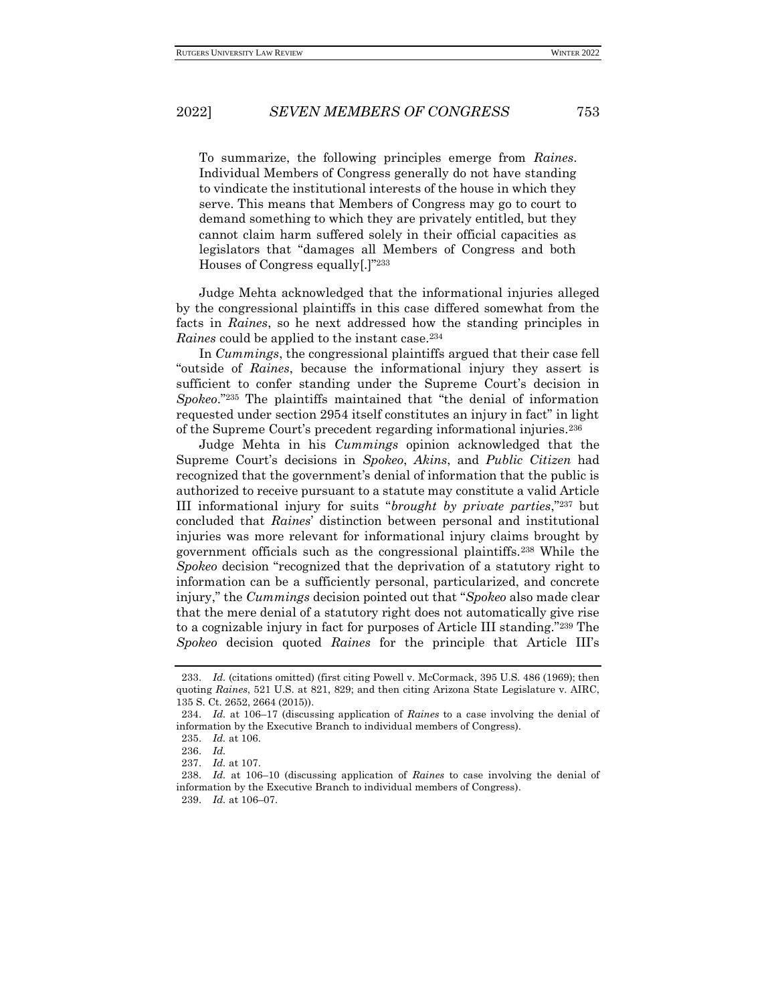To summarize, the following principles emerge from *Raines*. Individual Members of Congress generally do not have standing to vindicate the institutional interests of the house in which they serve. This means that Members of Congress may go to court to demand something to which they are privately entitled, but they cannot claim harm suffered solely in their official capacities as legislators that "damages all Members of Congress and both Houses of Congress equally[.]"<sup>233</sup>

Judge Mehta acknowledged that the informational injuries alleged by the congressional plaintiffs in this case differed somewhat from the facts in *Raines*, so he next addressed how the standing principles in *Raines* could be applied to the instant case.<sup>234</sup>

In *Cummings*, the congressional plaintiffs argued that their case fell "outside of *Raines*, because the informational injury they assert is sufficient to confer standing under the Supreme Court's decision in *Spokeo*."<sup>235</sup> The plaintiffs maintained that "the denial of information requested under section 2954 itself constitutes an injury in fact" in light of the Supreme Court's precedent regarding informational injuries.<sup>236</sup>

Judge Mehta in his *Cummings* opinion acknowledged that the Supreme Court's decisions in *Spokeo*, *Akins*, and *Public Citizen* had recognized that the government's denial of information that the public is authorized to receive pursuant to a statute may constitute a valid Article III informational injury for suits "*brought by private parties*,"<sup>237</sup> but concluded that *Raines*' distinction between personal and institutional injuries was more relevant for informational injury claims brought by government officials such as the congressional plaintiffs.<sup>238</sup> While the *Spokeo* decision "recognized that the deprivation of a statutory right to information can be a sufficiently personal, particularized, and concrete injury," the *Cummings* decision pointed out that "*Spokeo* also made clear that the mere denial of a statutory right does not automatically give rise to a cognizable injury in fact for purposes of Article III standing."<sup>239</sup> The *Spokeo* decision quoted *Raines* for the principle that Article III's

<sup>233.</sup> *Id.* (citations omitted) (first citing Powell v. McCormack, 395 U.S. 486 (1969); then quoting *Raines*, 521 U.S. at 821, 829; and then citing Arizona State Legislature v. AIRC, 135 S. Ct. 2652, 2664 (2015)).

<sup>234.</sup> *Id.* at 106–17 (discussing application of *Raines* to a case involving the denial of information by the Executive Branch to individual members of Congress).

<sup>235.</sup> *Id.* at 106.

<sup>236.</sup> *Id.*

<sup>237.</sup> *Id.* at 107.

<sup>238.</sup> *Id.* at 106–10 (discussing application of *Raines* to case involving the denial of information by the Executive Branch to individual members of Congress).

<sup>239.</sup> *Id.* at 106–07.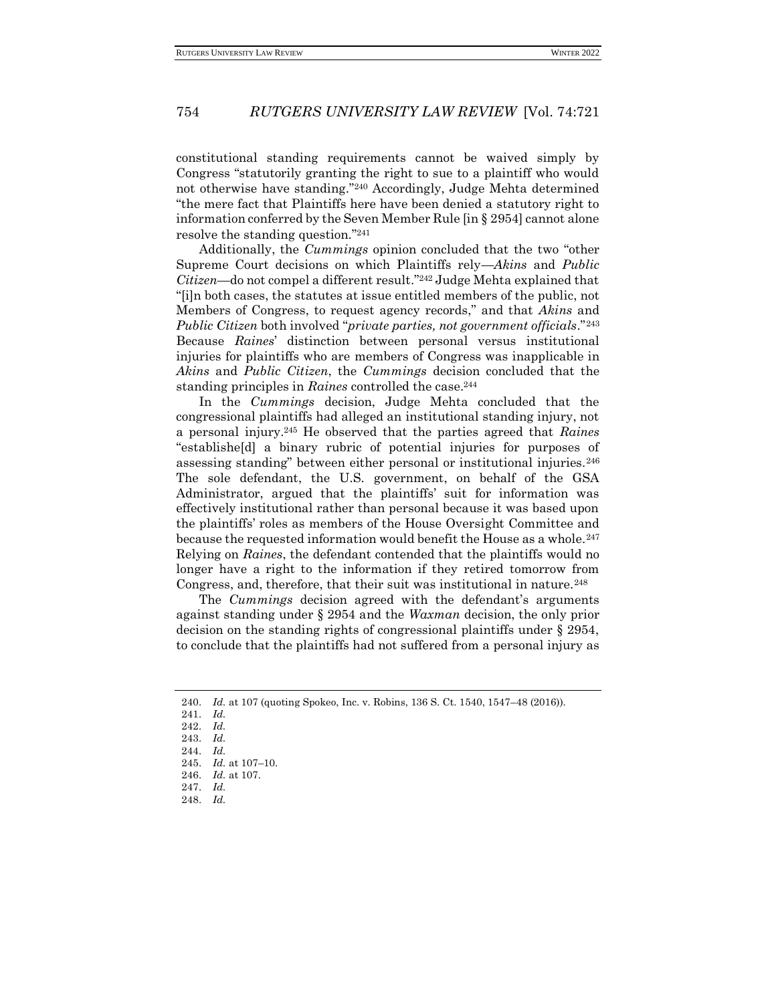constitutional standing requirements cannot be waived simply by Congress "statutorily granting the right to sue to a plaintiff who would not otherwise have standing."<sup>240</sup> Accordingly, Judge Mehta determined "the mere fact that Plaintiffs here have been denied a statutory right to information conferred by the Seven Member Rule [in § 2954] cannot alone resolve the standing question."<sup>241</sup>

Additionally, the *Cummings* opinion concluded that the two "other Supreme Court decisions on which Plaintiffs rely—*Akins* and *Public Citizen*—do not compel a different result."<sup>242</sup> Judge Mehta explained that "[i]n both cases, the statutes at issue entitled members of the public, not Members of Congress, to request agency records," and that *Akins* and *Public Citizen* both involved "*private parties, not government officials*."<sup>243</sup> Because *Raines*' distinction between personal versus institutional injuries for plaintiffs who are members of Congress was inapplicable in *Akins* and *Public Citizen*, the *Cummings* decision concluded that the standing principles in *Raines* controlled the case.<sup>244</sup>

In the *Cummings* decision, Judge Mehta concluded that the congressional plaintiffs had alleged an institutional standing injury, not a personal injury.<sup>245</sup> He observed that the parties agreed that *Raines*  "establishe[d] a binary rubric of potential injuries for purposes of assessing standing" between either personal or institutional injuries.<sup>246</sup> The sole defendant, the U.S. government, on behalf of the GSA Administrator, argued that the plaintiffs' suit for information was effectively institutional rather than personal because it was based upon the plaintiffs' roles as members of the House Oversight Committee and because the requested information would benefit the House as a whole.<sup>247</sup> Relying on *Raines*, the defendant contended that the plaintiffs would no longer have a right to the information if they retired tomorrow from Congress, and, therefore, that their suit was institutional in nature.<sup>248</sup>

The *Cummings* decision agreed with the defendant's arguments against standing under § 2954 and the *Waxman* decision, the only prior decision on the standing rights of congressional plaintiffs under § 2954, to conclude that the plaintiffs had not suffered from a personal injury as

<sup>240.</sup> *Id.* at 107 (quoting Spokeo, Inc. v. Robins, 136 S. Ct. 1540, 1547–48 (2016)).

<sup>241.</sup> *Id.*

<sup>242.</sup> *Id.*

<sup>243.</sup> *Id.*

<sup>244.</sup> *Id.*

<sup>245.</sup> *Id.* at 107–10.

<sup>246.</sup> *Id.* at 107.

<sup>247.</sup> *Id.*

<sup>248.</sup> *Id.*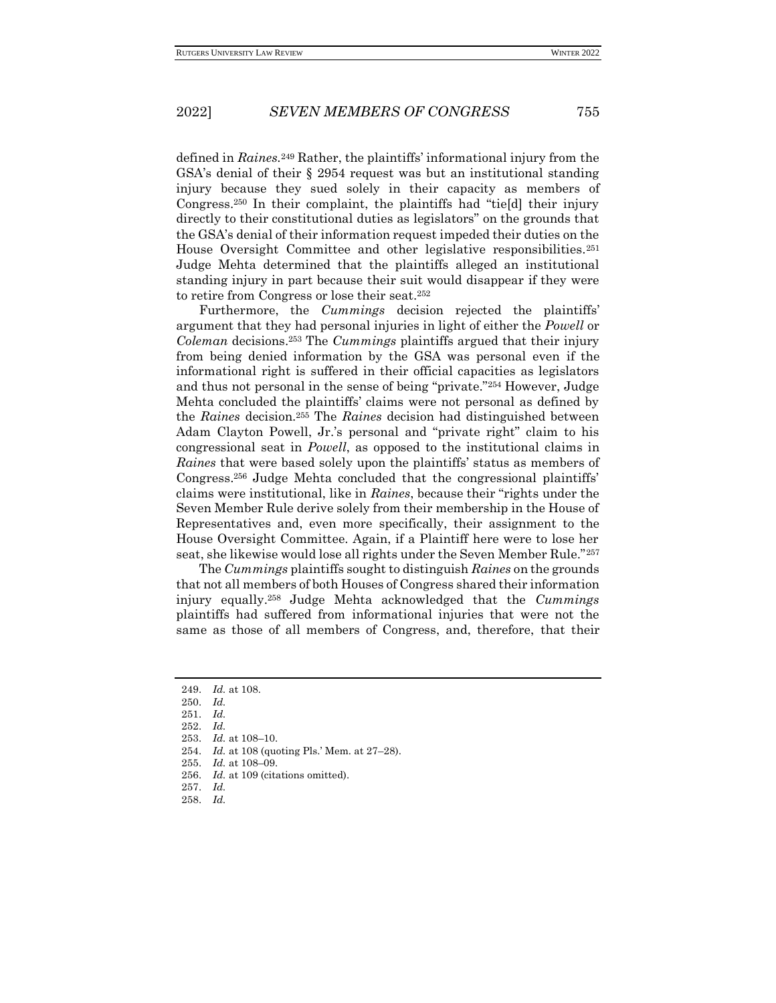defined in *Raines.*<sup>249</sup> Rather, the plaintiffs' informational injury from the GSA's denial of their § 2954 request was but an institutional standing injury because they sued solely in their capacity as members of Congress.<sup>250</sup> In their complaint, the plaintiffs had "tie[d] their injury directly to their constitutional duties as legislators" on the grounds that the GSA's denial of their information request impeded their duties on the House Oversight Committee and other legislative responsibilities.<sup>251</sup> Judge Mehta determined that the plaintiffs alleged an institutional standing injury in part because their suit would disappear if they were to retire from Congress or lose their seat.<sup>252</sup>

Furthermore, the *Cummings* decision rejected the plaintiffs' argument that they had personal injuries in light of either the *Powell* or *Coleman* decisions.<sup>253</sup> The *Cummings* plaintiffs argued that their injury from being denied information by the GSA was personal even if the informational right is suffered in their official capacities as legislators and thus not personal in the sense of being "private."<sup>254</sup> However, Judge Mehta concluded the plaintiffs' claims were not personal as defined by the *Raines* decision.<sup>255</sup> The *Raines* decision had distinguished between Adam Clayton Powell, Jr.'s personal and "private right" claim to his congressional seat in *Powell*, as opposed to the institutional claims in *Raines* that were based solely upon the plaintiffs' status as members of Congress.<sup>256</sup> Judge Mehta concluded that the congressional plaintiffs' claims were institutional, like in *Raines*, because their "rights under the Seven Member Rule derive solely from their membership in the House of Representatives and, even more specifically, their assignment to the House Oversight Committee. Again, if a Plaintiff here were to lose her seat, she likewise would lose all rights under the Seven Member Rule."<sup>257</sup>

The *Cummings* plaintiffs sought to distinguish *Raines* on the grounds that not all members of both Houses of Congress shared their information injury equally.<sup>258</sup> Judge Mehta acknowledged that the *Cummings* plaintiffs had suffered from informational injuries that were not the same as those of all members of Congress, and, therefore, that their

258. *Id.*

<sup>249.</sup> *Id.* at 108.

<sup>250.</sup> *Id.*

<sup>251.</sup> *Id.*

<sup>252.</sup> *Id.*

<sup>253.</sup> *Id.* at 108–10.

<sup>254.</sup> *Id.* at 108 (quoting Pls.' Mem. at 27–28).

<sup>255.</sup> *Id.* at 108–09.

<sup>256.</sup> *Id.* at 109 (citations omitted).

<sup>257.</sup> *Id.*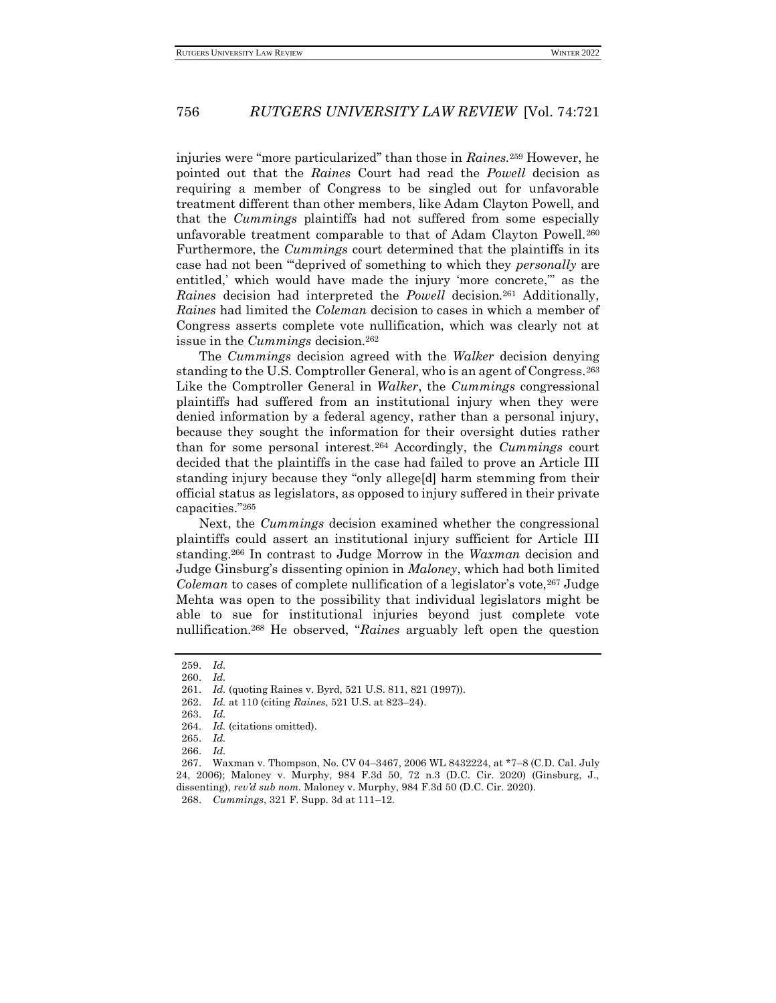injuries were "more particularized" than those in *Raines.*<sup>259</sup> However, he pointed out that the *Raines* Court had read the *Powell* decision as requiring a member of Congress to be singled out for unfavorable treatment different than other members, like Adam Clayton Powell, and that the *Cummings* plaintiffs had not suffered from some especially unfavorable treatment comparable to that of Adam Clayton Powell.<sup>260</sup> Furthermore, the *Cummings* court determined that the plaintiffs in its case had not been "'deprived of something to which they *personally* are entitled,' which would have made the injury 'more concrete,'" as the *Raines* decision had interpreted the *Powell* decision.<sup>261</sup> Additionally, *Raines* had limited the *Coleman* decision to cases in which a member of Congress asserts complete vote nullification, which was clearly not at issue in the *Cummings* decision.<sup>262</sup>

The *Cummings* decision agreed with the *Walker* decision denying standing to the U.S. Comptroller General, who is an agent of Congress.<sup>263</sup> Like the Comptroller General in *Walker*, the *Cummings* congressional plaintiffs had suffered from an institutional injury when they were denied information by a federal agency, rather than a personal injury, because they sought the information for their oversight duties rather than for some personal interest.<sup>264</sup> Accordingly, the *Cummings* court decided that the plaintiffs in the case had failed to prove an Article III standing injury because they "only allege[d] harm stemming from their official status as legislators, as opposed to injury suffered in their private capacities."<sup>265</sup>

Next, the *Cummings* decision examined whether the congressional plaintiffs could assert an institutional injury sufficient for Article III standing.<sup>266</sup> In contrast to Judge Morrow in the *Waxman* decision and Judge Ginsburg's dissenting opinion in *Maloney*, which had both limited *Coleman* to cases of complete nullification of a legislator's vote,<sup>267</sup> Judge Mehta was open to the possibility that individual legislators might be able to sue for institutional injuries beyond just complete vote nullification.<sup>268</sup> He observed, "*Raines* arguably left open the question

<sup>259.</sup> *Id.*

<sup>260.</sup> *Id.*

<sup>261.</sup> *Id.* (quoting Raines v. Byrd, 521 U.S. 811, 821 (1997)).

<sup>262.</sup> *Id.* at 110 (citing *Raines*, 521 U.S. at 823–24).

<sup>263.</sup> *Id.*

<sup>264.</sup> *Id.* (citations omitted).

<sup>265.</sup> *Id.*

<sup>266.</sup> *Id.* 

<sup>267.</sup> Waxman v. Thompson, No. CV 04–3467, 2006 WL 8432224, at \*7–8 (C.D. Cal. July 24, 2006); Maloney v. Murphy, 984 F.3d 50, 72 n.3 (D.C. Cir. 2020) (Ginsburg, J., dissenting), *rev'd sub nom.* Maloney v. Murphy, 984 F.3d 50 (D.C. Cir. 2020).

<sup>268.</sup> *Cummings*, 321 F. Supp. 3d at 111–12.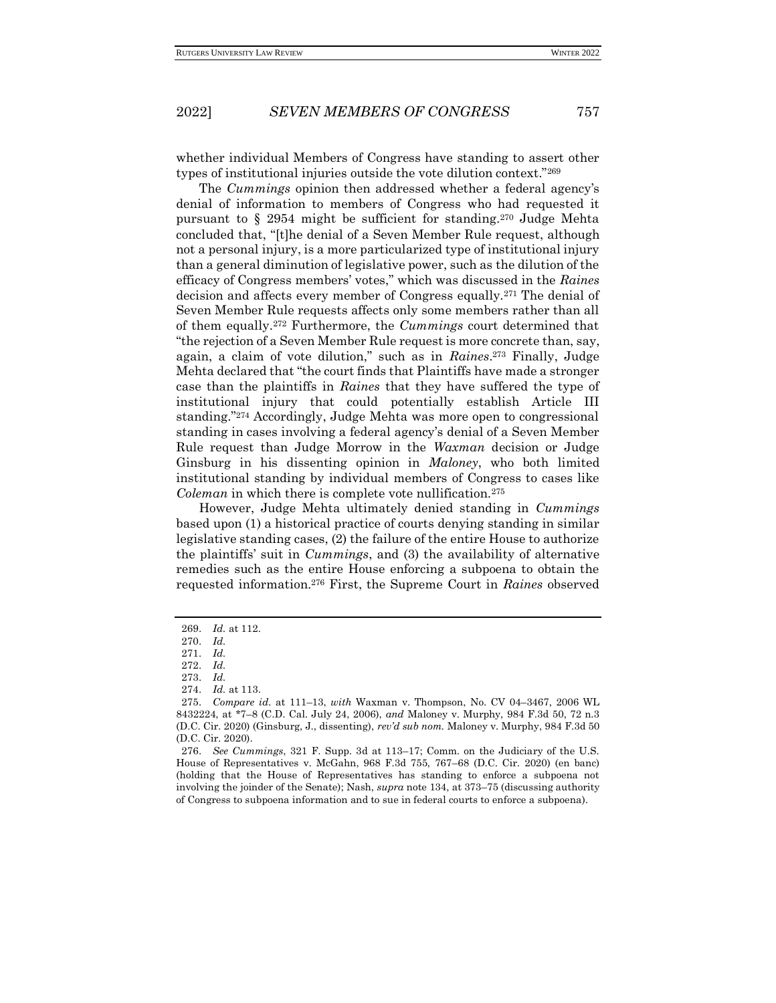whether individual Members of Congress have standing to assert other types of institutional injuries outside the vote dilution context."<sup>269</sup>

The *Cummings* opinion then addressed whether a federal agency's denial of information to members of Congress who had requested it pursuant to § 2954 might be sufficient for standing.<sup>270</sup> Judge Mehta concluded that, "[t]he denial of a Seven Member Rule request, although not a personal injury, is a more particularized type of institutional injury than a general diminution of legislative power, such as the dilution of the efficacy of Congress members' votes," which was discussed in the *Raines* decision and affects every member of Congress equally.<sup>271</sup> The denial of Seven Member Rule requests affects only some members rather than all of them equally.<sup>272</sup> Furthermore, the *Cummings* court determined that "the rejection of a Seven Member Rule request is more concrete than, say, again, a claim of vote dilution," such as in *Raines*. <sup>273</sup> Finally, Judge Mehta declared that "the court finds that Plaintiffs have made a stronger case than the plaintiffs in *Raines* that they have suffered the type of institutional injury that could potentially establish Article III standing."<sup>274</sup> Accordingly, Judge Mehta was more open to congressional standing in cases involving a federal agency's denial of a Seven Member Rule request than Judge Morrow in the *Waxman* decision or Judge Ginsburg in his dissenting opinion in *Maloney*, who both limited institutional standing by individual members of Congress to cases like *Coleman* in which there is complete vote nullification.<sup>275</sup>

However, Judge Mehta ultimately denied standing in *Cummings*  based upon (1) a historical practice of courts denying standing in similar legislative standing cases, (2) the failure of the entire House to authorize the plaintiffs' suit in *Cummings*, and (3) the availability of alternative remedies such as the entire House enforcing a subpoena to obtain the requested information.<sup>276</sup> First, the Supreme Court in *Raines* observed

<sup>269.</sup> *Id.* at 112.

<sup>270.</sup> *Id.*

<sup>271.</sup> *Id.*

<sup>272.</sup> *Id.*

<sup>273.</sup> *Id.*

<sup>274.</sup> *Id.* at 113.

<sup>275.</sup> *Compare id.* at 111–13, *with* Waxman v. Thompson, No. CV 04–3467, 2006 WL 8432224, at \*7–8 (C.D. Cal. July 24, 2006), *and* Maloney v. Murphy, 984 F.3d 50, 72 n.3 (D.C. Cir. 2020) (Ginsburg, J., dissenting), *rev'd sub nom.* Maloney v. Murphy, 984 F.3d 50 (D.C. Cir. 2020).

<sup>276.</sup> *See Cummings*, 321 F. Supp. 3d at 113–17; Comm. on the Judiciary of the U.S. House of Representatives v. McGahn, 968 F.3d 755, 767–68 (D.C. Cir. 2020) (en banc) (holding that the House of Representatives has standing to enforce a subpoena not involving the joinder of the Senate); Nash, *supra* note 134, at 373–75 (discussing authority of Congress to subpoena information and to sue in federal courts to enforce a subpoena).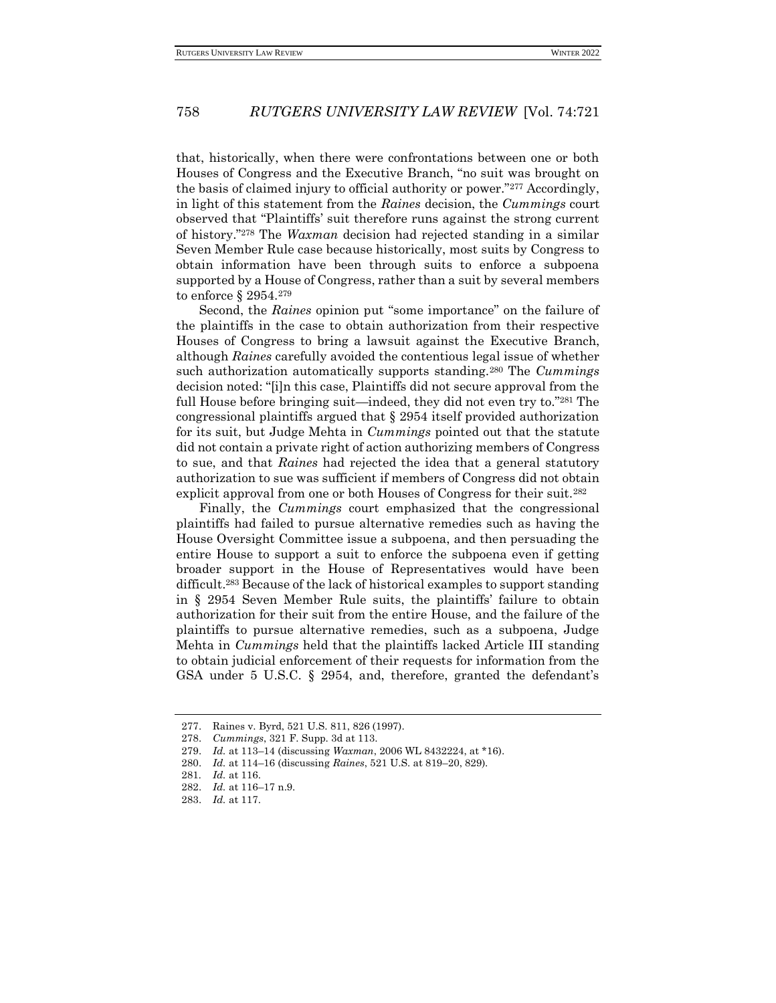that, historically, when there were confrontations between one or both Houses of Congress and the Executive Branch, "no suit was brought on the basis of claimed injury to official authority or power."<sup>277</sup> Accordingly, in light of this statement from the *Raines* decision, the *Cummings* court observed that "Plaintiffs' suit therefore runs against the strong current of history."<sup>278</sup> The *Waxman* decision had rejected standing in a similar Seven Member Rule case because historically, most suits by Congress to obtain information have been through suits to enforce a subpoena supported by a House of Congress, rather than a suit by several members to enforce § 2954.<sup>279</sup>

Second, the *Raines* opinion put "some importance" on the failure of the plaintiffs in the case to obtain authorization from their respective Houses of Congress to bring a lawsuit against the Executive Branch, although *Raines* carefully avoided the contentious legal issue of whether such authorization automatically supports standing.<sup>280</sup> The *Cummings* decision noted: "[i]n this case, Plaintiffs did not secure approval from the full House before bringing suit—indeed, they did not even try to."<sup>281</sup> The congressional plaintiffs argued that § 2954 itself provided authorization for its suit, but Judge Mehta in *Cummings* pointed out that the statute did not contain a private right of action authorizing members of Congress to sue, and that *Raines* had rejected the idea that a general statutory authorization to sue was sufficient if members of Congress did not obtain explicit approval from one or both Houses of Congress for their suit.<sup>282</sup>

Finally, the *Cummings* court emphasized that the congressional plaintiffs had failed to pursue alternative remedies such as having the House Oversight Committee issue a subpoena, and then persuading the entire House to support a suit to enforce the subpoena even if getting broader support in the House of Representatives would have been difficult.<sup>283</sup> Because of the lack of historical examples to support standing in § 2954 Seven Member Rule suits, the plaintiffs' failure to obtain authorization for their suit from the entire House, and the failure of the plaintiffs to pursue alternative remedies, such as a subpoena, Judge Mehta in *Cummings* held that the plaintiffs lacked Article III standing to obtain judicial enforcement of their requests for information from the GSA under 5 U.S.C. § 2954, and, therefore, granted the defendant's

<sup>277.</sup> Raines v. Byrd, 521 U.S. 811, 826 (1997).

<sup>278.</sup> *Cummings*, 321 F. Supp. 3d at 113.

<sup>279.</sup> *Id.* at 113–14 (discussing *Waxman*, 2006 WL 8432224, at \*16).

<sup>280.</sup> *Id.* at 114–16 (discussing *Raines*, 521 U.S. at 819–20, 829).

<sup>281</sup>*. Id.* at 116.

<sup>282.</sup> *Id.* at 116–17 n.9.

<sup>283.</sup> *Id.* at 117.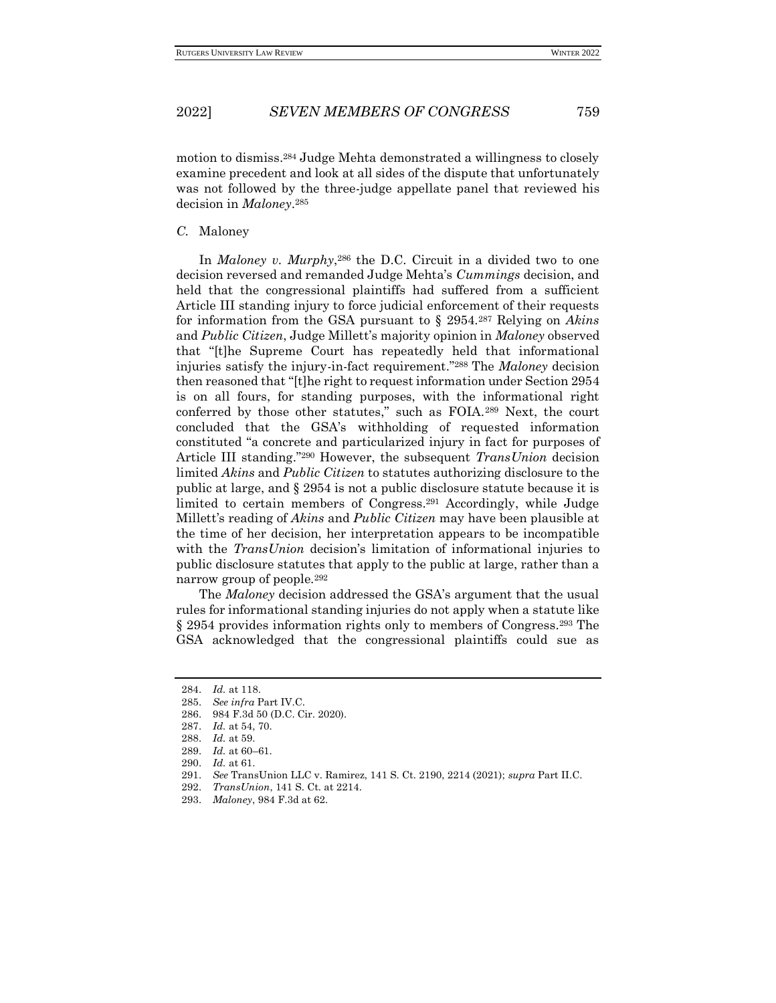motion to dismiss.<sup>284</sup> Judge Mehta demonstrated a willingness to closely examine precedent and look at all sides of the dispute that unfortunately was not followed by the three-judge appellate panel that reviewed his decision in *Maloney*. 285

#### *C.* Maloney

In *Maloney v. Murphy*, <sup>286</sup> the D.C. Circuit in a divided two to one decision reversed and remanded Judge Mehta's *Cummings* decision, and held that the congressional plaintiffs had suffered from a sufficient Article III standing injury to force judicial enforcement of their requests for information from the GSA pursuant to § 2954.<sup>287</sup> Relying on *Akins*  and *Public Citizen*, Judge Millett's majority opinion in *Maloney* observed that "[t]he Supreme Court has repeatedly held that informational injuries satisfy the injury-in-fact requirement."<sup>288</sup> The *Maloney* decision then reasoned that "[t]he right to request information under Section 2954 is on all fours, for standing purposes, with the informational right conferred by those other statutes," such as FOIA.<sup>289</sup> Next, the court concluded that the GSA's withholding of requested information constituted "a concrete and particularized injury in fact for purposes of Article III standing."<sup>290</sup> However, the subsequent *TransUnion* decision limited *Akins* and *Public Citizen* to statutes authorizing disclosure to the public at large, and § 2954 is not a public disclosure statute because it is limited to certain members of Congress.<sup>291</sup> Accordingly, while Judge Millett's reading of *Akins* and *Public Citizen* may have been plausible at the time of her decision, her interpretation appears to be incompatible with the *TransUnion* decision's limitation of informational injuries to public disclosure statutes that apply to the public at large, rather than a narrow group of people*.* 292

The *Maloney* decision addressed the GSA's argument that the usual rules for informational standing injuries do not apply when a statute like § 2954 provides information rights only to members of Congress.<sup>293</sup> The GSA acknowledged that the congressional plaintiffs could sue as

291. *See* TransUnion LLC v. Ramirez, 141 S. Ct. 2190, 2214 (2021); *supra* Part II.C.

<sup>284.</sup> *Id.* at 118.

<sup>285.</sup> *See infra* Part IV.C.

<sup>286.</sup> 984 F.3d 50 (D.C. Cir. 2020).

<sup>287.</sup> *Id.* at 54, 70.

<sup>288.</sup> *Id.* at 59.

<sup>289.</sup> *Id.* at 60–61.

<sup>290.</sup> *Id.* at 61.

<sup>292.</sup> *TransUnion*, 141 S. Ct. at 2214.

<sup>293.</sup> *Maloney*, 984 F.3d at 62.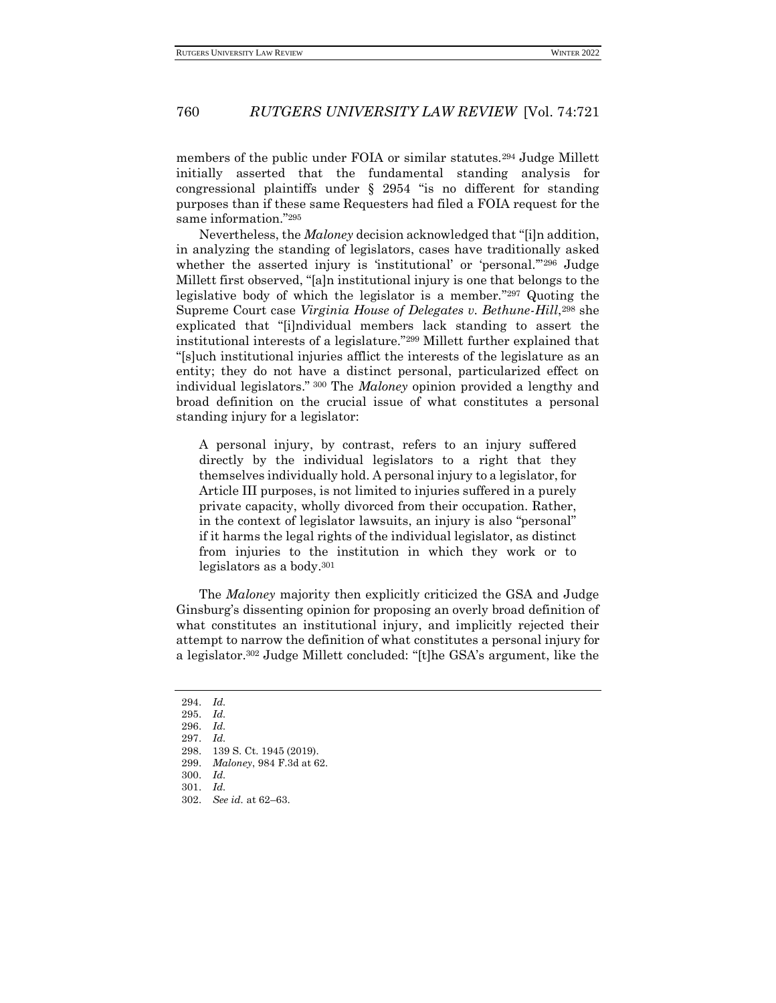members of the public under FOIA or similar statutes.<sup>294</sup> Judge Millett initially asserted that the fundamental standing analysis for congressional plaintiffs under § 2954 "is no different for standing purposes than if these same Requesters had filed a FOIA request for the same information."<sup>295</sup>

Nevertheless, the *Maloney* decision acknowledged that "[i]n addition, in analyzing the standing of legislators, cases have traditionally asked whether the asserted injury is 'institutional' or 'personal."<sup>296</sup> Judge Millett first observed, "[a]n institutional injury is one that belongs to the legislative body of which the legislator is a member." <sup>297</sup> Quoting the Supreme Court case *Virginia House of Delegates v. Bethune-Hill*, <sup>298</sup> she explicated that "[i]ndividual members lack standing to assert the institutional interests of a legislature."<sup>299</sup> Millett further explained that "[s]uch institutional injuries afflict the interests of the legislature as an entity; they do not have a distinct personal, particularized effect on individual legislators." <sup>300</sup> The *Maloney* opinion provided a lengthy and broad definition on the crucial issue of what constitutes a personal standing injury for a legislator:

A personal injury, by contrast, refers to an injury suffered directly by the individual legislators to a right that they themselves individually hold. A personal injury to a legislator, for Article III purposes, is not limited to injuries suffered in a purely private capacity, wholly divorced from their occupation. Rather, in the context of legislator lawsuits, an injury is also "personal" if it harms the legal rights of the individual legislator, as distinct from injuries to the institution in which they work or to legislators as a body.<sup>301</sup>

The *Maloney* majority then explicitly criticized the GSA and Judge Ginsburg's dissenting opinion for proposing an overly broad definition of what constitutes an institutional injury, and implicitly rejected their attempt to narrow the definition of what constitutes a personal injury for a legislator.<sup>302</sup> Judge Millett concluded: "[t]he GSA's argument, like the

- 
- 300. *Id.*

<sup>294.</sup> *Id.*

<sup>295.</sup> *Id.*

<sup>296.</sup> *Id.*

<sup>297.</sup> *Id.*

<sup>298.</sup> 139 S. Ct. 1945 (2019). 299. *Maloney*, 984 F.3d at 62.

<sup>301.</sup> *Id.*

<sup>302.</sup> *See id.* at 62–63.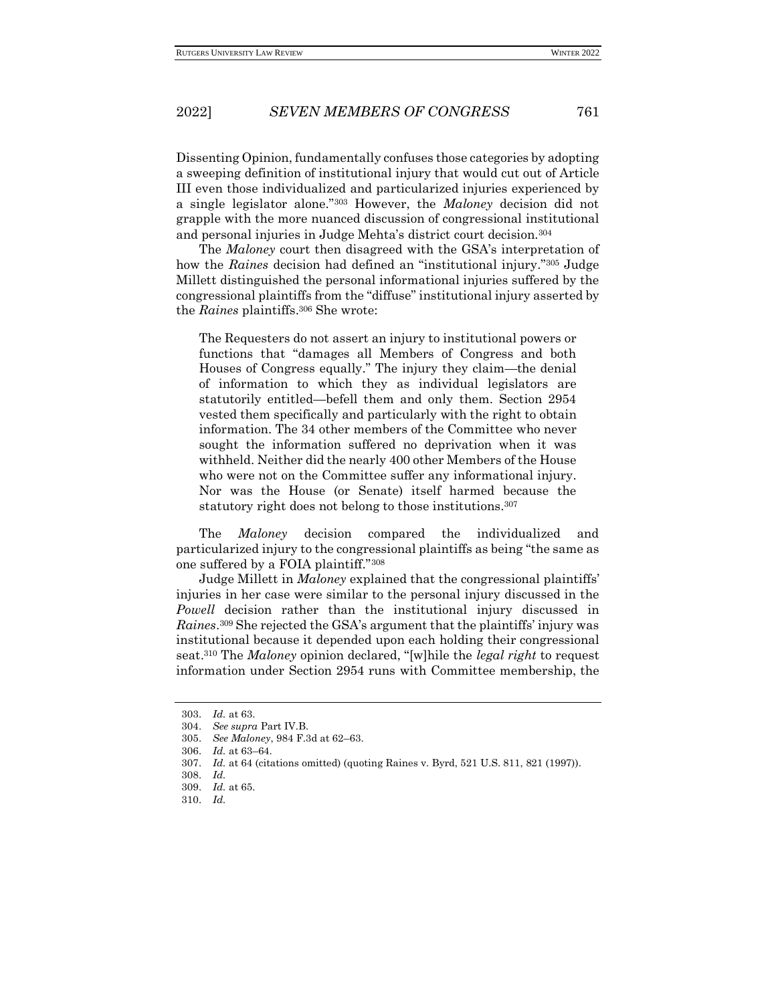Dissenting Opinion, fundamentally confuses those categories by adopting a sweeping definition of institutional injury that would cut out of Article III even those individualized and particularized injuries experienced by a single legislator alone."<sup>303</sup> However, the *Maloney* decision did not grapple with the more nuanced discussion of congressional institutional and personal injuries in Judge Mehta's district court decision.<sup>304</sup>

The *Maloney* court then disagreed with the GSA's interpretation of how the *Raines* decision had defined an "institutional injury."<sup>305</sup> Judge Millett distinguished the personal informational injuries suffered by the congressional plaintiffs from the "diffuse" institutional injury asserted by the *Raines* plaintiffs.<sup>306</sup> She wrote:

The Requesters do not assert an injury to institutional powers or functions that "damages all Members of Congress and both Houses of Congress equally." The injury they claim—the denial of information to which they as individual legislators are statutorily entitled—befell them and only them. Section 2954 vested them specifically and particularly with the right to obtain information. The 34 other members of the Committee who never sought the information suffered no deprivation when it was withheld. Neither did the nearly 400 other Members of the House who were not on the Committee suffer any informational injury. Nor was the House (or Senate) itself harmed because the statutory right does not belong to those institutions.<sup>307</sup>

The *Maloney* decision compared the individualized and particularized injury to the congressional plaintiffs as being "the same as one suffered by a FOIA plaintiff."<sup>308</sup>

Judge Millett in *Maloney* explained that the congressional plaintiffs' injuries in her case were similar to the personal injury discussed in the *Powell* decision rather than the institutional injury discussed in *Raines*. <sup>309</sup> She rejected the GSA's argument that the plaintiffs' injury was institutional because it depended upon each holding their congressional seat.<sup>310</sup> The *Maloney* opinion declared, "[w]hile the *legal right* to request information under Section 2954 runs with Committee membership, the

<sup>303.</sup> *Id.* at 63.

<sup>304.</sup> *See supra* Part IV.B.

<sup>305.</sup> *See Maloney*, 984 F.3d at 62–63.

<sup>306.</sup> *Id.* at 63–64.

<sup>307.</sup> *Id.* at 64 (citations omitted) (quoting Raines v. Byrd, 521 U.S. 811, 821 (1997)).

<sup>308.</sup> *Id.*

<sup>309.</sup> *Id.* at 65.

<sup>310.</sup> *Id.*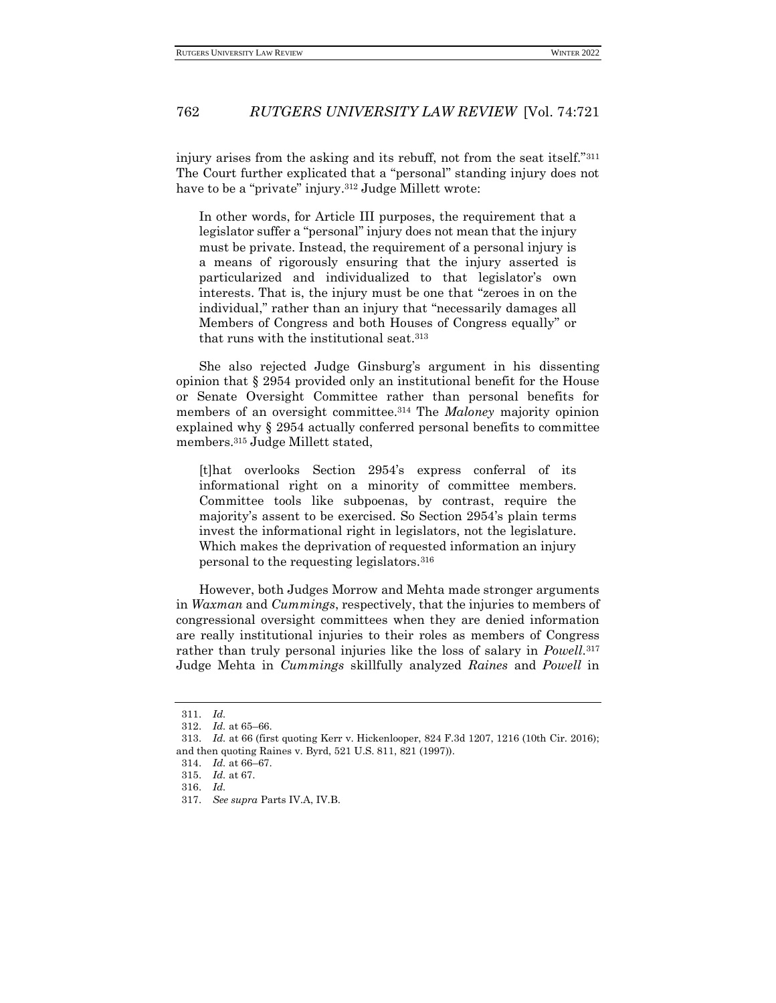injury arises from the asking and its rebuff, not from the seat itself."<sup>311</sup> The Court further explicated that a "personal" standing injury does not have to be a "private" injury.<sup>312</sup> Judge Millett wrote:

In other words, for Article III purposes, the requirement that a legislator suffer a "personal" injury does not mean that the injury must be private. Instead, the requirement of a personal injury is a means of rigorously ensuring that the injury asserted is particularized and individualized to that legislator's own interests. That is, the injury must be one that "zeroes in on the individual," rather than an injury that "necessarily damages all Members of Congress and both Houses of Congress equally" or that runs with the institutional seat.<sup>313</sup>

She also rejected Judge Ginsburg's argument in his dissenting opinion that § 2954 provided only an institutional benefit for the House or Senate Oversight Committee rather than personal benefits for members of an oversight committee.<sup>314</sup> The *Maloney* majority opinion explained why § 2954 actually conferred personal benefits to committee members.<sup>315</sup> Judge Millett stated,

[t]hat overlooks Section 2954's express conferral of its informational right on a minority of committee members. Committee tools like subpoenas, by contrast, require the majority's assent to be exercised. So Section 2954's plain terms invest the informational right in legislators, not the legislature. Which makes the deprivation of requested information an injury personal to the requesting legislators.<sup>316</sup>

However, both Judges Morrow and Mehta made stronger arguments in *Waxman* and *Cummings*, respectively, that the injuries to members of congressional oversight committees when they are denied information are really institutional injuries to their roles as members of Congress rather than truly personal injuries like the loss of salary in *Powell*. 317 Judge Mehta in *Cummings* skillfully analyzed *Raines* and *Powell* in

<sup>311.</sup> *Id.*

<sup>312.</sup> *Id.* at 65–66.

<sup>313.</sup> *Id.* at 66 (first quoting Kerr v. Hickenlooper, 824 F.3d 1207, 1216 (10th Cir. 2016); and then quoting Raines v. Byrd, 521 U.S. 811, 821 (1997)).

<sup>314.</sup> *Id.* at 66–67.

<sup>315.</sup> *Id.* at 67.

<sup>316.</sup> *Id.*

<sup>317.</sup> *See supra* Parts IV.A, IV.B.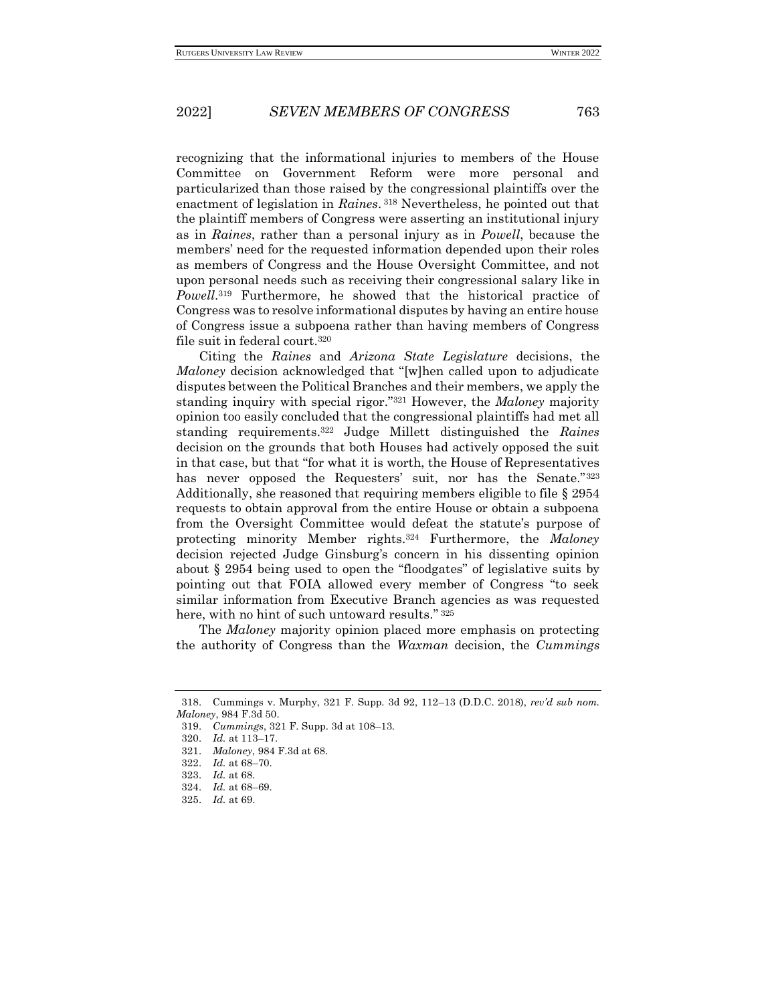recognizing that the informational injuries to members of the House Committee on Government Reform were more personal and particularized than those raised by the congressional plaintiffs over the enactment of legislation in *Raines*. <sup>318</sup> Nevertheless, he pointed out that the plaintiff members of Congress were asserting an institutional injury as in *Raines*, rather than a personal injury as in *Powell*, because the members' need for the requested information depended upon their roles as members of Congress and the House Oversight Committee, and not upon personal needs such as receiving their congressional salary like in *Powell*. <sup>319</sup> Furthermore, he showed that the historical practice of Congress was to resolve informational disputes by having an entire house of Congress issue a subpoena rather than having members of Congress file suit in federal court.<sup>320</sup>

Citing the *Raines* and *Arizona State Legislature* decisions, the *Maloney* decision acknowledged that "[w]hen called upon to adjudicate disputes between the Political Branches and their members, we apply the standing inquiry with special rigor."<sup>321</sup> However, the *Maloney* majority opinion too easily concluded that the congressional plaintiffs had met all standing requirements.<sup>322</sup> Judge Millett distinguished the *Raines* decision on the grounds that both Houses had actively opposed the suit in that case, but that "for what it is worth, the House of Representatives has never opposed the Requesters' suit, nor has the Senate."<sup>323</sup> Additionally, she reasoned that requiring members eligible to file § 2954 requests to obtain approval from the entire House or obtain a subpoena from the Oversight Committee would defeat the statute's purpose of protecting minority Member rights.<sup>324</sup> Furthermore, the *Maloney*  decision rejected Judge Ginsburg's concern in his dissenting opinion about § 2954 being used to open the "floodgates" of legislative suits by pointing out that FOIA allowed every member of Congress "to seek similar information from Executive Branch agencies as was requested here, with no hint of such untoward results." 325

The *Maloney* majority opinion placed more emphasis on protecting the authority of Congress than the *Waxman* decision, the *Cummings* 

<sup>318.</sup> Cummings v. Murphy, 321 F. Supp. 3d 92, 112–13 (D.D.C. 2018), *rev'd sub nom. Maloney*, 984 F.3d 50.

<sup>319.</sup> *Cummings*, 321 F. Supp. 3d at 108–13.

<sup>320.</sup> *Id.* at 113–17.

<sup>321.</sup> *Maloney*, 984 F.3d at 68.

<sup>322.</sup> *Id.* at 68–70.

<sup>323.</sup> *Id.* at 68.

<sup>324.</sup> *Id.* at 68–69.

<sup>325.</sup> *Id.* at 69.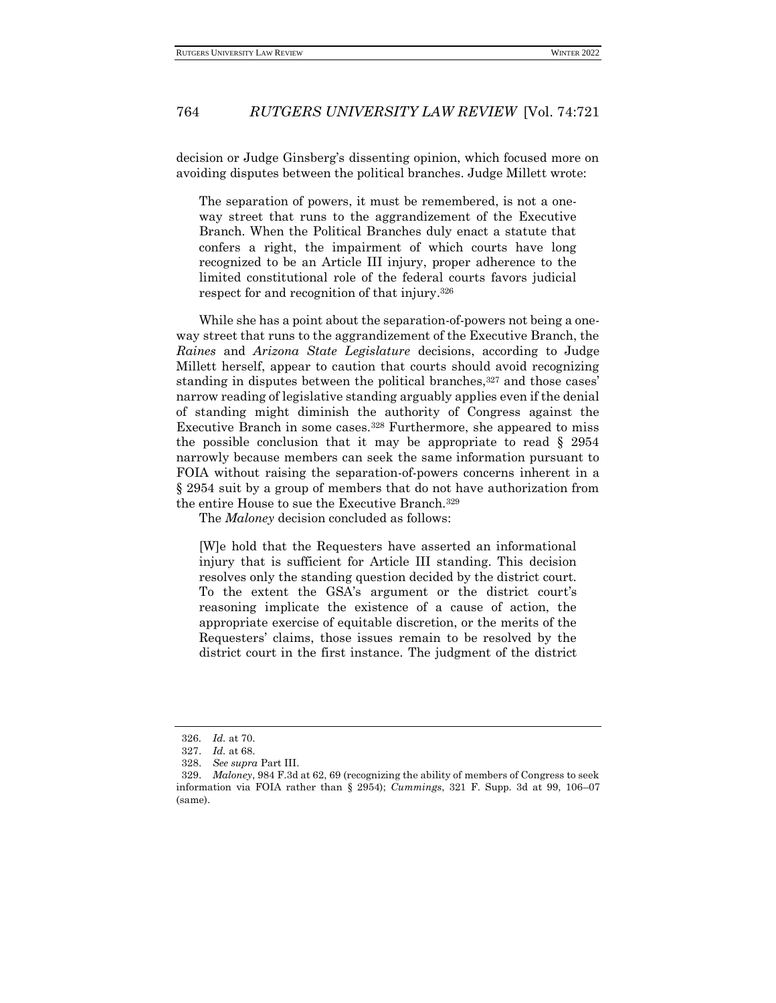decision or Judge Ginsberg's dissenting opinion, which focused more on avoiding disputes between the political branches. Judge Millett wrote:

The separation of powers, it must be remembered, is not a oneway street that runs to the aggrandizement of the Executive Branch. When the Political Branches duly enact a statute that confers a right, the impairment of which courts have long recognized to be an Article III injury, proper adherence to the limited constitutional role of the federal courts favors judicial respect for and recognition of that injury.<sup>326</sup>

While she has a point about the separation-of-powers not being a oneway street that runs to the aggrandizement of the Executive Branch, the *Raines* and *Arizona State Legislature* decisions, according to Judge Millett herself, appear to caution that courts should avoid recognizing standing in disputes between the political branches,<sup>327</sup> and those cases' narrow reading of legislative standing arguably applies even if the denial of standing might diminish the authority of Congress against the Executive Branch in some cases.<sup>328</sup> Furthermore, she appeared to miss the possible conclusion that it may be appropriate to read  $\S$  2954 narrowly because members can seek the same information pursuant to FOIA without raising the separation-of-powers concerns inherent in a § 2954 suit by a group of members that do not have authorization from the entire House to sue the Executive Branch.<sup>329</sup>

The *Maloney* decision concluded as follows:

[W]e hold that the Requesters have asserted an informational injury that is sufficient for Article III standing. This decision resolves only the standing question decided by the district court. To the extent the GSA's argument or the district court's reasoning implicate the existence of a cause of action, the appropriate exercise of equitable discretion, or the merits of the Requesters' claims, those issues remain to be resolved by the district court in the first instance. The judgment of the district

<sup>326</sup>*. Id.* at 70.

<sup>327.</sup> *Id.* at 68.

<sup>328.</sup> *See supra* Part III.

<sup>329.</sup> *Maloney*, 984 F.3d at 62, 69 (recognizing the ability of members of Congress to seek information via FOIA rather than § 2954); *Cummings*, 321 F. Supp. 3d at 99, 106–07 (same).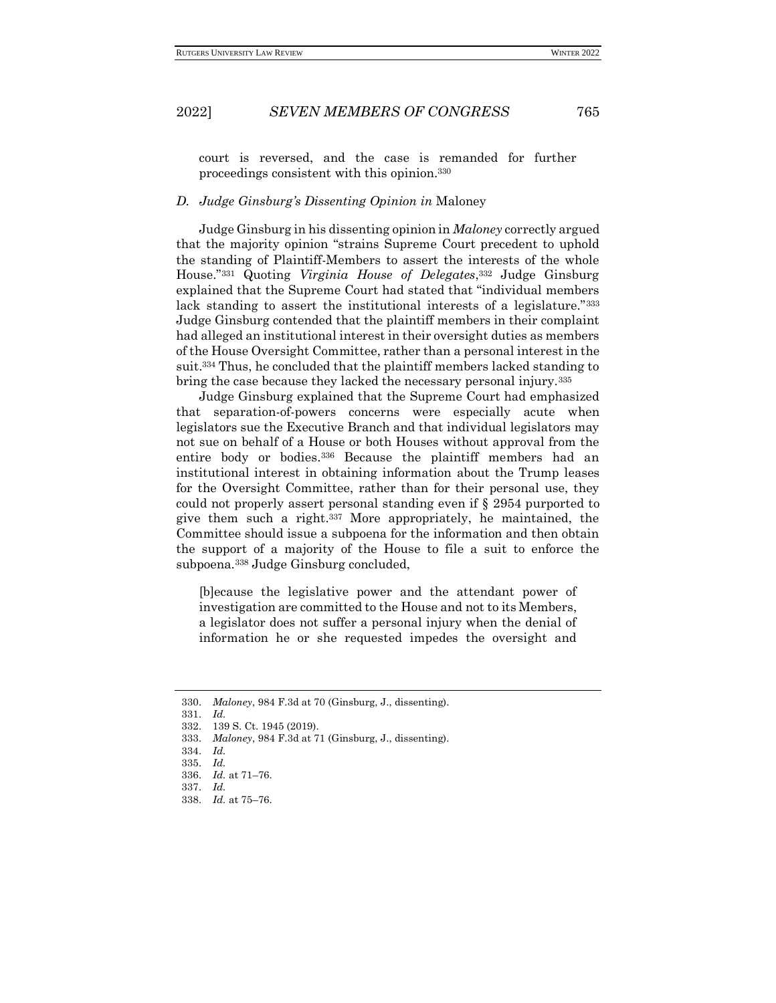court is reversed, and the case is remanded for further proceedings consistent with this opinion.<sup>330</sup>

### *D. Judge Ginsburg's Dissenting Opinion in* Maloney

Judge Ginsburg in his dissenting opinion in *Maloney* correctly argued that the majority opinion "strains Supreme Court precedent to uphold the standing of Plaintiff-Members to assert the interests of the whole House."<sup>331</sup> Quoting *Virginia House of Delegates*, <sup>332</sup> Judge Ginsburg explained that the Supreme Court had stated that "individual members lack standing to assert the institutional interests of a legislature."333 Judge Ginsburg contended that the plaintiff members in their complaint had alleged an institutional interest in their oversight duties as members of the House Oversight Committee, rather than a personal interest in the suit.<sup>334</sup> Thus, he concluded that the plaintiff members lacked standing to bring the case because they lacked the necessary personal injury.<sup>335</sup>

Judge Ginsburg explained that the Supreme Court had emphasized that separation-of-powers concerns were especially acute when legislators sue the Executive Branch and that individual legislators may not sue on behalf of a House or both Houses without approval from the entire body or bodies.<sup>336</sup> Because the plaintiff members had an institutional interest in obtaining information about the Trump leases for the Oversight Committee, rather than for their personal use, they could not properly assert personal standing even if § 2954 purported to give them such a right.<sup>337</sup> More appropriately, he maintained, the Committee should issue a subpoena for the information and then obtain the support of a majority of the House to file a suit to enforce the subpoena.<sup>338</sup> Judge Ginsburg concluded,

[b]ecause the legislative power and the attendant power of investigation are committed to the House and not to its Members, a legislator does not suffer a personal injury when the denial of information he or she requested impedes the oversight and

- 332. 139 S. Ct. 1945 (2019).
- 333. *Maloney*, 984 F.3d at 71 (Ginsburg, J., dissenting).
- 334. *Id.*

<sup>330.</sup> *Maloney*, 984 F.3d at 70 (Ginsburg, J., dissenting).

<sup>331.</sup> *Id.*

<sup>335.</sup> *Id.*

<sup>336.</sup> *Id.* at 71–76.

<sup>337.</sup> *Id.*

<sup>338.</sup> *Id.* at 75–76.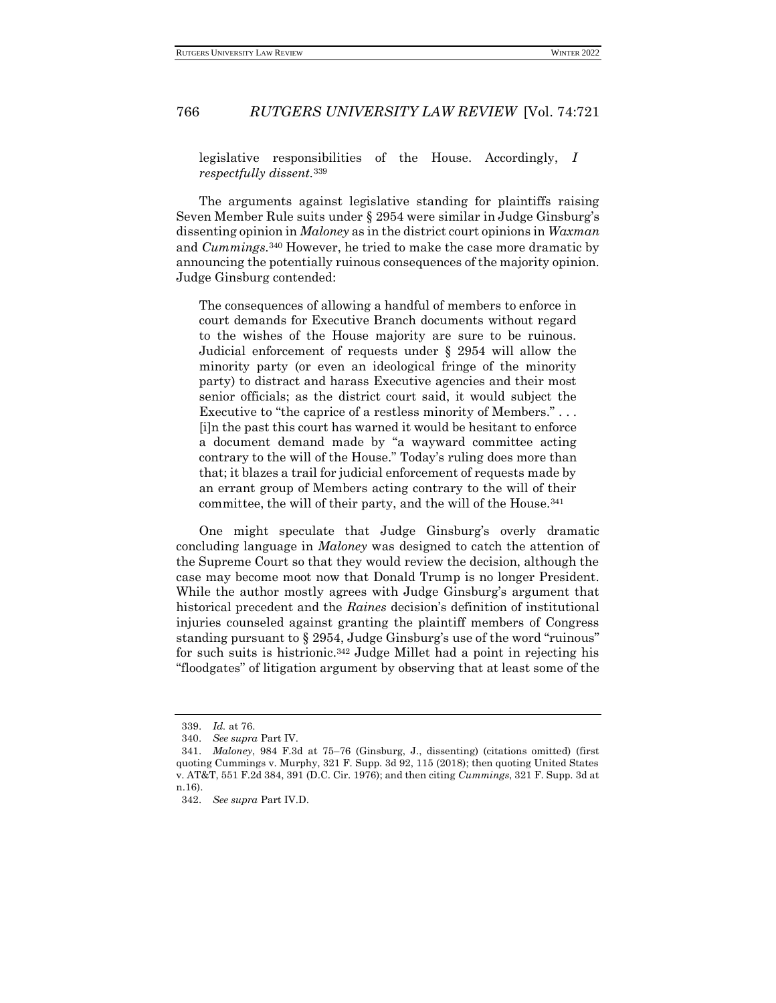legislative responsibilities of the House. Accordingly, *I respectfully dissent.*<sup>339</sup>

The arguments against legislative standing for plaintiffs raising Seven Member Rule suits under § 2954 were similar in Judge Ginsburg's dissenting opinion in *Maloney* as in the district court opinions in *Waxman*  and *Cummings.*<sup>340</sup> However, he tried to make the case more dramatic by announcing the potentially ruinous consequences of the majority opinion. Judge Ginsburg contended:

The consequences of allowing a handful of members to enforce in court demands for Executive Branch documents without regard to the wishes of the House majority are sure to be ruinous. Judicial enforcement of requests under § 2954 will allow the minority party (or even an ideological fringe of the minority party) to distract and harass Executive agencies and their most senior officials; as the district court said, it would subject the Executive to "the caprice of a restless minority of Members." . . . [i]n the past this court has warned it would be hesitant to enforce a document demand made by "a wayward committee acting contrary to the will of the House." Today's ruling does more than that; it blazes a trail for judicial enforcement of requests made by an errant group of Members acting contrary to the will of their committee, the will of their party, and the will of the House.<sup>341</sup>

One might speculate that Judge Ginsburg's overly dramatic concluding language in *Maloney* was designed to catch the attention of the Supreme Court so that they would review the decision, although the case may become moot now that Donald Trump is no longer President. While the author mostly agrees with Judge Ginsburg's argument that historical precedent and the *Raines* decision's definition of institutional injuries counseled against granting the plaintiff members of Congress standing pursuant to § 2954, Judge Ginsburg's use of the word "ruinous" for such suits is histrionic.<sup>342</sup> Judge Millet had a point in rejecting his "floodgates" of litigation argument by observing that at least some of the

<sup>339.</sup> *Id.* at 76.

<sup>340.</sup> *See supra* Part IV.

<sup>341.</sup> *Maloney*, 984 F.3d at 75–76 (Ginsburg, J., dissenting) (citations omitted) (first quoting Cummings v. Murphy, 321 F. Supp. 3d 92, 115 (2018); then quoting United States v. AT&T, 551 F.2d 384, 391 (D.C. Cir. 1976); and then citing *Cummings*, 321 F. Supp. 3d at n.16).

<sup>342.</sup> *See supra* Part IV.D.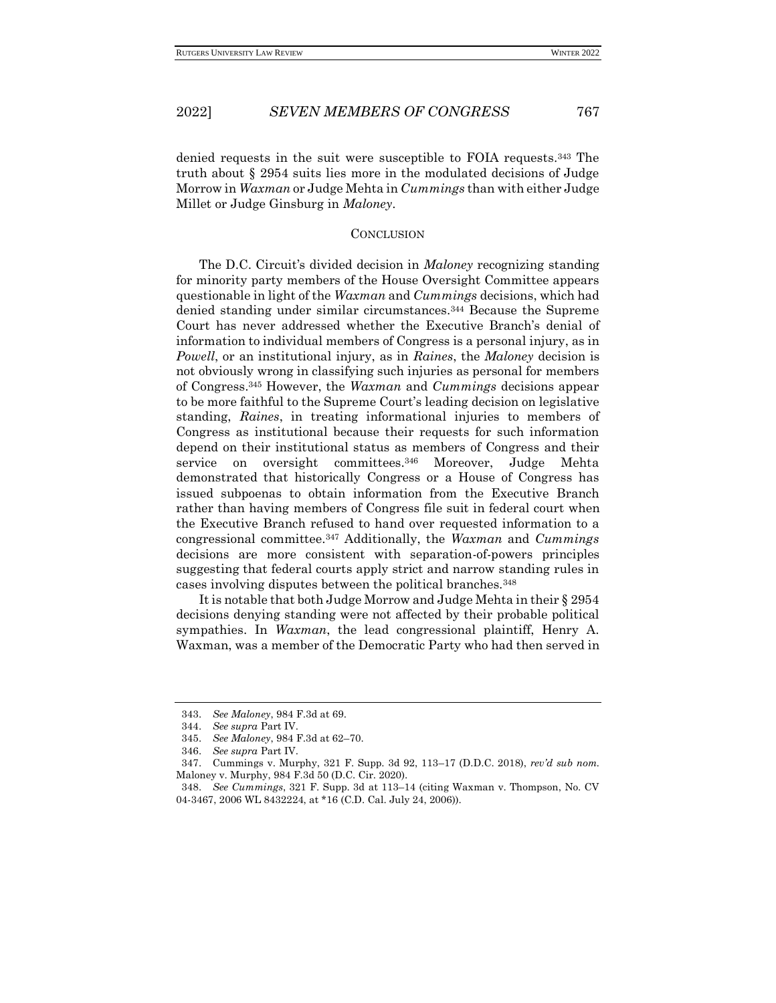denied requests in the suit were susceptible to FOIA requests.<sup>343</sup> The truth about § 2954 suits lies more in the modulated decisions of Judge Morrow in *Waxman* or Judge Mehta in *Cummings* than with either Judge Millet or Judge Ginsburg in *Maloney*.

#### **CONCLUSION**

The D.C. Circuit's divided decision in *Maloney* recognizing standing for minority party members of the House Oversight Committee appears questionable in light of the *Waxman* and *Cummings* decisions, which had denied standing under similar circumstances.<sup>344</sup> Because the Supreme Court has never addressed whether the Executive Branch's denial of information to individual members of Congress is a personal injury, as in *Powell*, or an institutional injury, as in *Raines*, the *Maloney* decision is not obviously wrong in classifying such injuries as personal for members of Congress.<sup>345</sup> However, the *Waxman* and *Cummings* decisions appear to be more faithful to the Supreme Court's leading decision on legislative standing, *Raines*, in treating informational injuries to members of Congress as institutional because their requests for such information depend on their institutional status as members of Congress and their service on oversight committees.<sup>346</sup> Moreover, Judge Mehta demonstrated that historically Congress or a House of Congress has issued subpoenas to obtain information from the Executive Branch rather than having members of Congress file suit in federal court when the Executive Branch refused to hand over requested information to a congressional committee.<sup>347</sup> Additionally, the *Waxman* and *Cummings*  decisions are more consistent with separation-of-powers principles suggesting that federal courts apply strict and narrow standing rules in cases involving disputes between the political branches.<sup>348</sup>

It is notable that both Judge Morrow and Judge Mehta in their § 2954 decisions denying standing were not affected by their probable political sympathies. In *Waxman*, the lead congressional plaintiff, Henry A. Waxman, was a member of the Democratic Party who had then served in

<sup>343.</sup> *See Maloney*, 984 F.3d at 69.

<sup>344.</sup> *See supra* Part IV.

<sup>345.</sup> *See Maloney*, 984 F.3d at 62–70.

<sup>346.</sup> *See supra* Part IV.

<sup>347.</sup> Cummings v. Murphy, 321 F. Supp. 3d 92, 113–17 (D.D.C. 2018), *rev'd sub nom.* Maloney v. Murphy, 984 F.3d 50 (D.C. Cir. 2020).

<sup>348.</sup> *See Cummings*, 321 F. Supp. 3d at 113–14 (citing Waxman v. Thompson, No. CV 04-3467, 2006 WL 8432224, at \*16 (C.D. Cal. July 24, 2006)).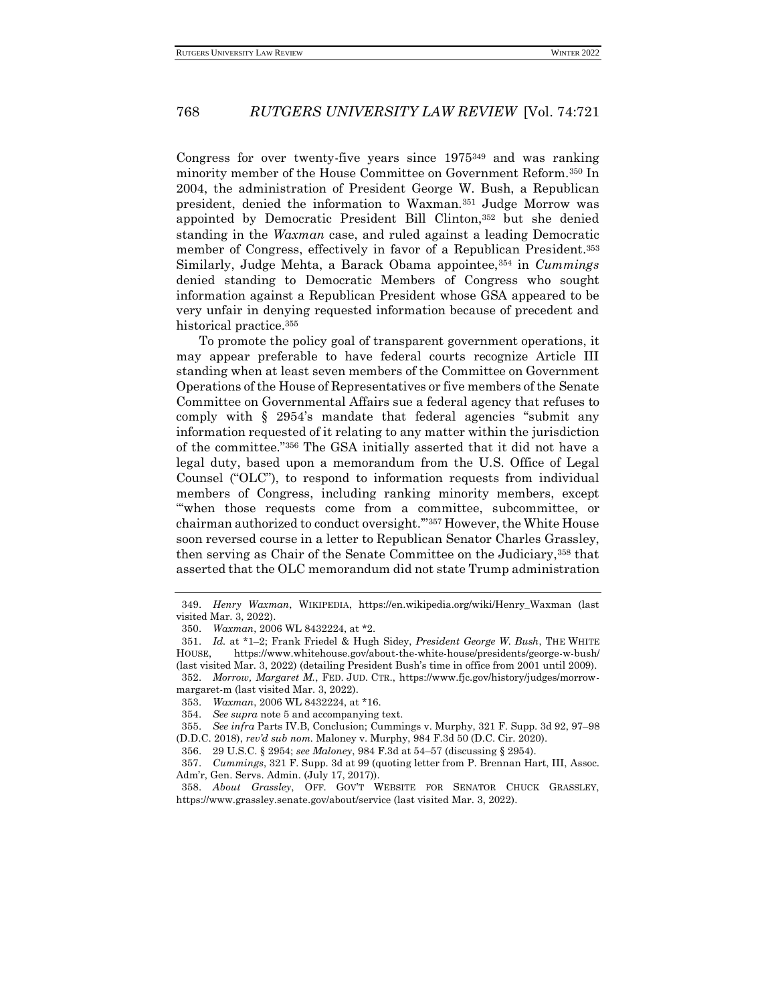Congress for over twenty-five years since 1975<sup>349</sup> and was ranking minority member of the House Committee on Government Reform.<sup>350</sup> In 2004, the administration of President George W. Bush, a Republican president, denied the information to Waxman.<sup>351</sup> Judge Morrow was appointed by Democratic President Bill Clinton,<sup>352</sup> but she denied standing in the *Waxman* case, and ruled against a leading Democratic member of Congress, effectively in favor of a Republican President.<sup>353</sup> Similarly, Judge Mehta, a Barack Obama appointee,<sup>354</sup> in *Cummings* denied standing to Democratic Members of Congress who sought information against a Republican President whose GSA appeared to be very unfair in denying requested information because of precedent and historical practice.<sup>355</sup>

To promote the policy goal of transparent government operations, it may appear preferable to have federal courts recognize Article III standing when at least seven members of the Committee on Government Operations of the House of Representatives or five members of the Senate Committee on Governmental Affairs sue a federal agency that refuses to comply with § 2954's mandate that federal agencies "submit any information requested of it relating to any matter within the jurisdiction of the committee."<sup>356</sup> The GSA initially asserted that it did not have a legal duty, based upon a memorandum from the U.S. Office of Legal Counsel ("OLC"), to respond to information requests from individual members of Congress, including ranking minority members, except "'when those requests come from a committee, subcommittee, or chairman authorized to conduct oversight.'"<sup>357</sup> However, the White House soon reversed course in a letter to Republican Senator Charles Grassley, then serving as Chair of the Senate Committee on the Judiciary,<sup>358</sup> that asserted that the OLC memorandum did not state Trump administration

<sup>349.</sup> *Henry Waxman*, WIKIPEDIA, https://en.wikipedia.org/wiki/Henry\_Waxman (last visited Mar. 3, 2022).

<sup>350.</sup> *Waxman*, 2006 WL 8432224, at \*2.

<sup>351.</sup> *Id.* at \*1–2; Frank Friedel & Hugh Sidey, *President George W. Bush*, THE WHITE HOUSE, https://www.whitehouse.gov/about-the-white-house/presidents/george-w-bush/ (last visited Mar. 3, 2022) (detailing President Bush's time in office from 2001 until 2009). 352. *Morrow, Margaret M.*, FED. JUD. CTR., https://www.fjc.gov/history/judges/morrow-

margaret-m (last visited Mar. 3, 2022).

<sup>353.</sup> *Waxman*, 2006 WL 8432224, at \*16.

<sup>354.</sup> *See supra* note 5 and accompanying text.

<sup>355.</sup> *See infra* Parts IV.B, Conclusion; Cummings v. Murphy, 321 F. Supp. 3d 92, 97–98 (D.D.C. 2018), *rev'd sub nom.* Maloney v. Murphy, 984 F.3d 50 (D.C. Cir. 2020).

<sup>356.</sup> 29 U.S.C. § 2954; *see Maloney*, 984 F.3d at 54–57 (discussing § 2954).

<sup>357.</sup> *Cummings*, 321 F. Supp. 3d at 99 (quoting letter from P. Brennan Hart, III, Assoc. Adm'r, Gen. Servs. Admin. (July 17, 2017)).

<sup>358.</sup> *About Grassley*, OFF. GOV'T WEBSITE FOR SENATOR CHUCK GRASSLEY, https://www.grassley.senate.gov/about/service (last visited Mar. 3, 2022).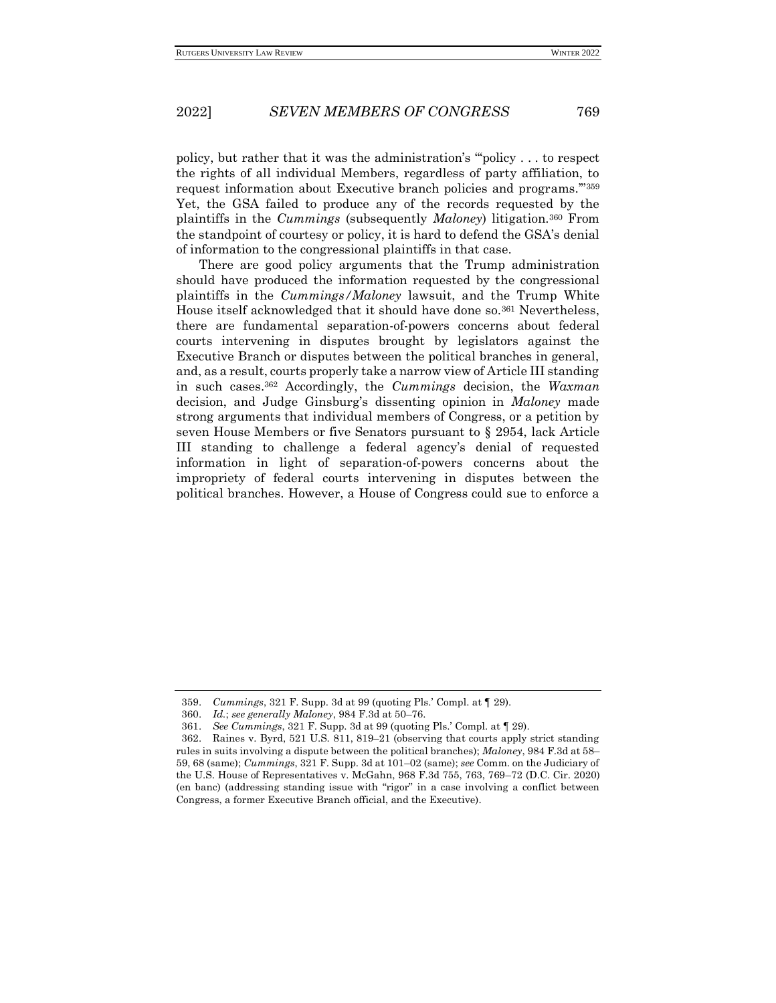policy, but rather that it was the administration's "'policy . . . to respect the rights of all individual Members, regardless of party affiliation, to request information about Executive branch policies and programs.'"<sup>359</sup> Yet, the GSA failed to produce any of the records requested by the plaintiffs in the *Cummings* (subsequently *Maloney*) litigation.<sup>360</sup> From the standpoint of courtesy or policy, it is hard to defend the GSA's denial of information to the congressional plaintiffs in that case.

There are good policy arguments that the Trump administration should have produced the information requested by the congressional plaintiffs in the *Cummings/Maloney* lawsuit, and the Trump White House itself acknowledged that it should have done so.<sup>361</sup> Nevertheless, there are fundamental separation-of-powers concerns about federal courts intervening in disputes brought by legislators against the Executive Branch or disputes between the political branches in general, and, as a result, courts properly take a narrow view of Article III standing in such cases.<sup>362</sup> Accordingly, the *Cummings* decision, the *Waxman*  decision, and Judge Ginsburg's dissenting opinion in *Maloney* made strong arguments that individual members of Congress, or a petition by seven House Members or five Senators pursuant to § 2954, lack Article III standing to challenge a federal agency's denial of requested information in light of separation-of-powers concerns about the impropriety of federal courts intervening in disputes between the political branches. However, a House of Congress could sue to enforce a

<sup>359.</sup> *Cummings*, 321 F. Supp. 3d at 99 (quoting Pls.' Compl. at ¶ 29).

<sup>360.</sup> *Id.*; *see generally Maloney*, 984 F.3d at 50–76.

<sup>361.</sup> *See Cummings*, 321 F. Supp. 3d at 99 (quoting Pls.' Compl. at ¶ 29).

<sup>362.</sup> Raines v. Byrd, 521 U.S. 811, 819–21 (observing that courts apply strict standing rules in suits involving a dispute between the political branches); *Maloney*, 984 F.3d at 58– 59, 68 (same); *Cummings*, 321 F. Supp. 3d at 101–02 (same); *see* Comm. on the Judiciary of the U.S. House of Representatives v. McGahn, 968 F.3d 755, 763, 769–72 (D.C. Cir. 2020) (en banc) (addressing standing issue with "rigor" in a case involving a conflict between Congress, a former Executive Branch official, and the Executive).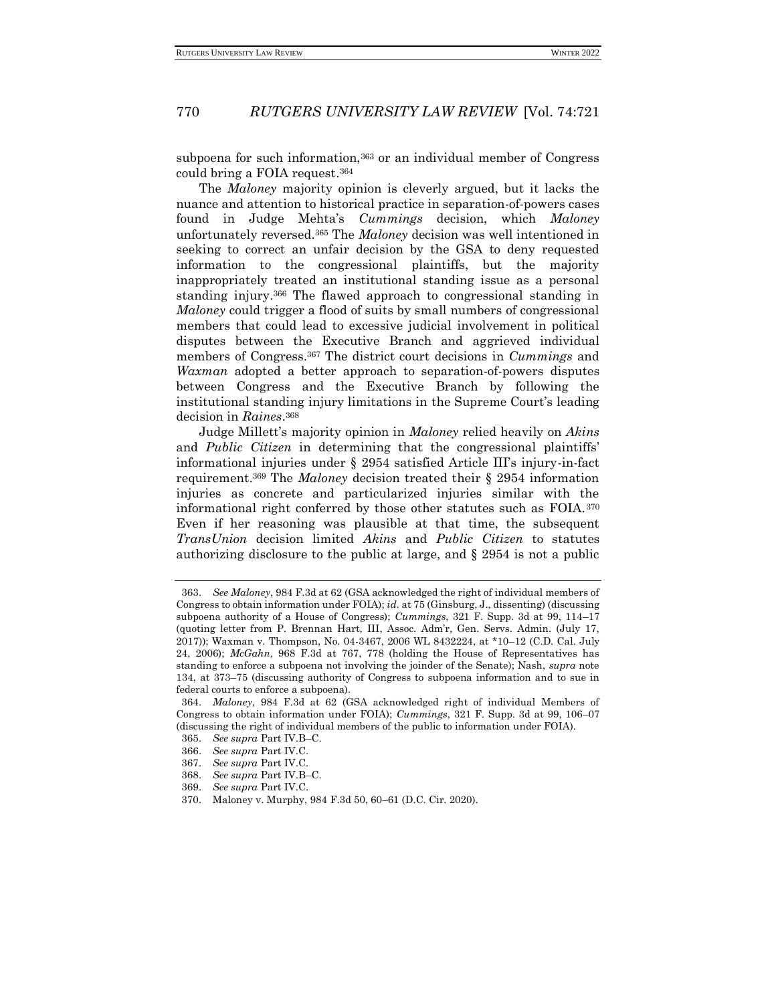subpoena for such information,<sup>363</sup> or an individual member of Congress could bring a FOIA request.<sup>364</sup>

The *Maloney* majority opinion is cleverly argued, but it lacks the nuance and attention to historical practice in separation-of-powers cases found in Judge Mehta's *Cummings* decision, which *Maloney*  unfortunately reversed.<sup>365</sup> The *Maloney* decision was well intentioned in seeking to correct an unfair decision by the GSA to deny requested information to the congressional plaintiffs, but the majority inappropriately treated an institutional standing issue as a personal standing injury.<sup>366</sup> The flawed approach to congressional standing in *Maloney* could trigger a flood of suits by small numbers of congressional members that could lead to excessive judicial involvement in political disputes between the Executive Branch and aggrieved individual members of Congress.<sup>367</sup> The district court decisions in *Cummings* and *Waxman* adopted a better approach to separation-of-powers disputes between Congress and the Executive Branch by following the institutional standing injury limitations in the Supreme Court's leading decision in *Raines*. 368

Judge Millett's majority opinion in *Maloney* relied heavily on *Akins*  and *Public Citizen* in determining that the congressional plaintiffs' informational injuries under § 2954 satisfied Article III's injury-in-fact requirement.<sup>369</sup> The *Maloney* decision treated their § 2954 information injuries as concrete and particularized injuries similar with the informational right conferred by those other statutes such as FOIA.<sup>370</sup> Even if her reasoning was plausible at that time, the subsequent *TransUnion* decision limited *Akins* and *Public Citizen* to statutes authorizing disclosure to the public at large, and § 2954 is not a public

<sup>363.</sup> *See Maloney*, 984 F.3d at 62 (GSA acknowledged the right of individual members of Congress to obtain information under FOIA); *id.* at 75 (Ginsburg, J., dissenting) (discussing subpoena authority of a House of Congress); *Cummings*, 321 F. Supp. 3d at 99, 114–17 (quoting letter from P. Brennan Hart, III, Assoc. Adm'r, Gen. Servs. Admin. (July 17, 2017)); Waxman v. Thompson, No. 04-3467, 2006 WL 8432224, at \*10–12 (C.D. Cal. July 24, 2006); *McGahn*, 968 F.3d at 767, 778 (holding the House of Representatives has standing to enforce a subpoena not involving the joinder of the Senate); Nash, *supra* note 134, at 373–75 (discussing authority of Congress to subpoena information and to sue in federal courts to enforce a subpoena).

<sup>364.</sup> *Maloney*, 984 F.3d at 62 (GSA acknowledged right of individual Members of Congress to obtain information under FOIA); *Cummings*, 321 F. Supp. 3d at 99, 106–07 (discussing the right of individual members of the public to information under FOIA).

<sup>365.</sup> *See supra* Part IV.B–C.

<sup>366.</sup> *See supra* Part IV.C.

<sup>367.</sup> *See supra* Part IV.C.

<sup>368.</sup> *See supra* Part IV.B–C.

<sup>369.</sup> *See supra* Part IV.C.

<sup>370.</sup> Maloney v. Murphy, 984 F.3d 50, 60–61 (D.C. Cir. 2020).